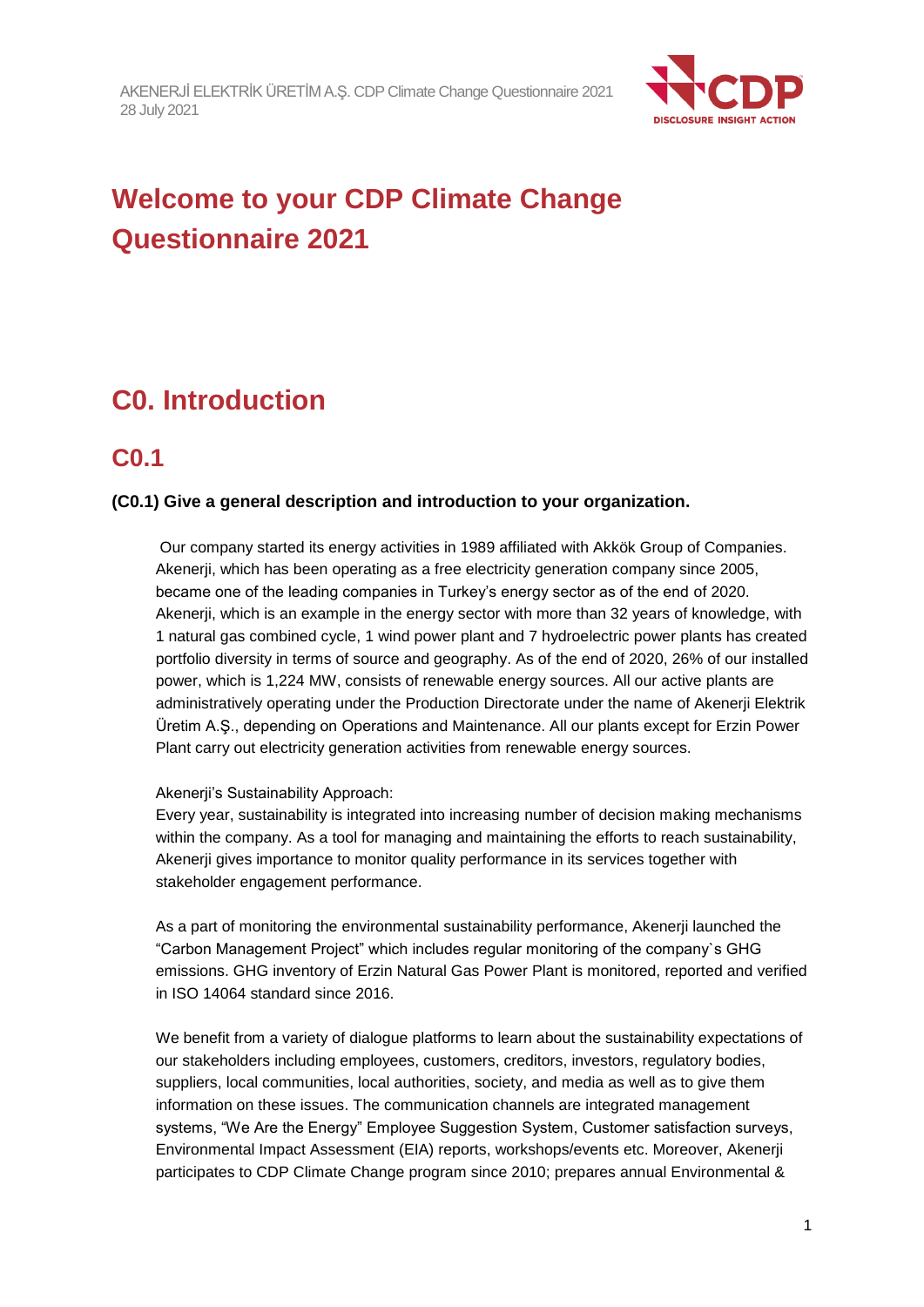

# **Welcome to your CDP Climate Change Questionnaire 2021**

# **C0. Introduction**

# **C0.1**

### **(C0.1) Give a general description and introduction to your organization.**

Our company started its energy activities in 1989 affiliated with Akkök Group of Companies. Akenerji, which has been operating as a free electricity generation company since 2005, became one of the leading companies in Turkey's energy sector as of the end of 2020. Akenerji, which is an example in the energy sector with more than 32 years of knowledge, with 1 natural gas combined cycle, 1 wind power plant and 7 hydroelectric power plants has created portfolio diversity in terms of source and geography. As of the end of 2020, 26% of our installed power, which is 1,224 MW, consists of renewable energy sources. All our active plants are administratively operating under the Production Directorate under the name of Akenerji Elektrik Üretim A.Ş., depending on Operations and Maintenance. All our plants except for Erzin Power Plant carry out electricity generation activities from renewable energy sources.

#### Akenerii's Sustainability Approach:

Every year, sustainability is integrated into increasing number of decision making mechanisms within the company. As a tool for managing and maintaining the efforts to reach sustainability, Akenerji gives importance to monitor quality performance in its services together with stakeholder engagement performance.

As a part of monitoring the environmental sustainability performance, Akenerji launched the "Carbon Management Project" which includes regular monitoring of the company`s GHG emissions. GHG inventory of Erzin Natural Gas Power Plant is monitored, reported and verified in ISO 14064 standard since 2016.

We benefit from a variety of dialogue platforms to learn about the sustainability expectations of our stakeholders including employees, customers, creditors, investors, regulatory bodies, suppliers, local communities, local authorities, society, and media as well as to give them information on these issues. The communication channels are integrated management systems, "We Are the Energy" Employee Suggestion System, Customer satisfaction surveys, Environmental Impact Assessment (EIA) reports, workshops/events etc. Moreover, Akenerji participates to CDP Climate Change program since 2010; prepares annual Environmental &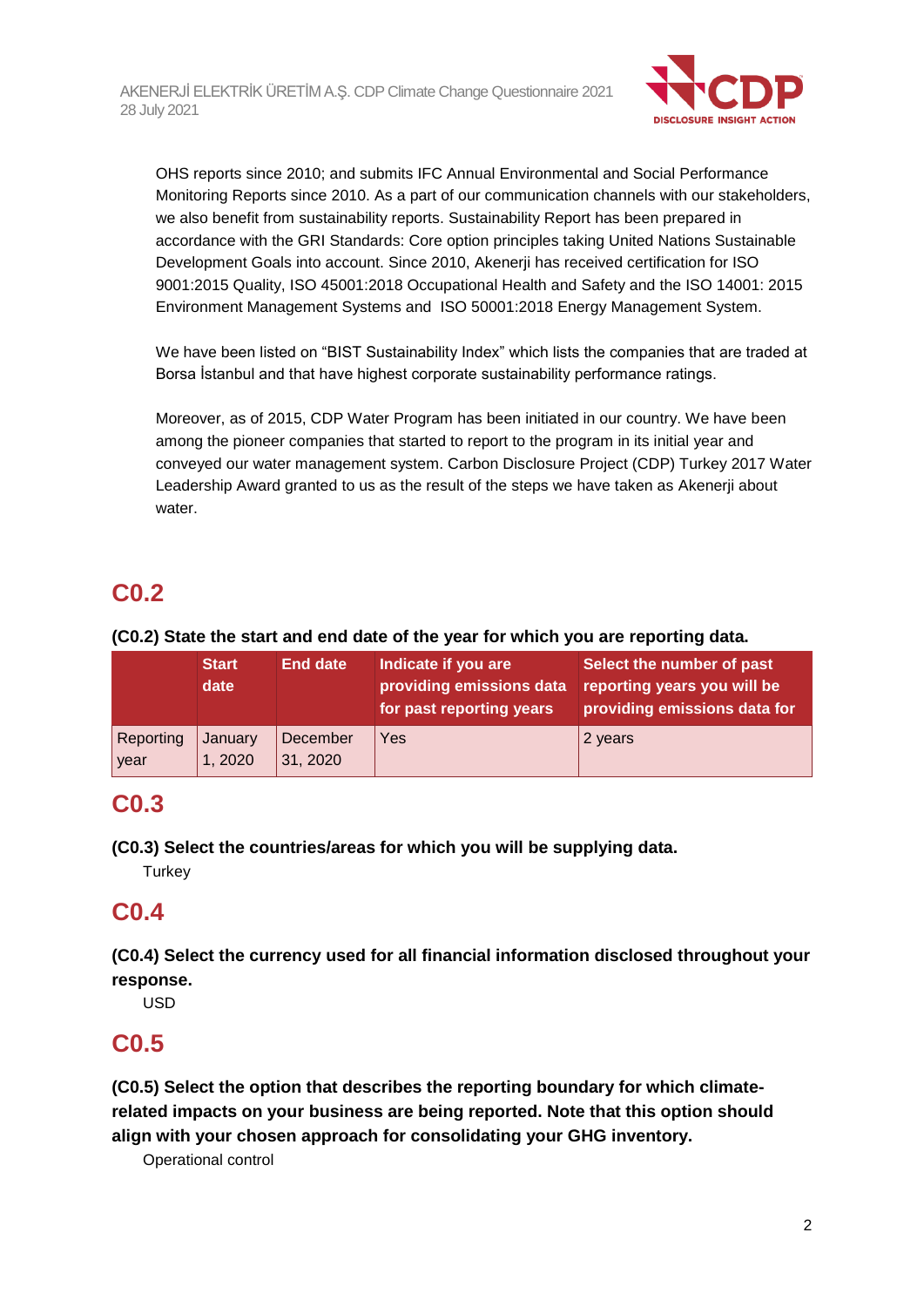

OHS reports since 2010; and submits IFC Annual Environmental and Social Performance Monitoring Reports since 2010. As a part of our communication channels with our stakeholders, we also benefit from sustainability reports. Sustainability Report has been prepared in accordance with the GRI Standards: Core option principles taking United Nations Sustainable Development Goals into account. Since 2010, Akenerji has received certification for ISO 9001:2015 Quality, ISO 45001:2018 Occupational Health and Safety and the ISO 14001: 2015 Environment Management Systems and ISO 50001:2018 Energy Management System.

We have been listed on "BIST Sustainability Index" which lists the companies that are traded at Borsa İstanbul and that have highest corporate sustainability performance ratings.

Moreover, as of 2015, CDP Water Program has been initiated in our country. We have been among the pioneer companies that started to report to the program in its initial year and conveyed our water management system. Carbon Disclosure Project (CDP) Turkey 2017 Water Leadership Award granted to us as the result of the steps we have taken as Akenerji about water.

# **C0.2**

### **(C0.2) State the start and end date of the year for which you are reporting data.**

|                   | <b>Start</b><br>date | End date             | Indicate if you are<br>providing emissions data<br>for past reporting years | Select the number of past<br>reporting years you will be<br>providing emissions data for |
|-------------------|----------------------|----------------------|-----------------------------------------------------------------------------|------------------------------------------------------------------------------------------|
| Reporting<br>year | January<br>1, 2020   | December<br>31, 2020 | Yes                                                                         | 2 years                                                                                  |

# **C0.3**

**(C0.3) Select the countries/areas for which you will be supplying data.**

**Turkey** 

# **C0.4**

**(C0.4) Select the currency used for all financial information disclosed throughout your response.**

USD

# **C0.5**

**(C0.5) Select the option that describes the reporting boundary for which climaterelated impacts on your business are being reported. Note that this option should align with your chosen approach for consolidating your GHG inventory.**

Operational control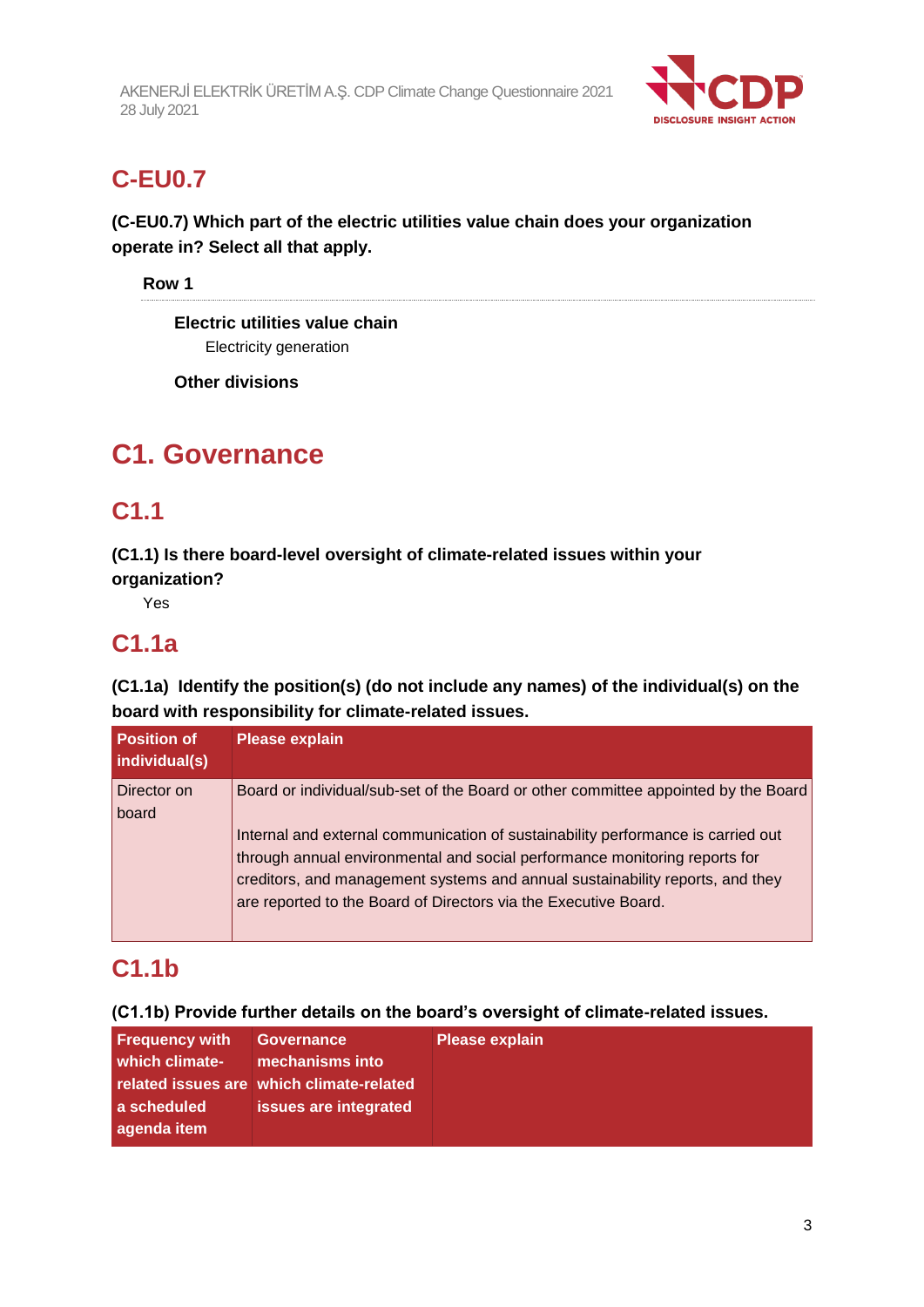

# **C-EU0.7**

### **(C-EU0.7) Which part of the electric utilities value chain does your organization operate in? Select all that apply.**

**Row 1**

**Electric utilities value chain** Electricity generation

**Other divisions**

# **C1. Governance**

# **C1.1**

**(C1.1) Is there board-level oversight of climate-related issues within your organization?**

Yes

# **C1.1a**

**(C1.1a) Identify the position(s) (do not include any names) of the individual(s) on the board with responsibility for climate-related issues.**

| <b>Position of</b><br>individual(s) | <b>Please explain</b>                                                                                                                                                                                                                                                                                              |
|-------------------------------------|--------------------------------------------------------------------------------------------------------------------------------------------------------------------------------------------------------------------------------------------------------------------------------------------------------------------|
| Director on<br>board                | Board or individual/sub-set of the Board or other committee appointed by the Board                                                                                                                                                                                                                                 |
|                                     | Internal and external communication of sustainability performance is carried out<br>through annual environmental and social performance monitoring reports for<br>creditors, and management systems and annual sustainability reports, and they<br>are reported to the Board of Directors via the Executive Board. |

# **C1.1b**

**(C1.1b) Provide further details on the board's oversight of climate-related issues.**

| <b>Frequency with</b> | <b>Governance</b>                        | <b>Please explain</b> |
|-----------------------|------------------------------------------|-----------------------|
| which climate-        | mechanisms into                          |                       |
|                       | related issues are which climate-related |                       |
| a scheduled           | issues are integrated                    |                       |
| agenda item           |                                          |                       |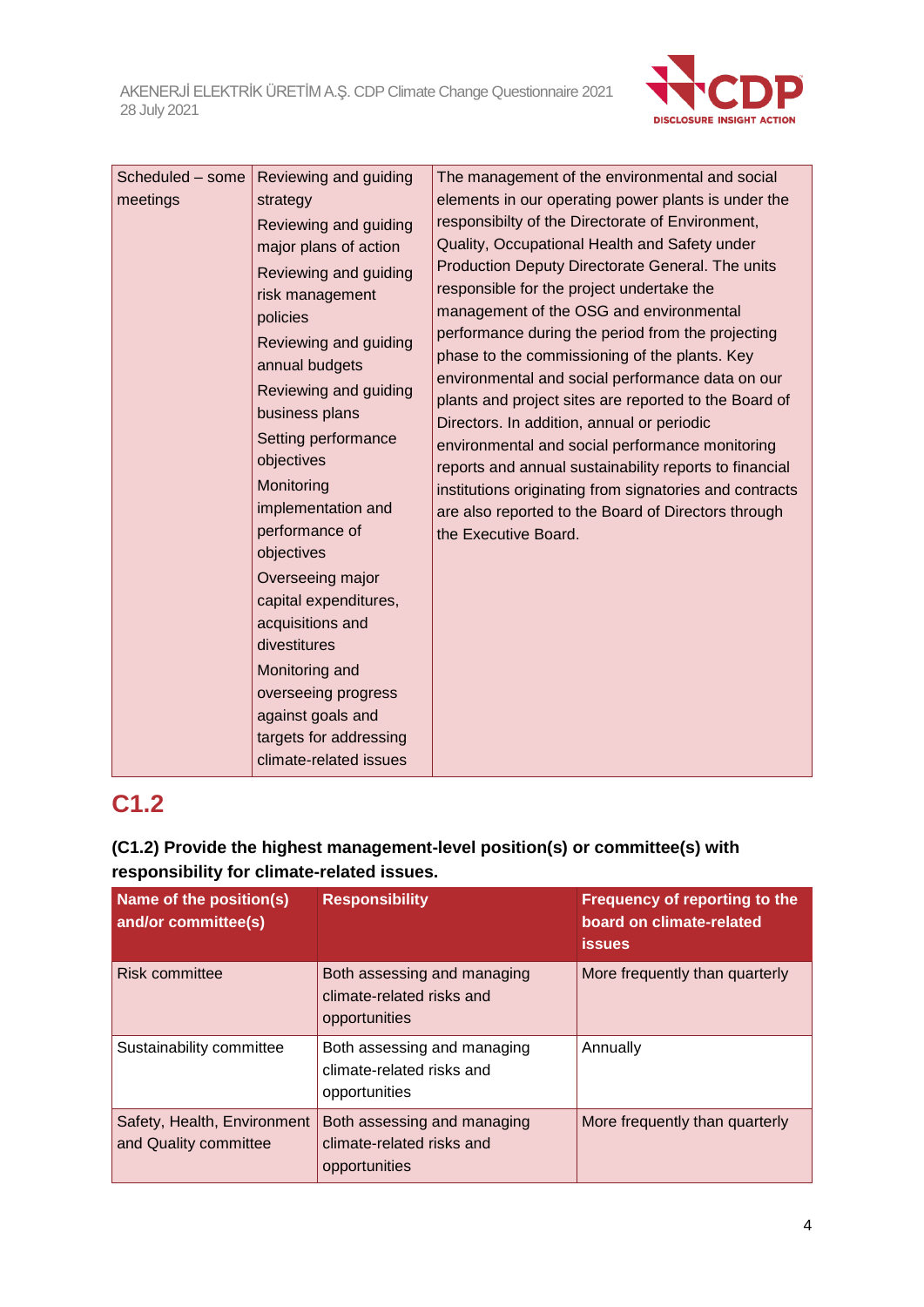

| Scheduled - some<br>meetings | Reviewing and guiding<br>strategy<br>Reviewing and guiding<br>major plans of action<br>Reviewing and guiding<br>risk management<br>policies<br>Reviewing and guiding<br>annual budgets<br>Reviewing and guiding<br>business plans<br>Setting performance<br>objectives<br>Monitoring<br>implementation and<br>performance of<br>objectives<br>Overseeing major<br>capital expenditures,<br>acquisitions and<br>divestitures<br>Monitoring and<br>overseeing progress<br>against goals and<br>targets for addressing<br>climate-related issues | The management of the environmental and social<br>elements in our operating power plants is under the<br>responsibilty of the Directorate of Environment,<br>Quality, Occupational Health and Safety under<br>Production Deputy Directorate General. The units<br>responsible for the project undertake the<br>management of the OSG and environmental<br>performance during the period from the projecting<br>phase to the commissioning of the plants. Key<br>environmental and social performance data on our<br>plants and project sites are reported to the Board of<br>Directors. In addition, annual or periodic<br>environmental and social performance monitoring<br>reports and annual sustainability reports to financial<br>institutions originating from signatories and contracts<br>are also reported to the Board of Directors through<br>the Executive Board. |
|------------------------------|-----------------------------------------------------------------------------------------------------------------------------------------------------------------------------------------------------------------------------------------------------------------------------------------------------------------------------------------------------------------------------------------------------------------------------------------------------------------------------------------------------------------------------------------------|--------------------------------------------------------------------------------------------------------------------------------------------------------------------------------------------------------------------------------------------------------------------------------------------------------------------------------------------------------------------------------------------------------------------------------------------------------------------------------------------------------------------------------------------------------------------------------------------------------------------------------------------------------------------------------------------------------------------------------------------------------------------------------------------------------------------------------------------------------------------------------|
|------------------------------|-----------------------------------------------------------------------------------------------------------------------------------------------------------------------------------------------------------------------------------------------------------------------------------------------------------------------------------------------------------------------------------------------------------------------------------------------------------------------------------------------------------------------------------------------|--------------------------------------------------------------------------------------------------------------------------------------------------------------------------------------------------------------------------------------------------------------------------------------------------------------------------------------------------------------------------------------------------------------------------------------------------------------------------------------------------------------------------------------------------------------------------------------------------------------------------------------------------------------------------------------------------------------------------------------------------------------------------------------------------------------------------------------------------------------------------------|

# **C1.2**

### **(C1.2) Provide the highest management-level position(s) or committee(s) with responsibility for climate-related issues.**

| <b>Name of the position(s)</b><br>and/or committee(s) | <b>Responsibility</b>                                                     | Frequency of reporting to the<br>board on climate-related<br><b>issues</b> |
|-------------------------------------------------------|---------------------------------------------------------------------------|----------------------------------------------------------------------------|
| Risk committee                                        | Both assessing and managing<br>climate-related risks and<br>opportunities | More frequently than quarterly                                             |
| Sustainability committee                              | Both assessing and managing<br>climate-related risks and<br>opportunities | Annually                                                                   |
| Safety, Health, Environment<br>and Quality committee  | Both assessing and managing<br>climate-related risks and<br>opportunities | More frequently than quarterly                                             |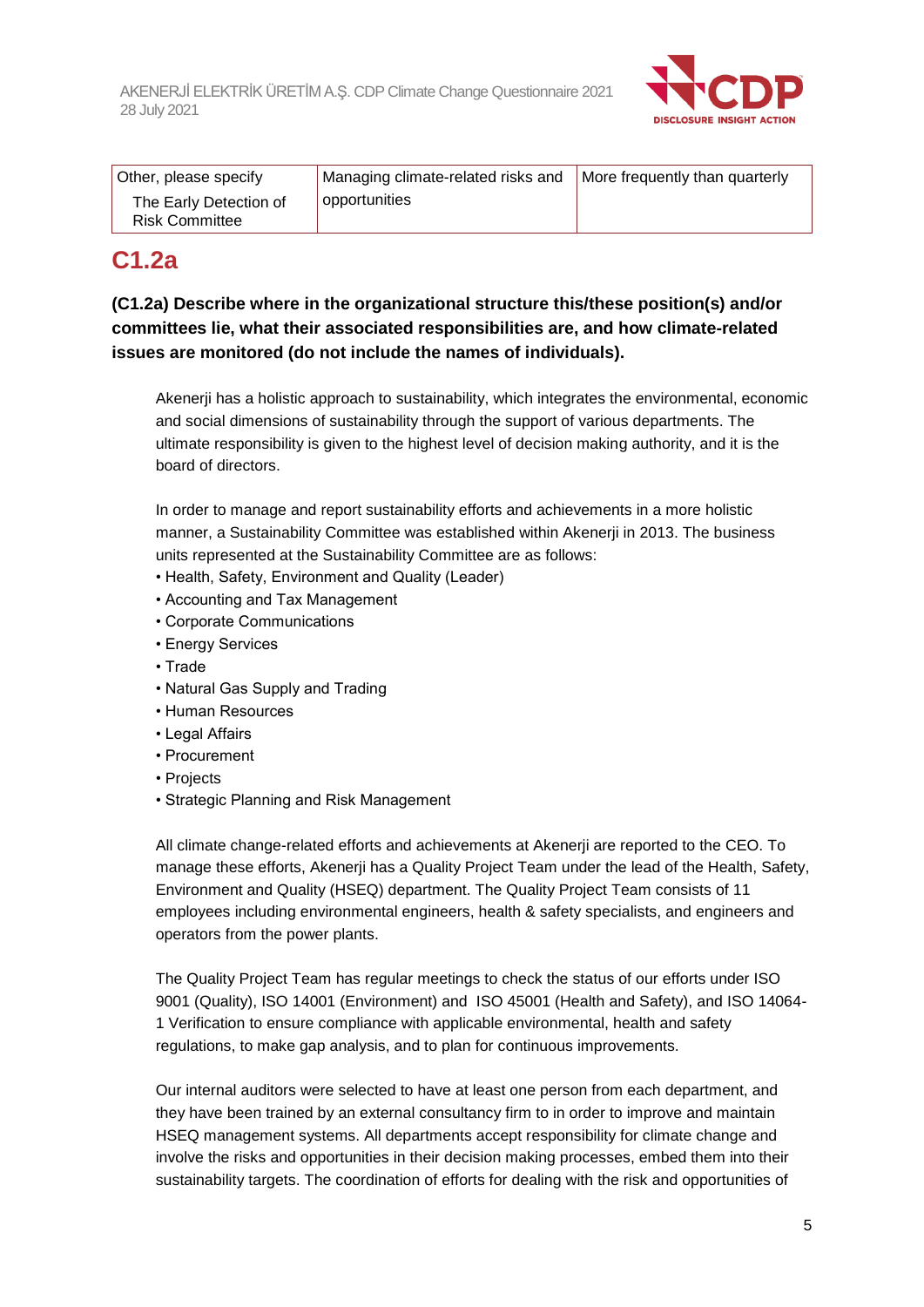

| Other, please specify                           | Managing climate-related risks and | More frequently than quarterly |
|-------------------------------------------------|------------------------------------|--------------------------------|
| The Early Detection of<br><b>Risk Committee</b> | opportunities                      |                                |

# **C1.2a**

### **(C1.2a) Describe where in the organizational structure this/these position(s) and/or committees lie, what their associated responsibilities are, and how climate-related issues are monitored (do not include the names of individuals).**

Akenerji has a holistic approach to sustainability, which integrates the environmental, economic and social dimensions of sustainability through the support of various departments. The ultimate responsibility is given to the highest level of decision making authority, and it is the board of directors.

In order to manage and report sustainability efforts and achievements in a more holistic manner, a Sustainability Committee was established within Akenerji in 2013. The business units represented at the Sustainability Committee are as follows:

- Health, Safety, Environment and Quality (Leader)
- Accounting and Tax Management
- Corporate Communications
- Energy Services
- Trade
- Natural Gas Supply and Trading
- Human Resources
- Legal Affairs
- Procurement
- Projects
- Strategic Planning and Risk Management

All climate change-related efforts and achievements at Akenerji are reported to the CEO. To manage these efforts, Akenerji has a Quality Project Team under the lead of the Health, Safety, Environment and Quality (HSEQ) department. The Quality Project Team consists of 11 employees including environmental engineers, health & safety specialists, and engineers and operators from the power plants.

The Quality Project Team has regular meetings to check the status of our efforts under ISO 9001 (Quality), ISO 14001 (Environment) and ISO 45001 (Health and Safety), and ISO 14064- 1 Verification to ensure compliance with applicable environmental, health and safety regulations, to make gap analysis, and to plan for continuous improvements.

Our internal auditors were selected to have at least one person from each department, and they have been trained by an external consultancy firm to in order to improve and maintain HSEQ management systems. All departments accept responsibility for climate change and involve the risks and opportunities in their decision making processes, embed them into their sustainability targets. The coordination of efforts for dealing with the risk and opportunities of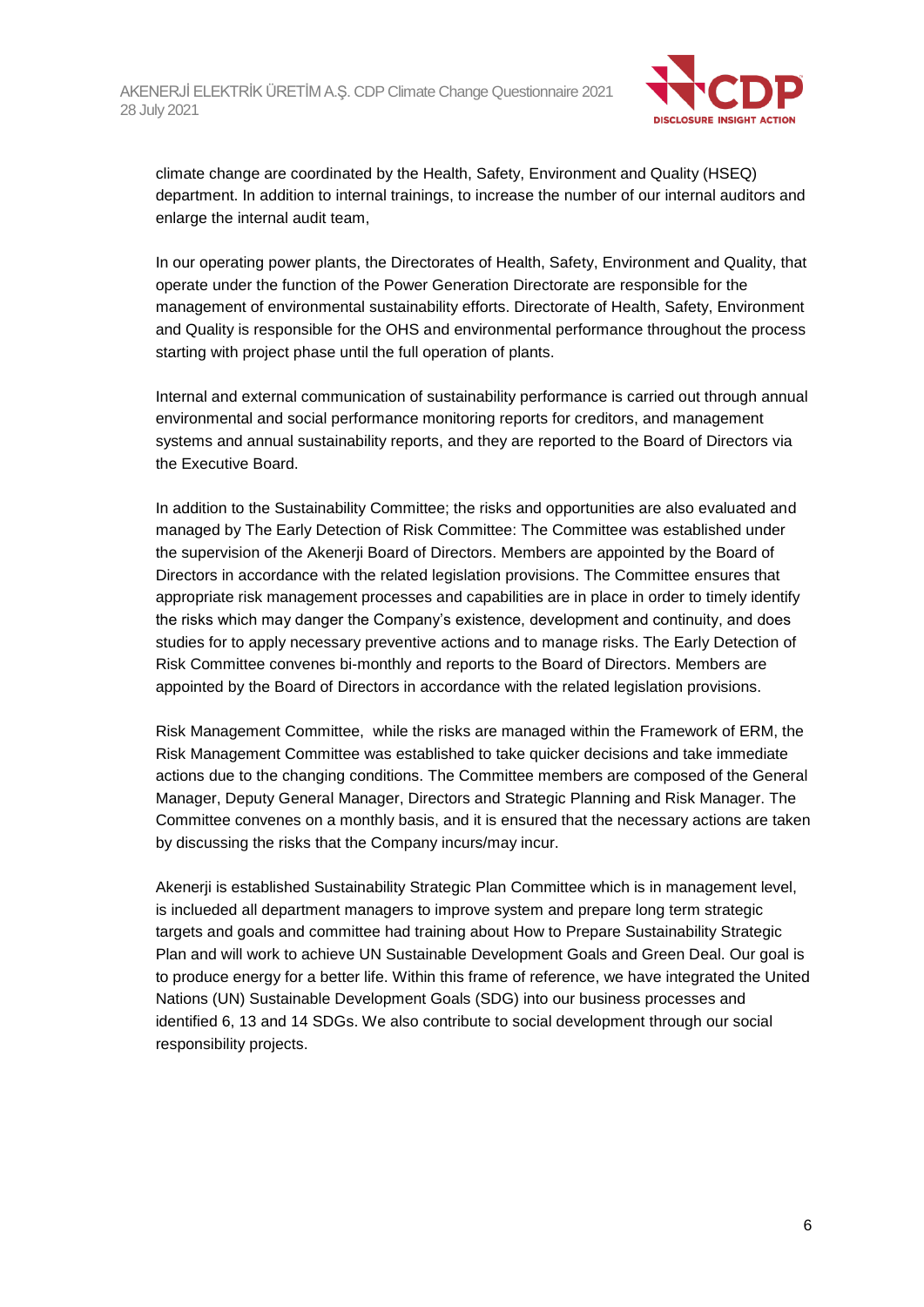

climate change are coordinated by the Health, Safety, Environment and Quality (HSEQ) department. In addition to internal trainings, to increase the number of our internal auditors and enlarge the internal audit team,

In our operating power plants, the Directorates of Health, Safety, Environment and Quality, that operate under the function of the Power Generation Directorate are responsible for the management of environmental sustainability efforts. Directorate of Health, Safety, Environment and Quality is responsible for the OHS and environmental performance throughout the process starting with project phase until the full operation of plants.

Internal and external communication of sustainability performance is carried out through annual environmental and social performance monitoring reports for creditors, and management systems and annual sustainability reports, and they are reported to the Board of Directors via the Executive Board.

In addition to the Sustainability Committee; the risks and opportunities are also evaluated and managed by The Early Detection of Risk Committee: The Committee was established under the supervision of the Akenerji Board of Directors. Members are appointed by the Board of Directors in accordance with the related legislation provisions. The Committee ensures that appropriate risk management processes and capabilities are in place in order to timely identify the risks which may danger the Company's existence, development and continuity, and does studies for to apply necessary preventive actions and to manage risks. The Early Detection of Risk Committee convenes bi-monthly and reports to the Board of Directors. Members are appointed by the Board of Directors in accordance with the related legislation provisions.

Risk Management Committee, while the risks are managed within the Framework of ERM, the Risk Management Committee was established to take quicker decisions and take immediate actions due to the changing conditions. The Committee members are composed of the General Manager, Deputy General Manager, Directors and Strategic Planning and Risk Manager. The Committee convenes on a monthly basis, and it is ensured that the necessary actions are taken by discussing the risks that the Company incurs/may incur.

Akenerji is established Sustainability Strategic Plan Committee which is in management level, is inclueded all department managers to improve system and prepare long term strategic targets and goals and committee had training about How to Prepare Sustainability Strategic Plan and will work to achieve UN Sustainable Development Goals and Green Deal. Our goal is to produce energy for a better life. Within this frame of reference, we have integrated the United Nations (UN) Sustainable Development Goals (SDG) into our business processes and identified 6, 13 and 14 SDGs. We also contribute to social development through our social responsibility projects.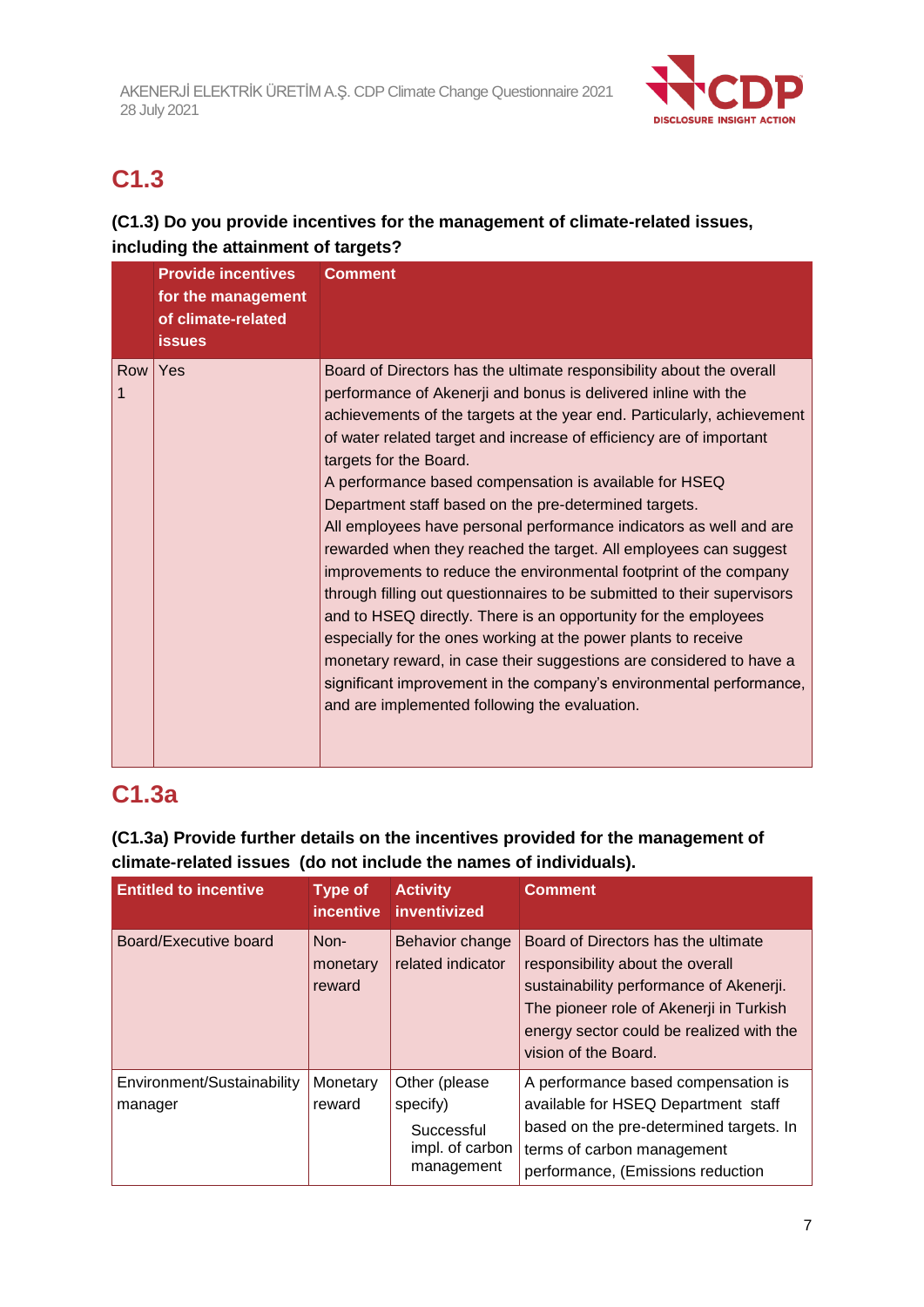

# **C1.3**

### **(C1.3) Do you provide incentives for the management of climate-related issues, including the attainment of targets?**

|          | <b>Provide incentives</b><br>for the management<br>of climate-related<br><b>issues</b> | <b>Comment</b>                                                                                                                                                                                                                                                                                                                                                                                                                                                                                                                                                                                                                                                                                                                                                                                                                                                                                                                                                                                                                                                     |
|----------|----------------------------------------------------------------------------------------|--------------------------------------------------------------------------------------------------------------------------------------------------------------------------------------------------------------------------------------------------------------------------------------------------------------------------------------------------------------------------------------------------------------------------------------------------------------------------------------------------------------------------------------------------------------------------------------------------------------------------------------------------------------------------------------------------------------------------------------------------------------------------------------------------------------------------------------------------------------------------------------------------------------------------------------------------------------------------------------------------------------------------------------------------------------------|
| Row<br>1 | Yes                                                                                    | Board of Directors has the ultimate responsibility about the overall<br>performance of Akenerji and bonus is delivered inline with the<br>achievements of the targets at the year end. Particularly, achievement<br>of water related target and increase of efficiency are of important<br>targets for the Board.<br>A performance based compensation is available for HSEQ<br>Department staff based on the pre-determined targets.<br>All employees have personal performance indicators as well and are<br>rewarded when they reached the target. All employees can suggest<br>improvements to reduce the environmental footprint of the company<br>through filling out questionnaires to be submitted to their supervisors<br>and to HSEQ directly. There is an opportunity for the employees<br>especially for the ones working at the power plants to receive<br>monetary reward, in case their suggestions are considered to have a<br>significant improvement in the company's environmental performance,<br>and are implemented following the evaluation. |

# **C1.3a**

### **(C1.3a) Provide further details on the incentives provided for the management of climate-related issues (do not include the names of individuals).**

| <b>Entitled to incentive</b>          | <b>Type of</b><br><i>incentive</i> | <b>Activity</b><br>inventivized                                          | <b>Comment</b>                                                                                                                                                                                                                    |
|---------------------------------------|------------------------------------|--------------------------------------------------------------------------|-----------------------------------------------------------------------------------------------------------------------------------------------------------------------------------------------------------------------------------|
| Board/Executive board                 | Non-<br>monetary<br>reward         | Behavior change<br>related indicator                                     | Board of Directors has the ultimate<br>responsibility about the overall<br>sustainability performance of Akenerji.<br>The pioneer role of Akenerji in Turkish<br>energy sector could be realized with the<br>vision of the Board. |
| Environment/Sustainability<br>manager | Monetary<br>reward                 | Other (please<br>specify)<br>Successful<br>impl. of carbon<br>management | A performance based compensation is<br>available for HSEQ Department staff<br>based on the pre-determined targets. In<br>terms of carbon management<br>performance, (Emissions reduction                                          |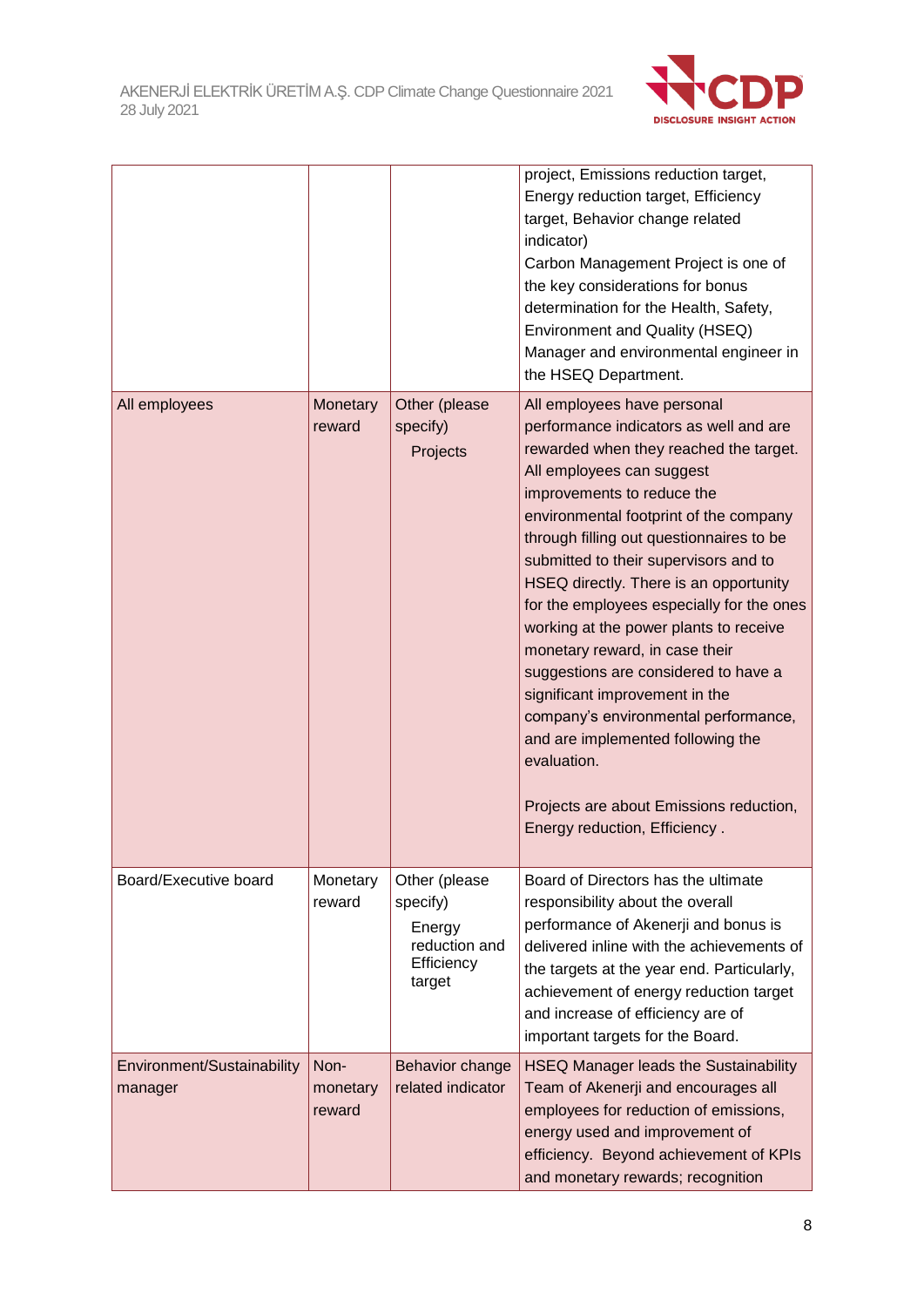

|                                       |                            |                                                                              | project, Emissions reduction target,<br>Energy reduction target, Efficiency<br>target, Behavior change related<br>indicator)<br>Carbon Management Project is one of<br>the key considerations for bonus<br>determination for the Health, Safety,<br>Environment and Quality (HSEQ)<br>Manager and environmental engineer in<br>the HSEQ Department.                                                                                                                                                                                                                                                                                                                                                                            |
|---------------------------------------|----------------------------|------------------------------------------------------------------------------|--------------------------------------------------------------------------------------------------------------------------------------------------------------------------------------------------------------------------------------------------------------------------------------------------------------------------------------------------------------------------------------------------------------------------------------------------------------------------------------------------------------------------------------------------------------------------------------------------------------------------------------------------------------------------------------------------------------------------------|
| All employees                         | Monetary<br>reward         | Other (please<br>specify)<br>Projects                                        | All employees have personal<br>performance indicators as well and are<br>rewarded when they reached the target.<br>All employees can suggest<br>improvements to reduce the<br>environmental footprint of the company<br>through filling out questionnaires to be<br>submitted to their supervisors and to<br>HSEQ directly. There is an opportunity<br>for the employees especially for the ones<br>working at the power plants to receive<br>monetary reward, in case their<br>suggestions are considered to have a<br>significant improvement in the<br>company's environmental performance,<br>and are implemented following the<br>evaluation.<br>Projects are about Emissions reduction,<br>Energy reduction, Efficiency. |
| Board/Executive board                 | Monetary<br>reward         | Other (please<br>specify)<br>Energy<br>reduction and<br>Efficiency<br>target | Board of Directors has the ultimate<br>responsibility about the overall<br>performance of Akenerji and bonus is<br>delivered inline with the achievements of<br>the targets at the year end. Particularly,<br>achievement of energy reduction target<br>and increase of efficiency are of<br>important targets for the Board.                                                                                                                                                                                                                                                                                                                                                                                                  |
| Environment/Sustainability<br>manager | Non-<br>monetary<br>reward | Behavior change<br>related indicator                                         | <b>HSEQ Manager leads the Sustainability</b><br>Team of Akenerji and encourages all<br>employees for reduction of emissions,<br>energy used and improvement of<br>efficiency. Beyond achievement of KPIs<br>and monetary rewards; recognition                                                                                                                                                                                                                                                                                                                                                                                                                                                                                  |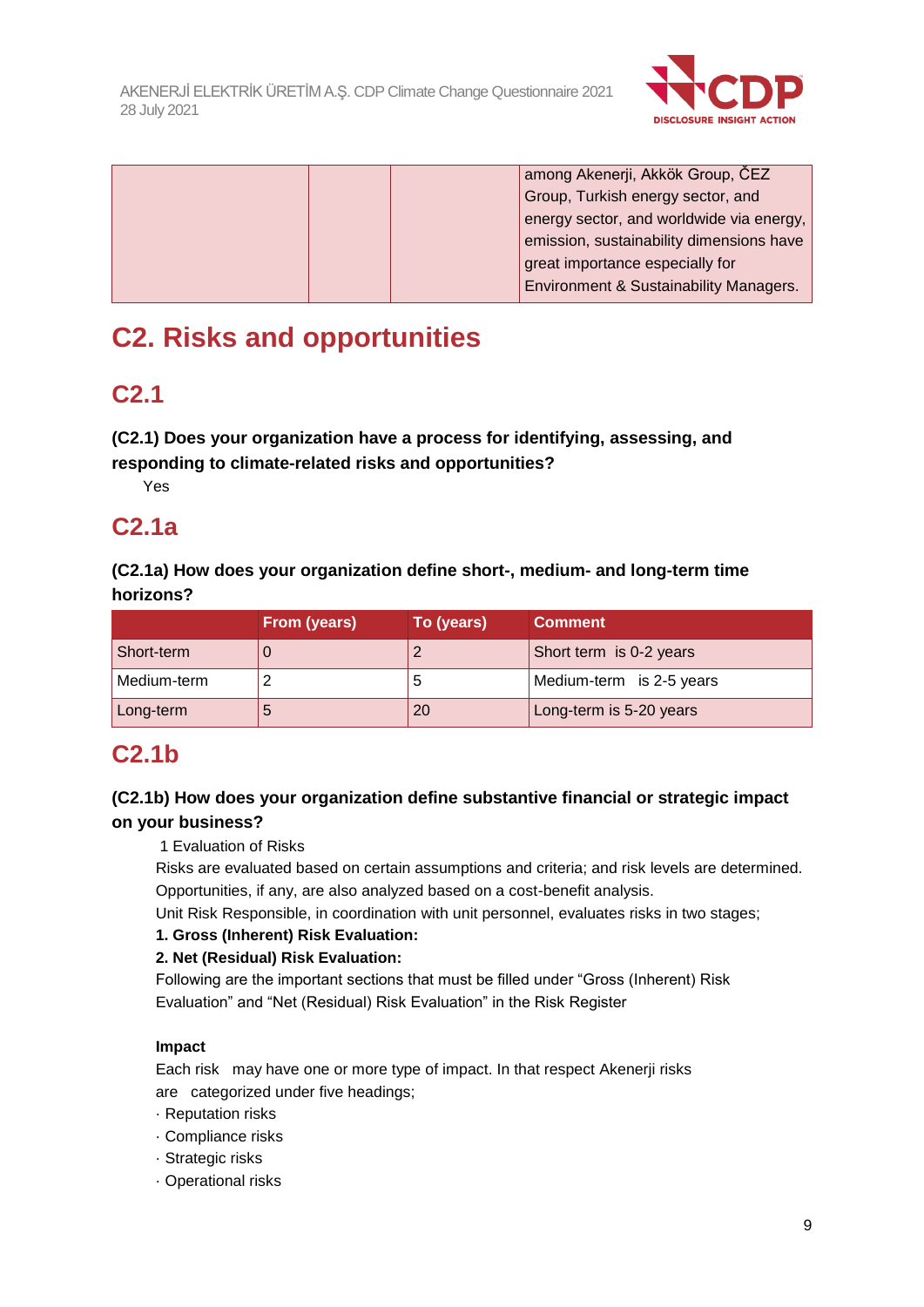

|  | among Akenerji, Akkök Group, ČEZ         |
|--|------------------------------------------|
|  | Group, Turkish energy sector, and        |
|  | energy sector, and worldwide via energy, |
|  | emission, sustainability dimensions have |
|  | great importance especially for          |
|  | Environment & Sustainability Managers.   |

# **C2. Risks and opportunities**

# **C2.1**

### **(C2.1) Does your organization have a process for identifying, assessing, and responding to climate-related risks and opportunities?**

Yes

# **C2.1a**

### **(C2.1a) How does your organization define short-, medium- and long-term time horizons?**

|             | From (years) | To (years) | <b>Comment</b>           |
|-------------|--------------|------------|--------------------------|
| Short-term  | U            |            | Short term is 0-2 years  |
| Medium-term |              | э          | Medium-term is 2-5 years |
| Long-term   | đ            | 20         | Long-term is 5-20 years  |

# **C2.1b**

### **(C2.1b) How does your organization define substantive financial or strategic impact on your business?**

1 Evaluation of Risks

Risks are evaluated based on certain assumptions and criteria; and risk levels are determined. Opportunities, if any, are also analyzed based on a cost-benefit analysis.

Unit Risk Responsible, in coordination with unit personnel, evaluates risks in two stages;

### **1. Gross (Inherent) Risk Evaluation:**

### **2. Net (Residual) Risk Evaluation:**

Following are the important sections that must be filled under "Gross (Inherent) Risk Evaluation" and "Net (Residual) Risk Evaluation" in the Risk Register

### **Impact**

Each risk may have one or more type of impact. In that respect Akenerji risks are categorized under five headings;

- · Reputation risks
- · Compliance risks
- · Strategic risks
- · Operational risks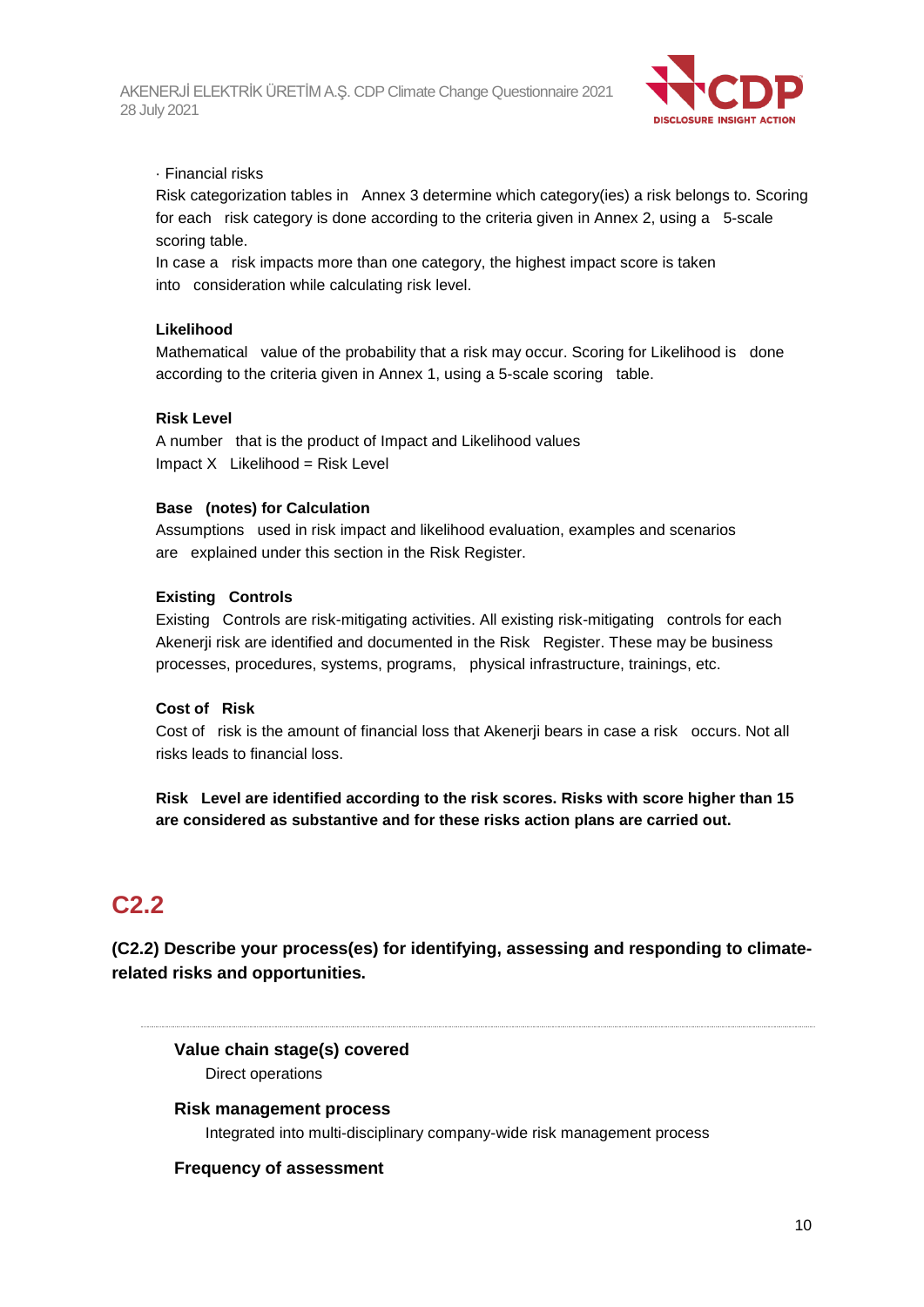

#### · Financial risks

Risk categorization tables in Annex 3 determine which category(ies) a risk belongs to. Scoring for each risk category is done according to the criteria given in Annex 2, using a 5-scale scoring table.

In case a risk impacts more than one category, the highest impact score is taken into consideration while calculating risk level.

#### **Likelihood**

Mathematical value of the probability that a risk may occur. Scoring for Likelihood is done according to the criteria given in Annex 1, using a 5-scale scoring table.

#### **Risk Level**

A number that is the product of Impact and Likelihood values  $Impact X$  Likelihood = Risk Level

#### **Base (notes) for Calculation**

Assumptions used in risk impact and likelihood evaluation, examples and scenarios are explained under this section in the Risk Register.

#### **Existing Controls**

Existing Controls are risk-mitigating activities. All existing risk-mitigating controls for each Akenerji risk are identified and documented in the Risk Register. These may be business processes, procedures, systems, programs, physical infrastructure, trainings, etc.

#### **Cost of Risk**

Cost of risk is the amount of financial loss that Akenerji bears in case a risk occurs. Not all risks leads to financial loss.

**Risk Level are identified according to the risk scores. Risks with score higher than 15 are considered as substantive and for these risks action plans are carried out.**

# **C2.2**

**(C2.2) Describe your process(es) for identifying, assessing and responding to climaterelated risks and opportunities.**

**Value chain stage(s) covered** Direct operations

**Risk management process** Integrated into multi-disciplinary company-wide risk management process

#### **Frequency of assessment**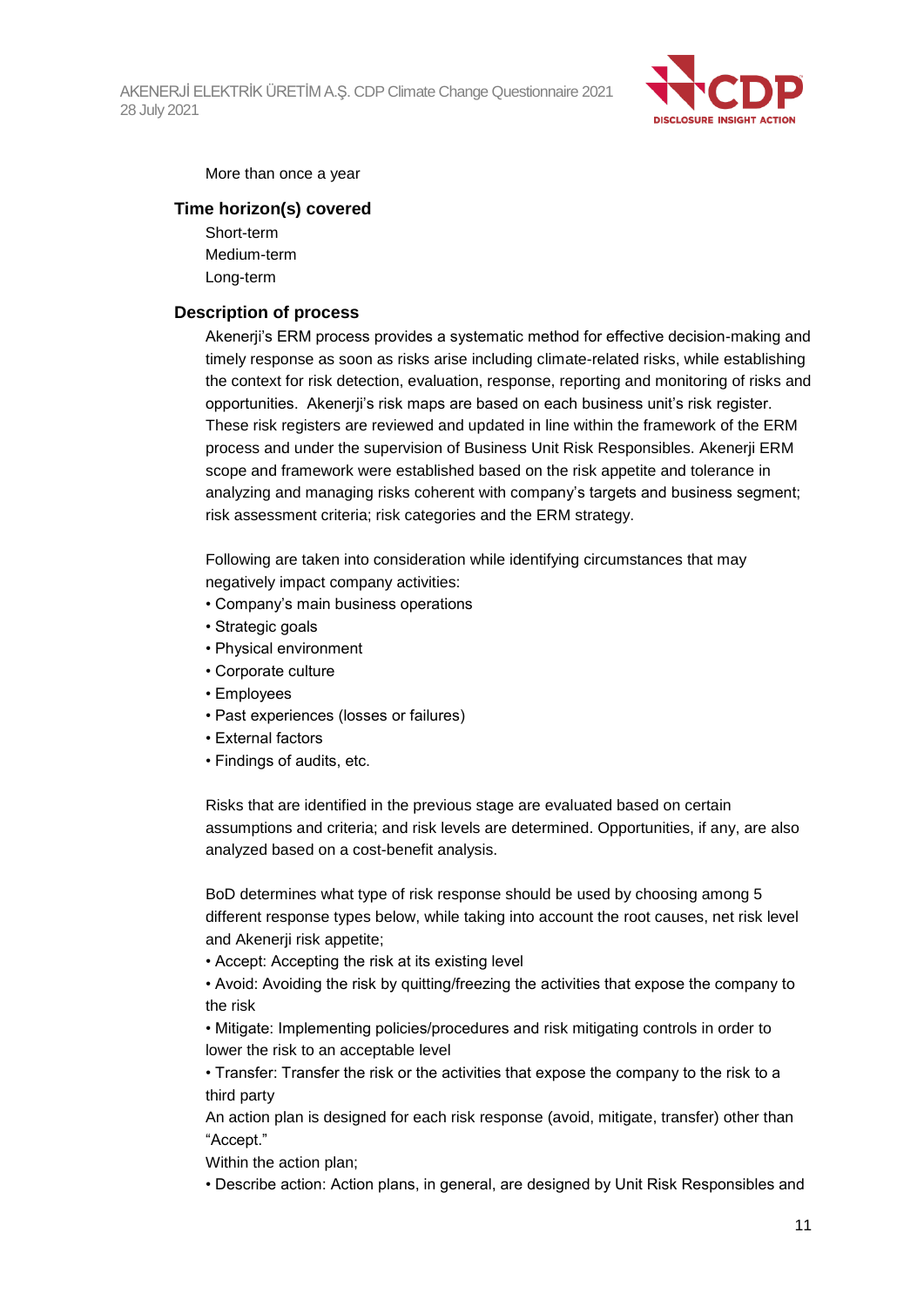

More than once a year

#### **Time horizon(s) covered**

Short-term Medium-term Long-term

#### **Description of process**

Akenerji's ERM process provides a systematic method for effective decision-making and timely response as soon as risks arise including climate-related risks, while establishing the context for risk detection, evaluation, response, reporting and monitoring of risks and opportunities. Akenerji's risk maps are based on each business unit's risk register. These risk registers are reviewed and updated in line within the framework of the ERM process and under the supervision of Business Unit Risk Responsibles. Akenerji ERM scope and framework were established based on the risk appetite and tolerance in analyzing and managing risks coherent with company's targets and business segment; risk assessment criteria; risk categories and the ERM strategy.

Following are taken into consideration while identifying circumstances that may negatively impact company activities:

- Company's main business operations
- Strategic goals
- Physical environment
- Corporate culture
- Employees
- Past experiences (losses or failures)
- External factors
- Findings of audits, etc.

Risks that are identified in the previous stage are evaluated based on certain assumptions and criteria; and risk levels are determined. Opportunities, if any, are also analyzed based on a cost-benefit analysis.

BoD determines what type of risk response should be used by choosing among 5 different response types below, while taking into account the root causes, net risk level and Akenerji risk appetite;

• Accept: Accepting the risk at its existing level

• Avoid: Avoiding the risk by quitting/freezing the activities that expose the company to the risk

• Mitigate: Implementing policies/procedures and risk mitigating controls in order to lower the risk to an acceptable level

• Transfer: Transfer the risk or the activities that expose the company to the risk to a third party

An action plan is designed for each risk response (avoid, mitigate, transfer) other than "Accept."

Within the action plan;

• Describe action: Action plans, in general, are designed by Unit Risk Responsibles and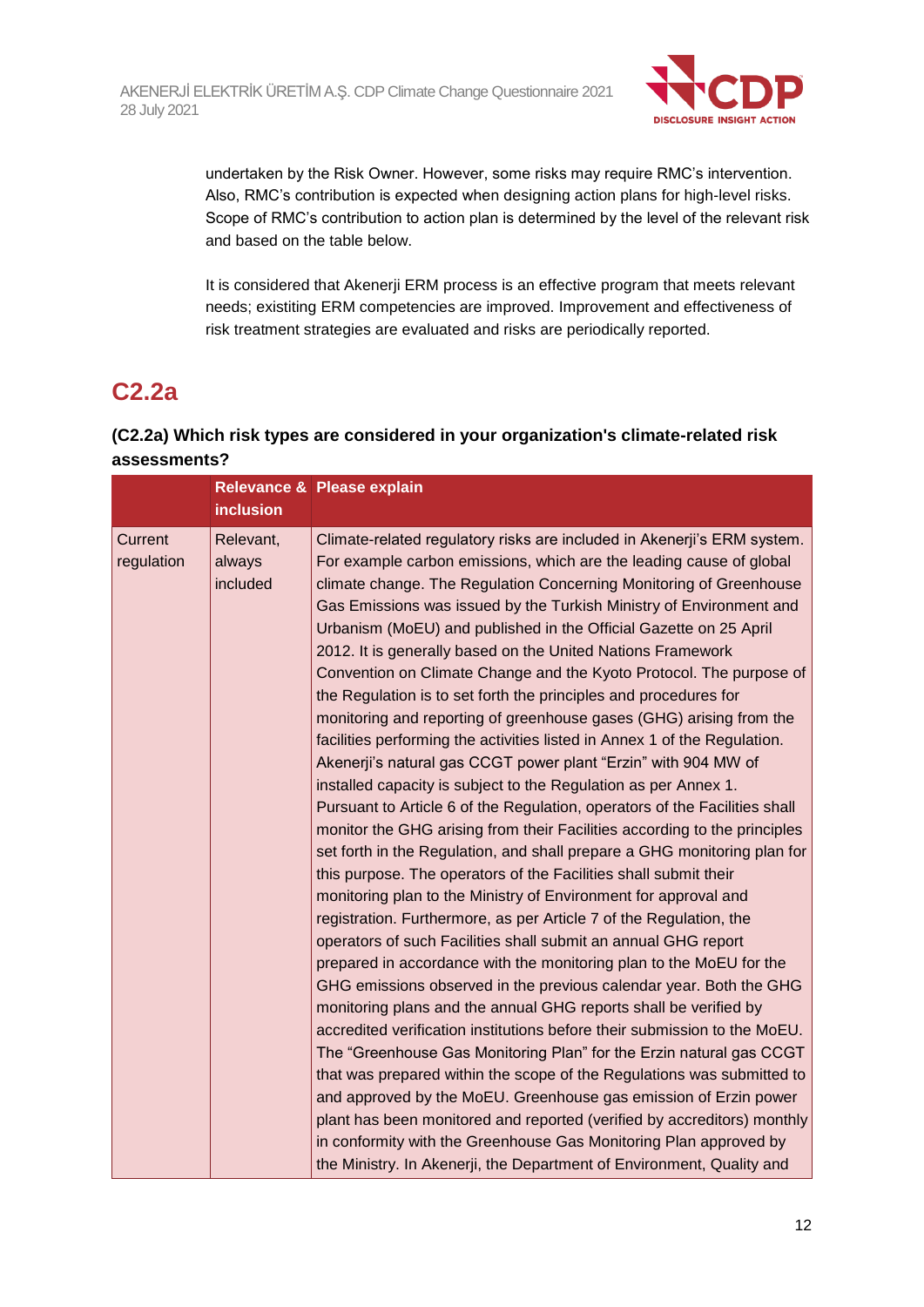

undertaken by the Risk Owner. However, some risks may require RMC's intervention. Also, RMC's contribution is expected when designing action plans for high-level risks. Scope of RMC's contribution to action plan is determined by the level of the relevant risk and based on the table below.

It is considered that Akenerji ERM process is an effective program that meets relevant needs; existiting ERM competencies are improved. Improvement and effectiveness of risk treatment strategies are evaluated and risks are periodically reported.

# **C2.2a**

### **(C2.2a) Which risk types are considered in your organization's climate-related risk assessments?**

|                       |                                 | Relevance & Please explain                                                                                                                                                                                                                                                                                                                                                                                                                                                                                                                                                                                                                                                                                                                                                                                                                                                                                                                                                                                                                                                                                                                                                                                                                                                                                                                                                                                                                                                                                                                                                                                                                                                                                                                                                                                                                                                                                                                                                                                                                                                                                                            |
|-----------------------|---------------------------------|---------------------------------------------------------------------------------------------------------------------------------------------------------------------------------------------------------------------------------------------------------------------------------------------------------------------------------------------------------------------------------------------------------------------------------------------------------------------------------------------------------------------------------------------------------------------------------------------------------------------------------------------------------------------------------------------------------------------------------------------------------------------------------------------------------------------------------------------------------------------------------------------------------------------------------------------------------------------------------------------------------------------------------------------------------------------------------------------------------------------------------------------------------------------------------------------------------------------------------------------------------------------------------------------------------------------------------------------------------------------------------------------------------------------------------------------------------------------------------------------------------------------------------------------------------------------------------------------------------------------------------------------------------------------------------------------------------------------------------------------------------------------------------------------------------------------------------------------------------------------------------------------------------------------------------------------------------------------------------------------------------------------------------------------------------------------------------------------------------------------------------------|
|                       | <b>inclusion</b>                |                                                                                                                                                                                                                                                                                                                                                                                                                                                                                                                                                                                                                                                                                                                                                                                                                                                                                                                                                                                                                                                                                                                                                                                                                                                                                                                                                                                                                                                                                                                                                                                                                                                                                                                                                                                                                                                                                                                                                                                                                                                                                                                                       |
| Current<br>regulation | Relevant,<br>always<br>included | Climate-related regulatory risks are included in Akenerji's ERM system.<br>For example carbon emissions, which are the leading cause of global<br>climate change. The Regulation Concerning Monitoring of Greenhouse<br>Gas Emissions was issued by the Turkish Ministry of Environment and<br>Urbanism (MoEU) and published in the Official Gazette on 25 April<br>2012. It is generally based on the United Nations Framework<br>Convention on Climate Change and the Kyoto Protocol. The purpose of<br>the Regulation is to set forth the principles and procedures for<br>monitoring and reporting of greenhouse gases (GHG) arising from the<br>facilities performing the activities listed in Annex 1 of the Regulation.<br>Akenerji's natural gas CCGT power plant "Erzin" with 904 MW of<br>installed capacity is subject to the Regulation as per Annex 1.<br>Pursuant to Article 6 of the Regulation, operators of the Facilities shall<br>monitor the GHG arising from their Facilities according to the principles<br>set forth in the Regulation, and shall prepare a GHG monitoring plan for<br>this purpose. The operators of the Facilities shall submit their<br>monitoring plan to the Ministry of Environment for approval and<br>registration. Furthermore, as per Article 7 of the Regulation, the<br>operators of such Facilities shall submit an annual GHG report<br>prepared in accordance with the monitoring plan to the MoEU for the<br>GHG emissions observed in the previous calendar year. Both the GHG<br>monitoring plans and the annual GHG reports shall be verified by<br>accredited verification institutions before their submission to the MoEU.<br>The "Greenhouse Gas Monitoring Plan" for the Erzin natural gas CCGT<br>that was prepared within the scope of the Regulations was submitted to<br>and approved by the MoEU. Greenhouse gas emission of Erzin power<br>plant has been monitored and reported (verified by accreditors) monthly<br>in conformity with the Greenhouse Gas Monitoring Plan approved by<br>the Ministry. In Akenerji, the Department of Environment, Quality and |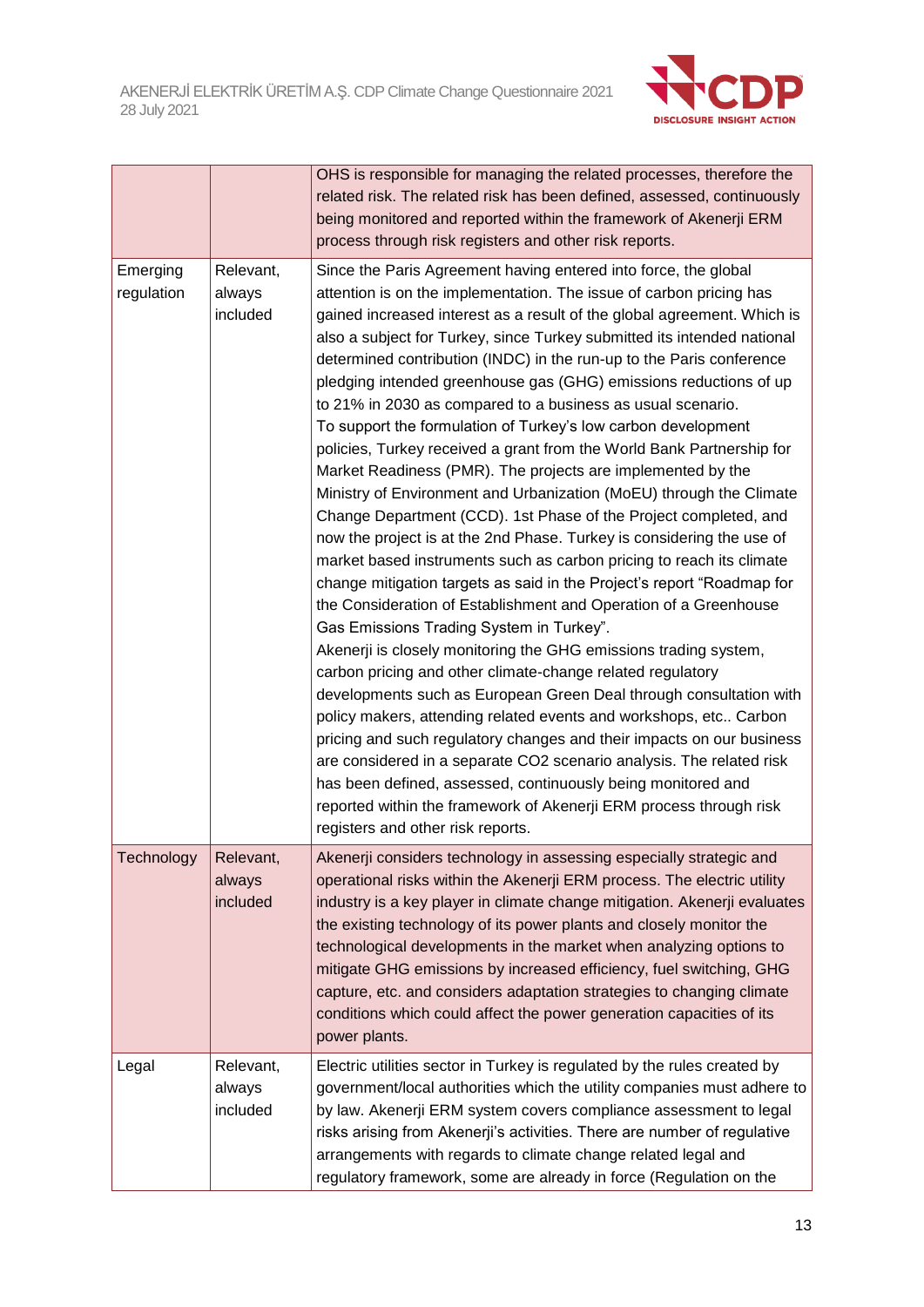

|                        |                                 | OHS is responsible for managing the related processes, therefore the<br>related risk. The related risk has been defined, assessed, continuously<br>being monitored and reported within the framework of Akenerji ERM<br>process through risk registers and other risk reports.                                                                                                                                                                                                                                                                                                                                                                                                                                                                                                                                                                                                                                                                                                                                                                                                                                                                                                                                                                                                                                                                                                                                                                                                                                                                                                                                                                                                                                                                                                                                   |
|------------------------|---------------------------------|------------------------------------------------------------------------------------------------------------------------------------------------------------------------------------------------------------------------------------------------------------------------------------------------------------------------------------------------------------------------------------------------------------------------------------------------------------------------------------------------------------------------------------------------------------------------------------------------------------------------------------------------------------------------------------------------------------------------------------------------------------------------------------------------------------------------------------------------------------------------------------------------------------------------------------------------------------------------------------------------------------------------------------------------------------------------------------------------------------------------------------------------------------------------------------------------------------------------------------------------------------------------------------------------------------------------------------------------------------------------------------------------------------------------------------------------------------------------------------------------------------------------------------------------------------------------------------------------------------------------------------------------------------------------------------------------------------------------------------------------------------------------------------------------------------------|
| Emerging<br>regulation | Relevant,<br>always<br>included | Since the Paris Agreement having entered into force, the global<br>attention is on the implementation. The issue of carbon pricing has<br>gained increased interest as a result of the global agreement. Which is<br>also a subject for Turkey, since Turkey submitted its intended national<br>determined contribution (INDC) in the run-up to the Paris conference<br>pledging intended greenhouse gas (GHG) emissions reductions of up<br>to 21% in 2030 as compared to a business as usual scenario.<br>To support the formulation of Turkey's low carbon development<br>policies, Turkey received a grant from the World Bank Partnership for<br>Market Readiness (PMR). The projects are implemented by the<br>Ministry of Environment and Urbanization (MoEU) through the Climate<br>Change Department (CCD). 1st Phase of the Project completed, and<br>now the project is at the 2nd Phase. Turkey is considering the use of<br>market based instruments such as carbon pricing to reach its climate<br>change mitigation targets as said in the Project's report "Roadmap for<br>the Consideration of Establishment and Operation of a Greenhouse<br>Gas Emissions Trading System in Turkey".<br>Akenerji is closely monitoring the GHG emissions trading system,<br>carbon pricing and other climate-change related regulatory<br>developments such as European Green Deal through consultation with<br>policy makers, attending related events and workshops, etc Carbon<br>pricing and such regulatory changes and their impacts on our business<br>are considered in a separate CO2 scenario analysis. The related risk<br>has been defined, assessed, continuously being monitored and<br>reported within the framework of Akenerji ERM process through risk<br>registers and other risk reports. |
| Technology             | Relevant,<br>always<br>included | Akenerji considers technology in assessing especially strategic and<br>operational risks within the Akenerji ERM process. The electric utility<br>industry is a key player in climate change mitigation. Akenerji evaluates<br>the existing technology of its power plants and closely monitor the<br>technological developments in the market when analyzing options to<br>mitigate GHG emissions by increased efficiency, fuel switching, GHG<br>capture, etc. and considers adaptation strategies to changing climate<br>conditions which could affect the power generation capacities of its<br>power plants.                                                                                                                                                                                                                                                                                                                                                                                                                                                                                                                                                                                                                                                                                                                                                                                                                                                                                                                                                                                                                                                                                                                                                                                                |
| Legal                  | Relevant,<br>always<br>included | Electric utilities sector in Turkey is regulated by the rules created by<br>government/local authorities which the utility companies must adhere to<br>by law. Akenerji ERM system covers compliance assessment to legal<br>risks arising from Akenerji's activities. There are number of regulative<br>arrangements with regards to climate change related legal and<br>regulatory framework, some are already in force (Regulation on the                                                                                                                                                                                                                                                                                                                                                                                                                                                                                                                                                                                                                                                                                                                                                                                                                                                                                                                                                                                                                                                                                                                                                                                                                                                                                                                                                                      |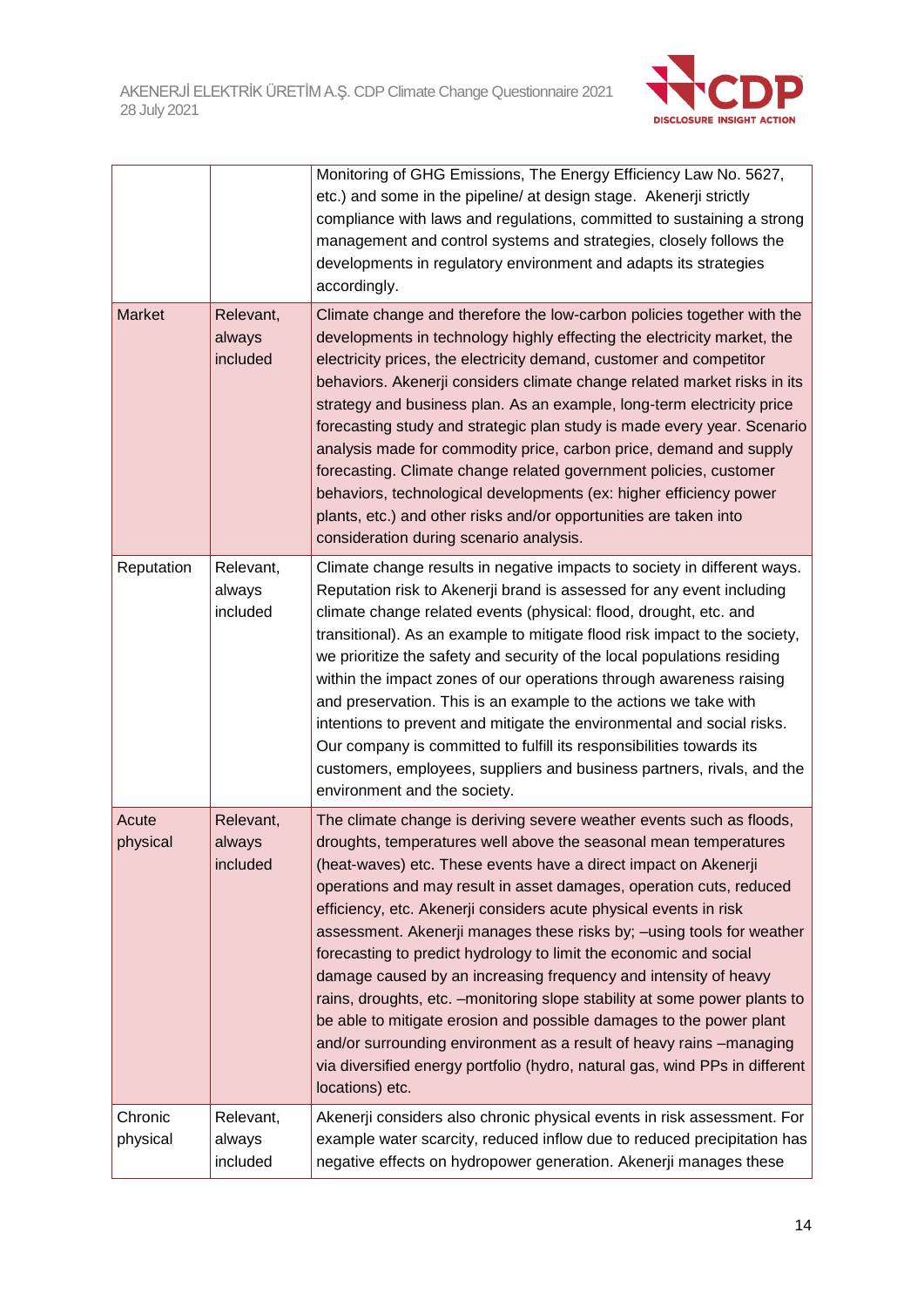

|                     |                                 | Monitoring of GHG Emissions, The Energy Efficiency Law No. 5627,<br>etc.) and some in the pipeline/ at design stage. Akenerji strictly<br>compliance with laws and regulations, committed to sustaining a strong<br>management and control systems and strategies, closely follows the<br>developments in regulatory environment and adapts its strategies<br>accordingly.                                                                                                                                                                                                                                                                                                                                                                                                                                                                                                                              |  |  |
|---------------------|---------------------------------|---------------------------------------------------------------------------------------------------------------------------------------------------------------------------------------------------------------------------------------------------------------------------------------------------------------------------------------------------------------------------------------------------------------------------------------------------------------------------------------------------------------------------------------------------------------------------------------------------------------------------------------------------------------------------------------------------------------------------------------------------------------------------------------------------------------------------------------------------------------------------------------------------------|--|--|
| <b>Market</b>       | Relevant,<br>always<br>included | Climate change and therefore the low-carbon policies together with the<br>developments in technology highly effecting the electricity market, the<br>electricity prices, the electricity demand, customer and competitor<br>behaviors. Akenerji considers climate change related market risks in its<br>strategy and business plan. As an example, long-term electricity price<br>forecasting study and strategic plan study is made every year. Scenario<br>analysis made for commodity price, carbon price, demand and supply<br>forecasting. Climate change related government policies, customer<br>behaviors, technological developments (ex: higher efficiency power<br>plants, etc.) and other risks and/or opportunities are taken into<br>consideration during scenario analysis.                                                                                                              |  |  |
| Reputation          | Relevant,<br>always<br>included | Climate change results in negative impacts to society in different ways.<br>Reputation risk to Akenerji brand is assessed for any event including<br>climate change related events (physical: flood, drought, etc. and<br>transitional). As an example to mitigate flood risk impact to the society,<br>we prioritize the safety and security of the local populations residing<br>within the impact zones of our operations through awareness raising<br>and preservation. This is an example to the actions we take with<br>intentions to prevent and mitigate the environmental and social risks.<br>Our company is committed to fulfill its responsibilities towards its<br>customers, employees, suppliers and business partners, rivals, and the<br>environment and the society.                                                                                                                  |  |  |
| Acute<br>physical   | Relevant,<br>always<br>included | The climate change is deriving severe weather events such as floods,<br>droughts, temperatures well above the seasonal mean temperatures<br>(heat-waves) etc. These events have a direct impact on Akenerji<br>operations and may result in asset damages, operation cuts, reduced<br>efficiency, etc. Akenerji considers acute physical events in risk<br>assessment. Akenerji manages these risks by; - using tools for weather<br>forecasting to predict hydrology to limit the economic and social<br>damage caused by an increasing frequency and intensity of heavy<br>rains, droughts, etc. - monitoring slope stability at some power plants to<br>be able to mitigate erosion and possible damages to the power plant<br>and/or surrounding environment as a result of heavy rains -managing<br>via diversified energy portfolio (hydro, natural gas, wind PPs in different<br>locations) etc. |  |  |
| Chronic<br>physical | Relevant,<br>always<br>included | Akenerji considers also chronic physical events in risk assessment. For<br>example water scarcity, reduced inflow due to reduced precipitation has<br>negative effects on hydropower generation. Akenerji manages these                                                                                                                                                                                                                                                                                                                                                                                                                                                                                                                                                                                                                                                                                 |  |  |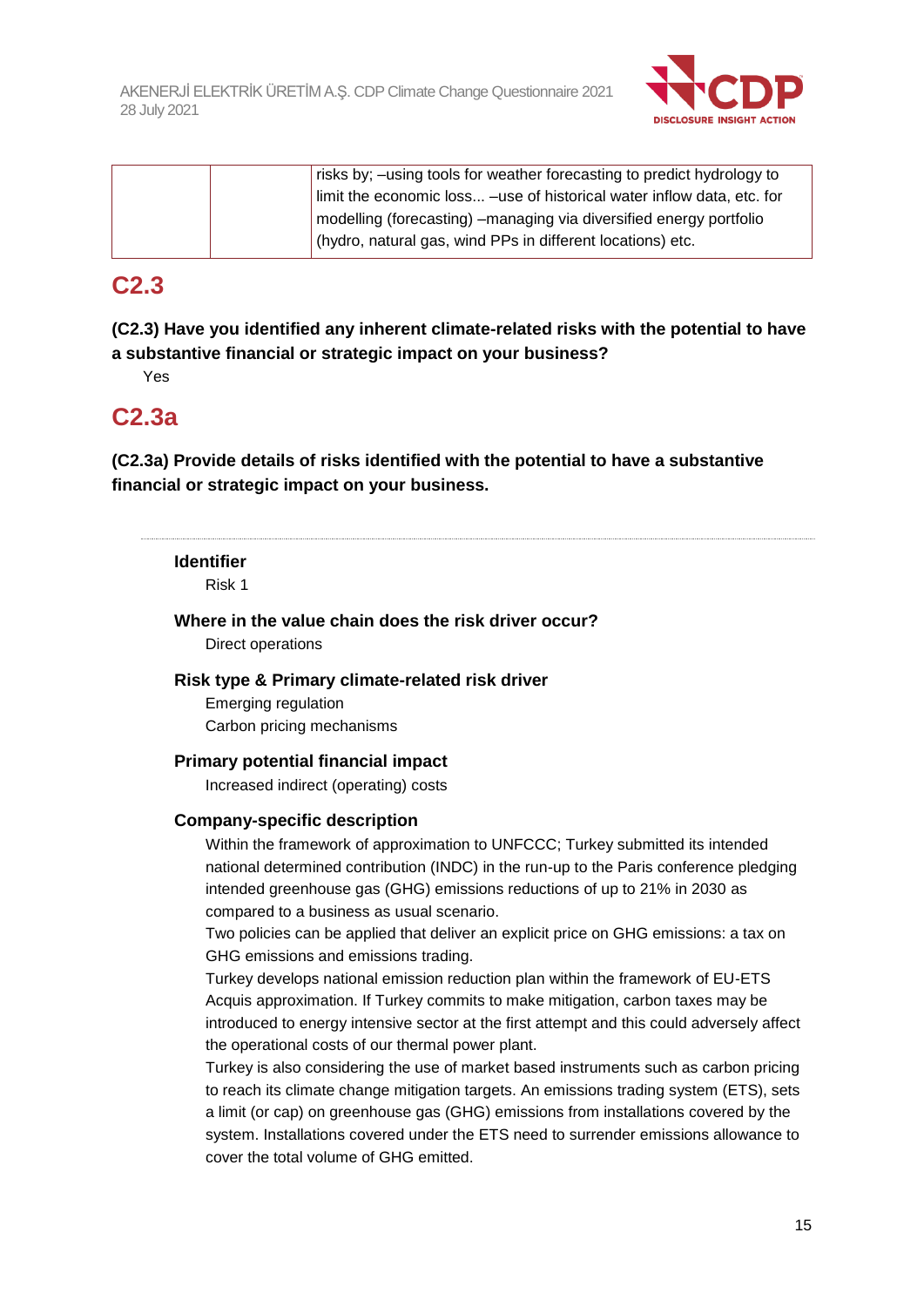

|  | risks by; –using tools for weather forecasting to predict hydrology to |
|--|------------------------------------------------------------------------|
|  | limit the economic loss -use of historical water inflow data, etc. for |
|  | modelling (forecasting) – managing via diversified energy portfolio    |
|  | (hydro, natural gas, wind PPs in different locations) etc.             |

## **C2.3**

**(C2.3) Have you identified any inherent climate-related risks with the potential to have a substantive financial or strategic impact on your business?**

Yes

# **C2.3a**

**(C2.3a) Provide details of risks identified with the potential to have a substantive financial or strategic impact on your business.**

#### **Identifier**

Risk 1

**Where in the value chain does the risk driver occur?** Direct operations

#### **Risk type & Primary climate-related risk driver**

Emerging regulation Carbon pricing mechanisms

#### **Primary potential financial impact**

Increased indirect (operating) costs

#### **Company-specific description**

Within the framework of approximation to UNFCCC; Turkey submitted its intended national determined contribution (INDC) in the run-up to the Paris conference pledging intended greenhouse gas (GHG) emissions reductions of up to 21% in 2030 as compared to a business as usual scenario.

Two policies can be applied that deliver an explicit price on GHG emissions: a tax on GHG emissions and emissions trading.

Turkey develops national emission reduction plan within the framework of EU-ETS Acquis approximation. If Turkey commits to make mitigation, carbon taxes may be introduced to energy intensive sector at the first attempt and this could adversely affect the operational costs of our thermal power plant.

Turkey is also considering the use of market based instruments such as carbon pricing to reach its climate change mitigation targets. An emissions trading system (ETS), sets a limit (or cap) on greenhouse gas (GHG) emissions from installations covered by the system. Installations covered under the ETS need to surrender emissions allowance to cover the total volume of GHG emitted.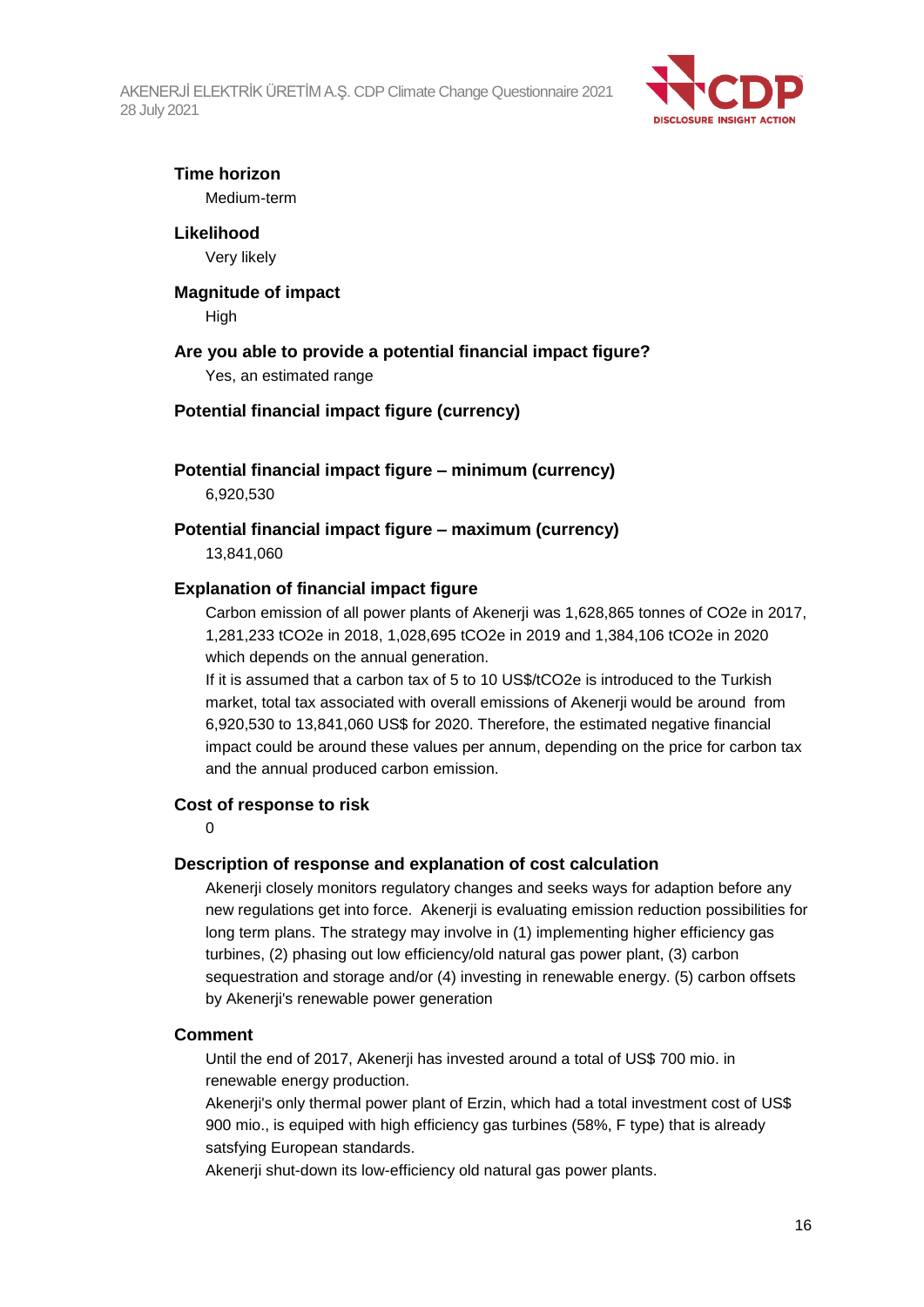

### **Time horizon**

Medium-term

**Likelihood** Very likely

# **Magnitude of impact**

High

### **Are you able to provide a potential financial impact figure?**

Yes, an estimated range

### **Potential financial impact figure (currency)**

**Potential financial impact figure – minimum (currency)** 6,920,530

**Potential financial impact figure – maximum (currency)** 13,841,060

#### **Explanation of financial impact figure**

Carbon emission of all power plants of Akenerji was 1,628,865 tonnes of CO2e in 2017, 1,281,233 tCO2e in 2018, 1,028,695 tCO2e in 2019 and 1,384,106 tCO2e in 2020 which depends on the annual generation.

If it is assumed that a carbon tax of 5 to 10 US\$/tCO2e is introduced to the Turkish market, total tax associated with overall emissions of Akenerji would be around from 6,920,530 to 13,841,060 US\$ for 2020. Therefore, the estimated negative financial impact could be around these values per annum, depending on the price for carbon tax and the annual produced carbon emission.

#### **Cost of response to risk**

#### $\Omega$

#### **Description of response and explanation of cost calculation**

Akenerji closely monitors regulatory changes and seeks ways for adaption before any new regulations get into force. Akenerji is evaluating emission reduction possibilities for long term plans. The strategy may involve in (1) implementing higher efficiency gas turbines, (2) phasing out low efficiency/old natural gas power plant, (3) carbon sequestration and storage and/or (4) investing in renewable energy. (5) carbon offsets by Akenerji's renewable power generation

#### **Comment**

Until the end of 2017, Akenerji has invested around a total of US\$ 700 mio. in renewable energy production.

Akenerji's only thermal power plant of Erzin, which had a total investment cost of US\$ 900 mio., is equiped with high efficiency gas turbines (58%, F type) that is already satsfying European standards.

Akenerji shut-down its low-efficiency old natural gas power plants.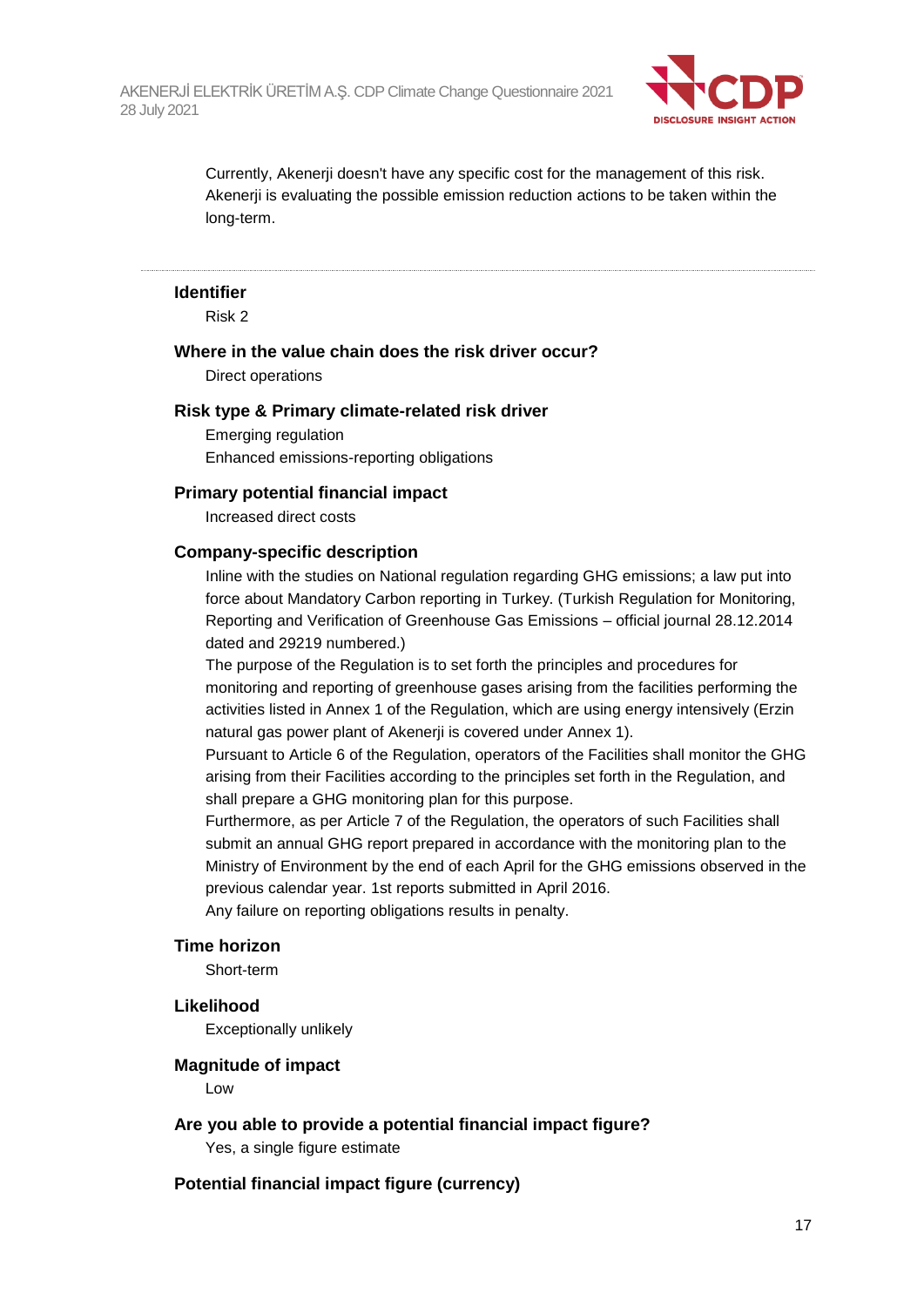

Currently, Akenerji doesn't have any specific cost for the management of this risk. Akenerji is evaluating the possible emission reduction actions to be taken within the long-term.

#### **Identifier**

Risk 2

#### **Where in the value chain does the risk driver occur?**

Direct operations

#### **Risk type & Primary climate-related risk driver**

Emerging regulation Enhanced emissions-reporting obligations

#### **Primary potential financial impact**

Increased direct costs

#### **Company-specific description**

Inline with the studies on National regulation regarding GHG emissions; a law put into force about Mandatory Carbon reporting in Turkey. (Turkish Regulation for Monitoring, Reporting and Verification of Greenhouse Gas Emissions – official journal 28.12.2014 dated and 29219 numbered.)

The purpose of the Regulation is to set forth the principles and procedures for monitoring and reporting of greenhouse gases arising from the facilities performing the activities listed in Annex 1 of the Regulation, which are using energy intensively (Erzin natural gas power plant of Akenerji is covered under Annex 1).

Pursuant to Article 6 of the Regulation, operators of the Facilities shall monitor the GHG arising from their Facilities according to the principles set forth in the Regulation, and shall prepare a GHG monitoring plan for this purpose.

Furthermore, as per Article 7 of the Regulation, the operators of such Facilities shall submit an annual GHG report prepared in accordance with the monitoring plan to the Ministry of Environment by the end of each April for the GHG emissions observed in the previous calendar year. 1st reports submitted in April 2016.

Any failure on reporting obligations results in penalty.

#### **Time horizon**

Short-term

#### **Likelihood**

Exceptionally unlikely

#### **Magnitude of impact**

Low

#### **Are you able to provide a potential financial impact figure?**

Yes, a single figure estimate

#### **Potential financial impact figure (currency)**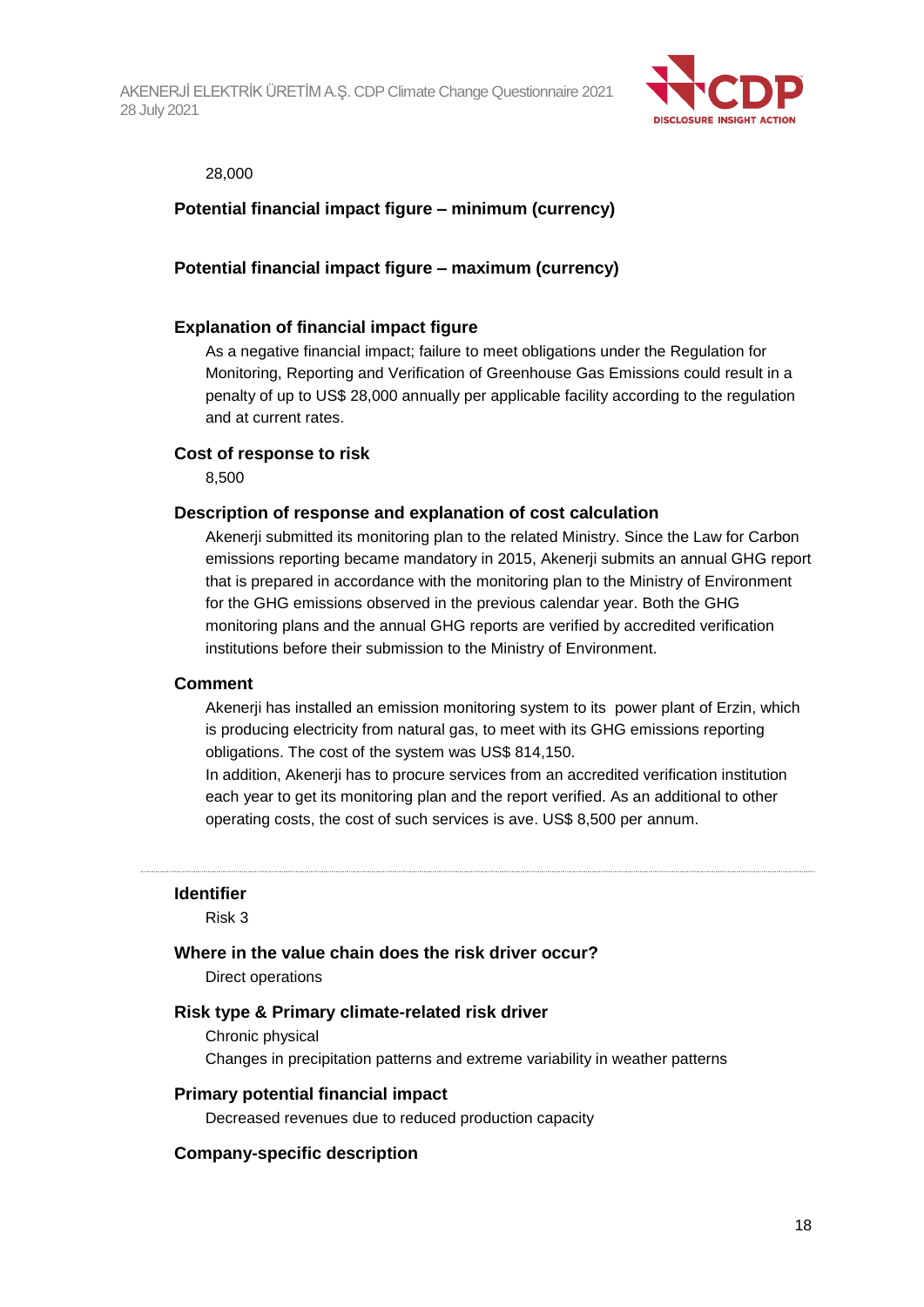

#### 28,000

#### **Potential financial impact figure – minimum (currency)**

#### **Potential financial impact figure – maximum (currency)**

#### **Explanation of financial impact figure**

As a negative financial impact; failure to meet obligations under the Regulation for Monitoring, Reporting and Verification of Greenhouse Gas Emissions could result in a penalty of up to US\$ 28,000 annually per applicable facility according to the regulation and at current rates.

#### **Cost of response to risk**

8,500

#### **Description of response and explanation of cost calculation**

Akenerji submitted its monitoring plan to the related Ministry. Since the Law for Carbon emissions reporting became mandatory in 2015, Akenerji submits an annual GHG report that is prepared in accordance with the monitoring plan to the Ministry of Environment for the GHG emissions observed in the previous calendar year. Both the GHG monitoring plans and the annual GHG reports are verified by accredited verification institutions before their submission to the Ministry of Environment.

#### **Comment**

Akenerji has installed an emission monitoring system to its power plant of Erzin, which is producing electricity from natural gas, to meet with its GHG emissions reporting obligations. The cost of the system was US\$ 814,150.

In addition, Akenerji has to procure services from an accredited verification institution each year to get its monitoring plan and the report verified. As an additional to other operating costs, the cost of such services is ave. US\$ 8,500 per annum.

#### **Identifier**

Risk 3

#### **Where in the value chain does the risk driver occur?**

Direct operations

#### **Risk type & Primary climate-related risk driver**

Chronic physical Changes in precipitation patterns and extreme variability in weather patterns

#### **Primary potential financial impact**

Decreased revenues due to reduced production capacity

#### **Company-specific description**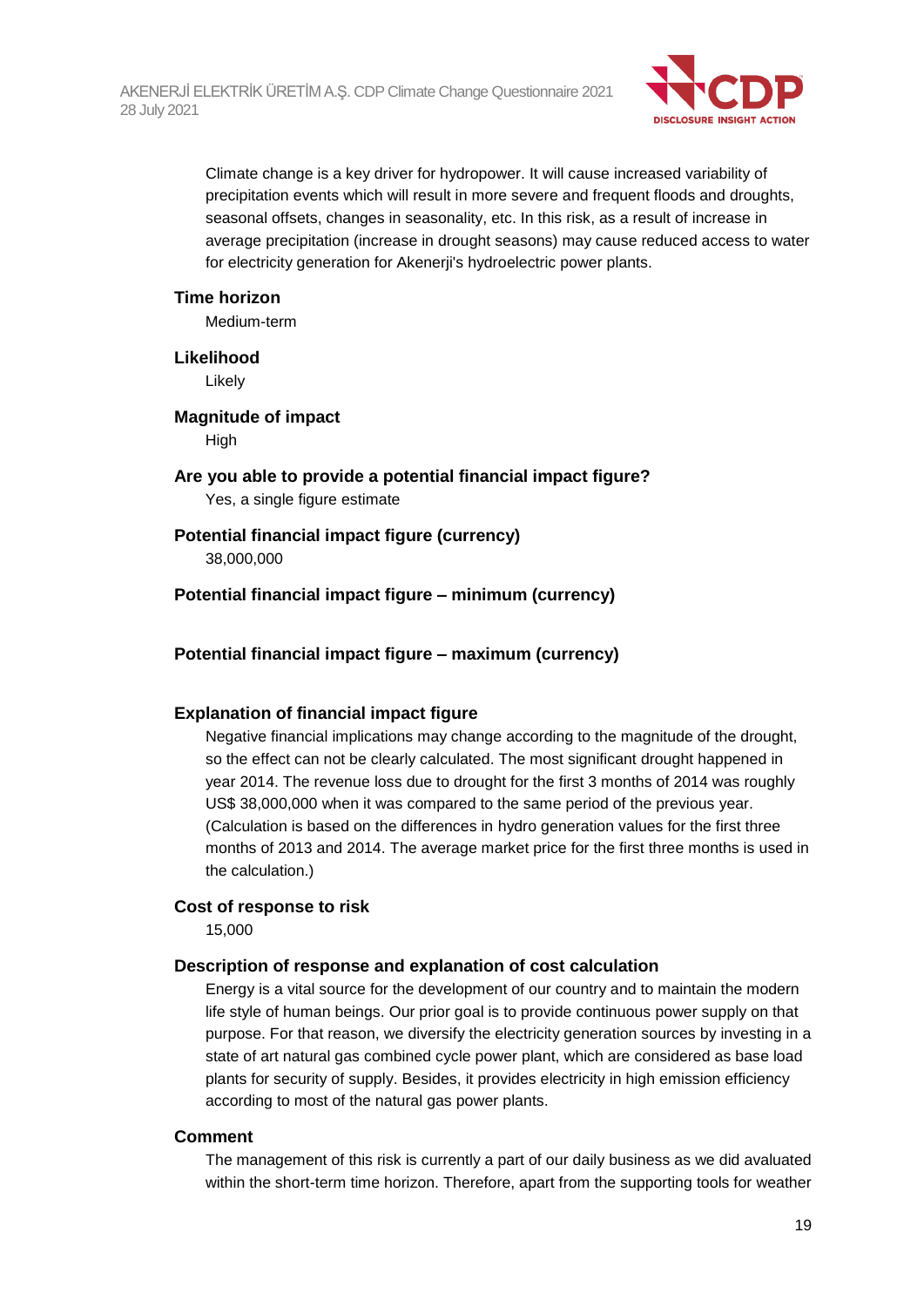

Climate change is a key driver for hydropower. It will cause increased variability of precipitation events which will result in more severe and frequent floods and droughts, seasonal offsets, changes in seasonality, etc. In this risk, as a result of increase in average precipitation (increase in drought seasons) may cause reduced access to water for electricity generation for Akenerji's hydroelectric power plants.

#### **Time horizon**

Medium-term

**Likelihood**

Likely

**Magnitude of impact**

High

### **Are you able to provide a potential financial impact figure?**

Yes, a single figure estimate

### **Potential financial impact figure (currency)**

38,000,000

**Potential financial impact figure – minimum (currency)**

**Potential financial impact figure – maximum (currency)**

#### **Explanation of financial impact figure**

Negative financial implications may change according to the magnitude of the drought, so the effect can not be clearly calculated. The most significant drought happened in year 2014. The revenue loss due to drought for the first 3 months of 2014 was roughly US\$ 38,000,000 when it was compared to the same period of the previous year. (Calculation is based on the differences in hydro generation values for the first three months of 2013 and 2014. The average market price for the first three months is used in the calculation.)

#### **Cost of response to risk**

15,000

#### **Description of response and explanation of cost calculation**

Energy is a vital source for the development of our country and to maintain the modern life style of human beings. Our prior goal is to provide continuous power supply on that purpose. For that reason, we diversify the electricity generation sources by investing in a state of art natural gas combined cycle power plant, which are considered as base load plants for security of supply. Besides, it provides electricity in high emission efficiency according to most of the natural gas power plants.

#### **Comment**

The management of this risk is currently a part of our daily business as we did avaluated within the short-term time horizon. Therefore, apart from the supporting tools for weather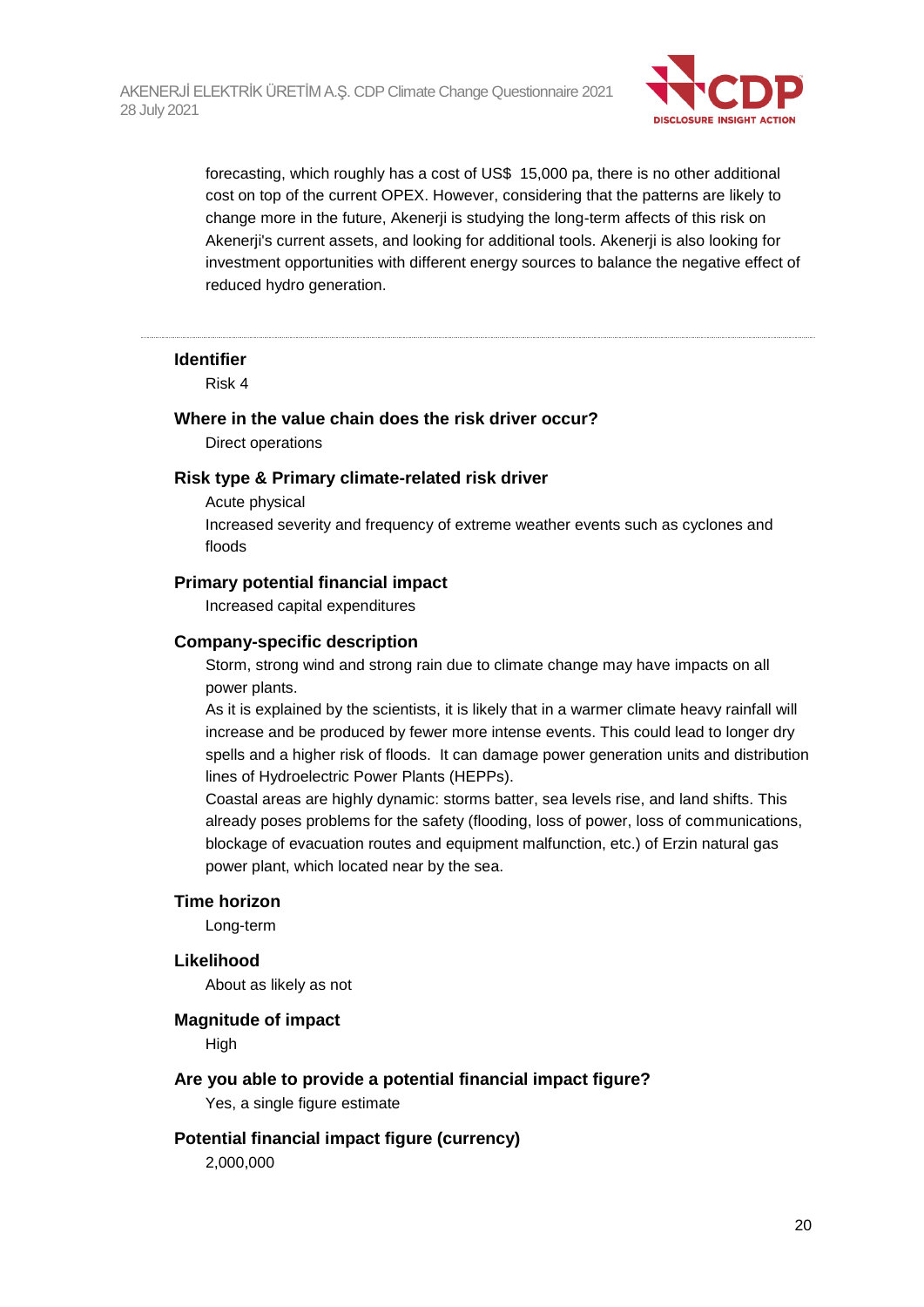

forecasting, which roughly has a cost of US\$ 15,000 pa, there is no other additional cost on top of the current OPEX. However, considering that the patterns are likely to change more in the future, Akenerji is studying the long-term affects of this risk on Akenerji's current assets, and looking for additional tools. Akenerji is also looking for investment opportunities with different energy sources to balance the negative effect of reduced hydro generation.

#### **Identifier**

Risk 4

#### **Where in the value chain does the risk driver occur?**

Direct operations

#### **Risk type & Primary climate-related risk driver**

Acute physical

Increased severity and frequency of extreme weather events such as cyclones and floods

#### **Primary potential financial impact**

Increased capital expenditures

#### **Company-specific description**

Storm, strong wind and strong rain due to climate change may have impacts on all power plants.

As it is explained by the scientists, it is likely that in a warmer climate heavy rainfall will increase and be produced by fewer more intense events. This could lead to longer dry spells and a higher risk of floods. It can damage power generation units and distribution lines of Hydroelectric Power Plants (HEPPs).

Coastal areas are highly dynamic: storms batter, sea levels rise, and land shifts. This already poses problems for the safety (flooding, loss of power, loss of communications, blockage of evacuation routes and equipment malfunction, etc.) of Erzin natural gas power plant, which located near by the sea.

#### **Time horizon**

Long-term

#### **Likelihood**

About as likely as not

#### **Magnitude of impact**

High

#### **Are you able to provide a potential financial impact figure?**

Yes, a single figure estimate

#### **Potential financial impact figure (currency)**

2,000,000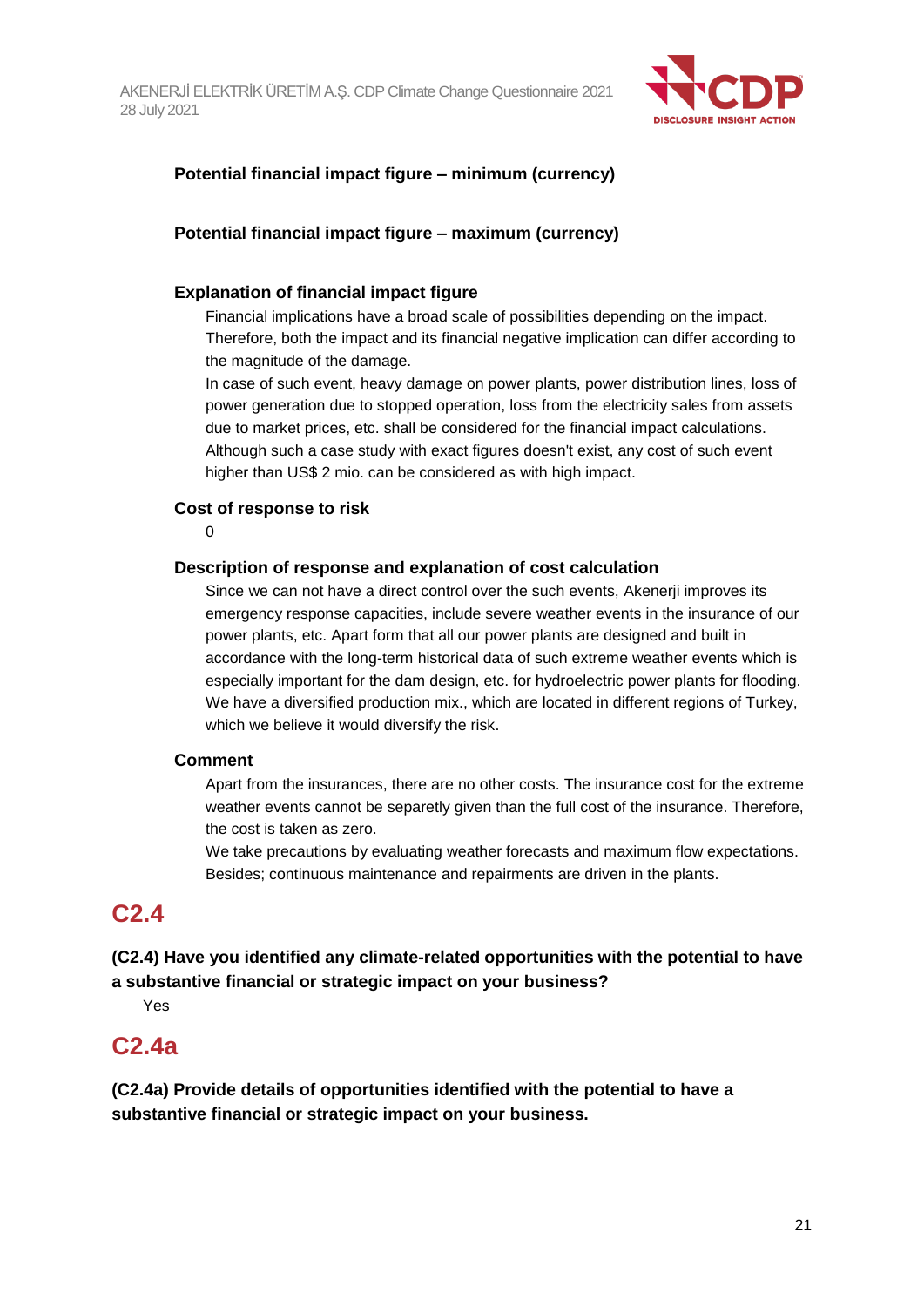

### **Potential financial impact figure – minimum (currency)**

### **Potential financial impact figure – maximum (currency)**

#### **Explanation of financial impact figure**

Financial implications have a broad scale of possibilities depending on the impact. Therefore, both the impact and its financial negative implication can differ according to the magnitude of the damage.

In case of such event, heavy damage on power plants, power distribution lines, loss of power generation due to stopped operation, loss from the electricity sales from assets due to market prices, etc. shall be considered for the financial impact calculations. Although such a case study with exact figures doesn't exist, any cost of such event higher than US\$ 2 mio. can be considered as with high impact.

#### **Cost of response to risk**

0

#### **Description of response and explanation of cost calculation**

Since we can not have a direct control over the such events, Akenerji improves its emergency response capacities, include severe weather events in the insurance of our power plants, etc. Apart form that all our power plants are designed and built in accordance with the long-term historical data of such extreme weather events which is especially important for the dam design, etc. for hydroelectric power plants for flooding. We have a diversified production mix., which are located in different regions of Turkey, which we believe it would diversify the risk.

#### **Comment**

Apart from the insurances, there are no other costs. The insurance cost for the extreme weather events cannot be separetly given than the full cost of the insurance. Therefore, the cost is taken as zero.

We take precautions by evaluating weather forecasts and maximum flow expectations. Besides; continuous maintenance and repairments are driven in the plants.

### **C2.4**

### **(C2.4) Have you identified any climate-related opportunities with the potential to have a substantive financial or strategic impact on your business?**

Yes

### **C2.4a**

**(C2.4a) Provide details of opportunities identified with the potential to have a substantive financial or strategic impact on your business.**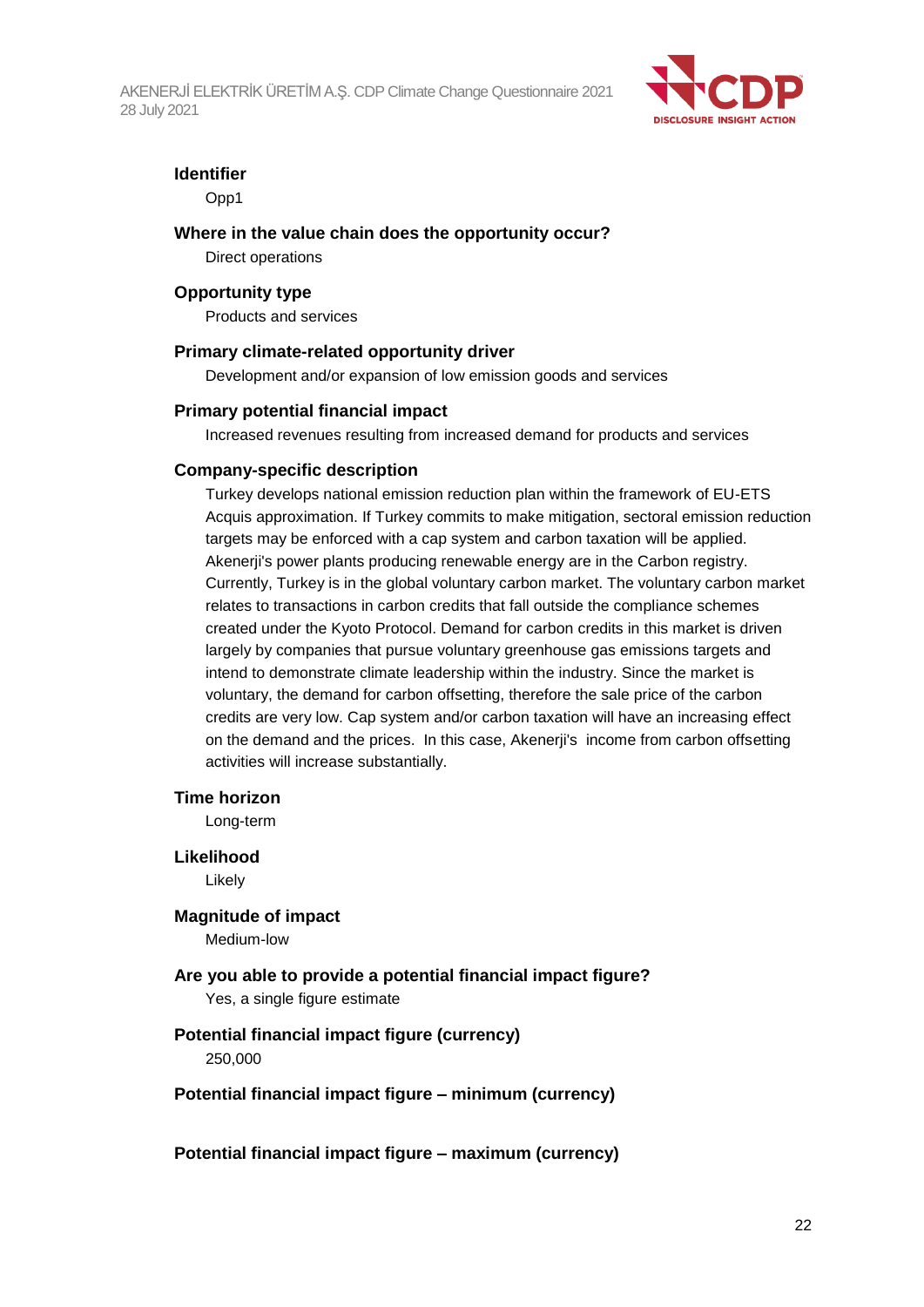

#### **Identifier**

Opp1

#### **Where in the value chain does the opportunity occur?**

Direct operations

#### **Opportunity type**

Products and services

#### **Primary climate-related opportunity driver**

Development and/or expansion of low emission goods and services

#### **Primary potential financial impact**

Increased revenues resulting from increased demand for products and services

#### **Company-specific description**

Turkey develops national emission reduction plan within the framework of EU-ETS Acquis approximation. If Turkey commits to make mitigation, sectoral emission reduction targets may be enforced with a cap system and carbon taxation will be applied. Akenerji's power plants producing renewable energy are in the Carbon registry. Currently, Turkey is in the global voluntary carbon market. The voluntary carbon market relates to transactions in carbon credits that fall outside the compliance schemes created under the Kyoto Protocol. Demand for carbon credits in this market is driven largely by companies that pursue voluntary greenhouse gas emissions targets and intend to demonstrate climate leadership within the industry. Since the market is voluntary, the demand for carbon offsetting, therefore the sale price of the carbon credits are very low. Cap system and/or carbon taxation will have an increasing effect on the demand and the prices. In this case, Akenerji's income from carbon offsetting activities will increase substantially.

#### **Time horizon**

Long-term

# **Likelihood**

Likely

#### **Magnitude of impact**

Medium-low

### **Are you able to provide a potential financial impact figure?** Yes, a single figure estimate

#### **Potential financial impact figure (currency)**

250,000

#### **Potential financial impact figure – minimum (currency)**

**Potential financial impact figure – maximum (currency)**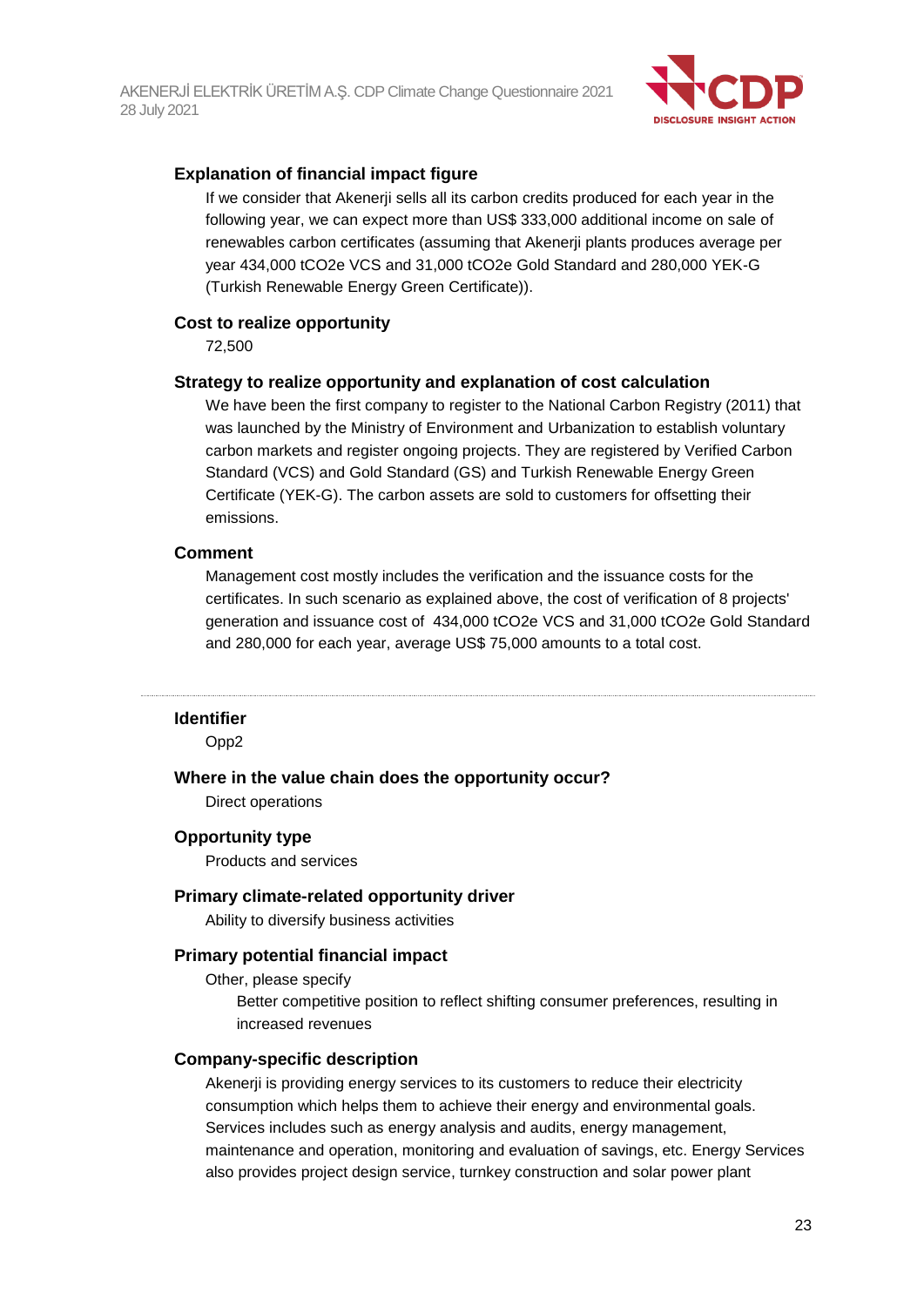

#### **Explanation of financial impact figure**

If we consider that Akenerji sells all its carbon credits produced for each year in the following year, we can expect more than US\$ 333,000 additional income on sale of renewables carbon certificates (assuming that Akenerji plants produces average per year 434,000 tCO2e VCS and 31,000 tCO2e Gold Standard and 280,000 YEK-G (Turkish Renewable Energy Green Certificate)).

#### **Cost to realize opportunity**

72,500

#### **Strategy to realize opportunity and explanation of cost calculation**

We have been the first company to register to the National Carbon Registry (2011) that was launched by the Ministry of Environment and Urbanization to establish voluntary carbon markets and register ongoing projects. They are registered by Verified Carbon Standard (VCS) and Gold Standard (GS) and Turkish Renewable Energy Green Certificate (YEK-G). The carbon assets are sold to customers for offsetting their emissions.

#### **Comment**

Management cost mostly includes the verification and the issuance costs for the certificates. In such scenario as explained above, the cost of verification of 8 projects' generation and issuance cost of 434,000 tCO2e VCS and 31,000 tCO2e Gold Standard and 280,000 for each year, average US\$ 75,000 amounts to a total cost.

#### **Identifier**

Opp2

#### **Where in the value chain does the opportunity occur?**

Direct operations

#### **Opportunity type**

Products and services

#### **Primary climate-related opportunity driver**

Ability to diversify business activities

#### **Primary potential financial impact**

Other, please specify

Better competitive position to reflect shifting consumer preferences, resulting in increased revenues

#### **Company-specific description**

Akenerji is providing energy services to its customers to reduce their electricity consumption which helps them to achieve their energy and environmental goals. Services includes such as energy analysis and audits, energy management, maintenance and operation, monitoring and evaluation of savings, etc. Energy Services also provides project design service, turnkey construction and solar power plant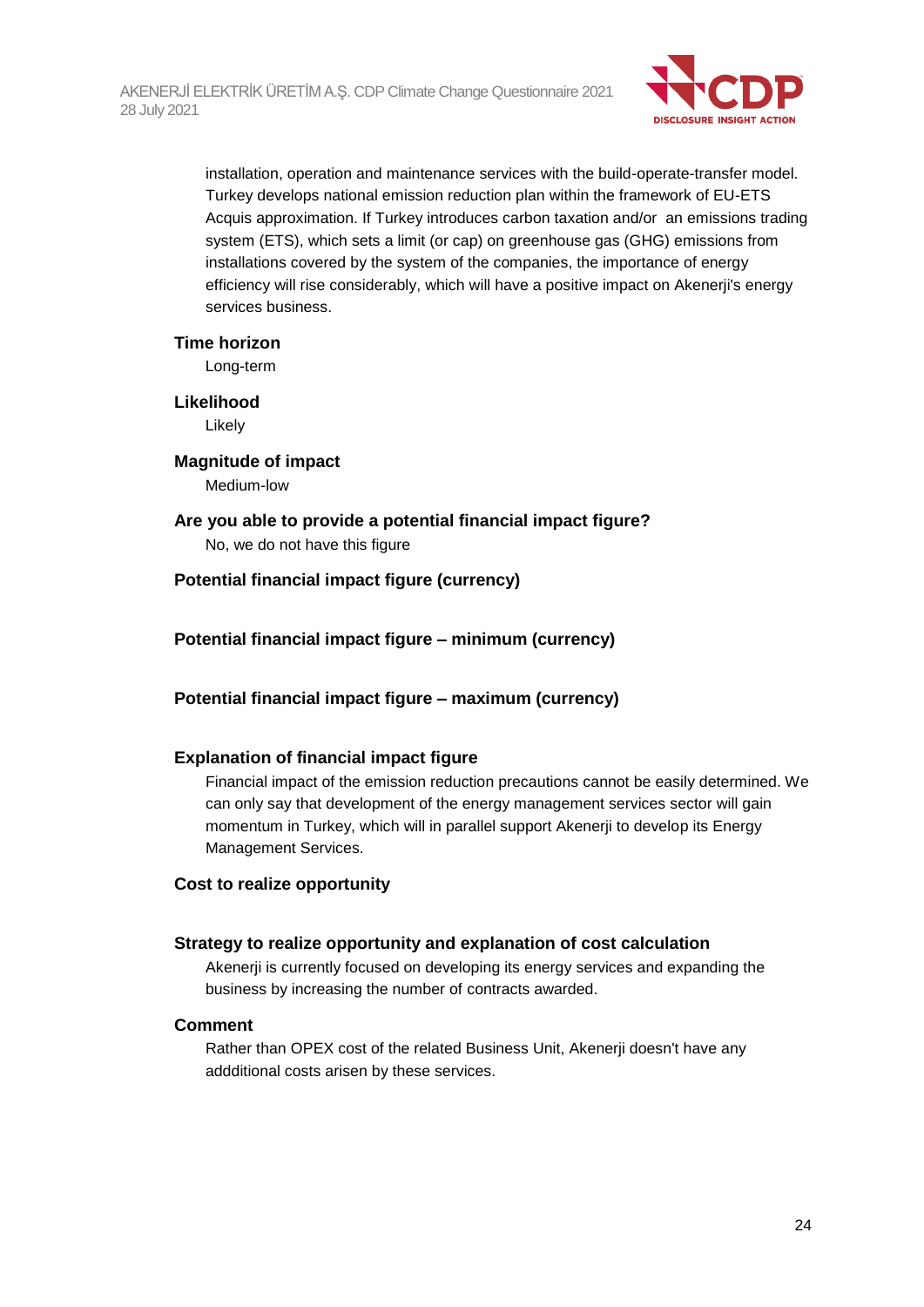

installation, operation and maintenance services with the build-operate-transfer model. Turkey develops national emission reduction plan within the framework of EU-ETS Acquis approximation. If Turkey introduces carbon taxation and/or an emissions trading system (ETS), which sets a limit (or cap) on greenhouse gas (GHG) emissions from installations covered by the system of the companies, the importance of energy efficiency will rise considerably, which will have a positive impact on Akenerji's energy services business.

#### **Time horizon**

Long-term

#### **Likelihood**

Likely

### **Magnitude of impact**

Medium-low

### **Are you able to provide a potential financial impact figure?** No, we do not have this figure

### **Potential financial impact figure (currency)**

**Potential financial impact figure – minimum (currency)**

### **Potential financial impact figure – maximum (currency)**

#### **Explanation of financial impact figure**

Financial impact of the emission reduction precautions cannot be easily determined. We can only say that development of the energy management services sector will gain momentum in Turkey, which will in parallel support Akenerji to develop its Energy Management Services.

#### **Cost to realize opportunity**

#### **Strategy to realize opportunity and explanation of cost calculation**

Akenerji is currently focused on developing its energy services and expanding the business by increasing the number of contracts awarded.

#### **Comment**

Rather than OPEX cost of the related Business Unit, Akenerji doesn't have any addditional costs arisen by these services.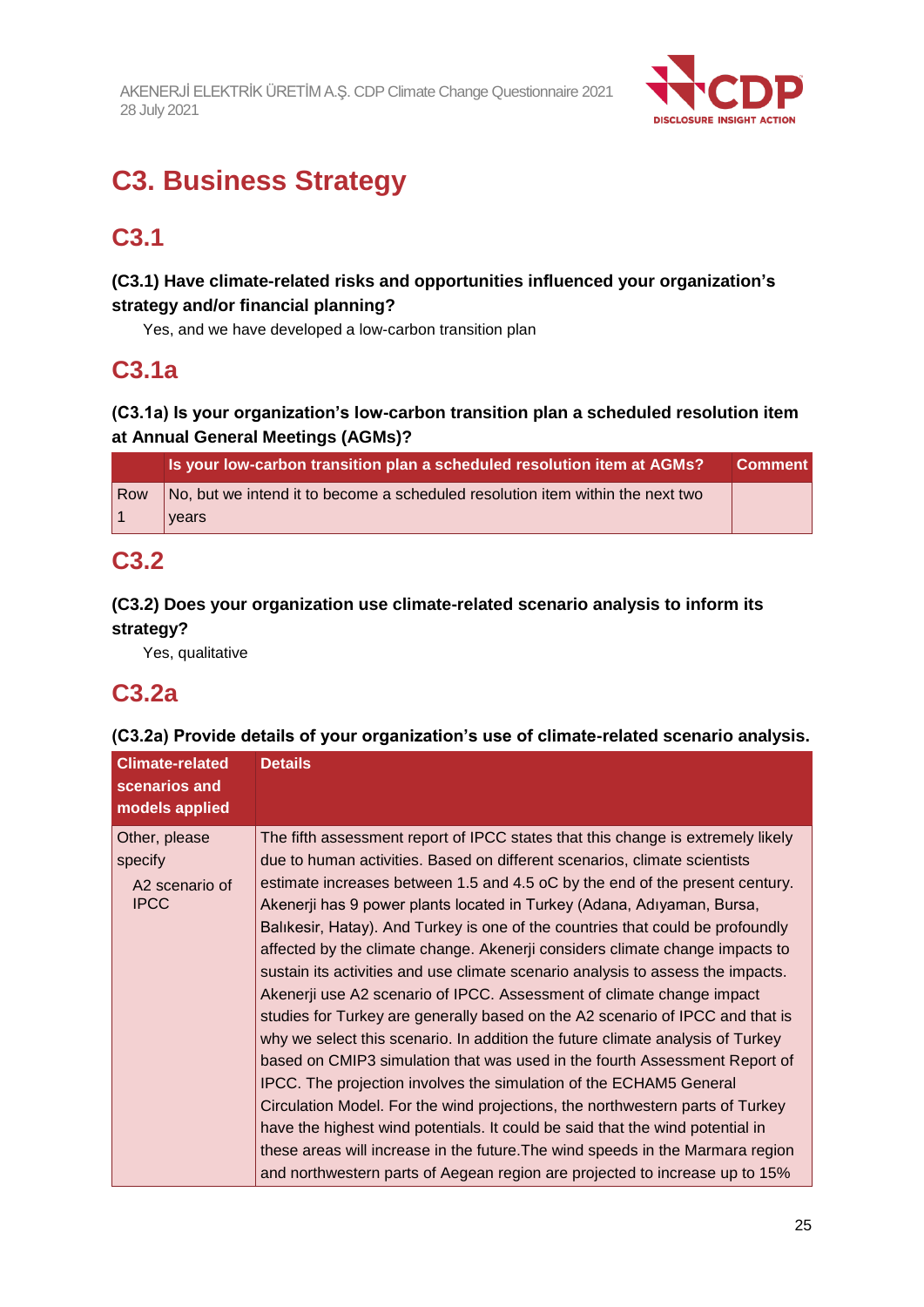

# **C3. Business Strategy**

# **C3.1**

### **(C3.1) Have climate-related risks and opportunities influenced your organization's strategy and/or financial planning?**

Yes, and we have developed a low-carbon transition plan

# **C3.1a**

### **(C3.1a) Is your organization's low-carbon transition plan a scheduled resolution item at Annual General Meetings (AGMs)?**

|     | Is your low-carbon transition plan a scheduled resolution item at AGMs?        | <b>Comment</b> |
|-----|--------------------------------------------------------------------------------|----------------|
| Row | No, but we intend it to become a scheduled resolution item within the next two |                |
|     | vears                                                                          |                |

# **C3.2**

### **(C3.2) Does your organization use climate-related scenario analysis to inform its strategy?**

Yes, qualitative

# **C3.2a**

### **(C3.2a) Provide details of your organization's use of climate-related scenario analysis.**

| <b>Climate-related</b><br>scenarios and<br>models applied | <b>Details</b>                                                                                                                                                                                                                                                                                                                                                                                                                                                                                                                                                                                                                                                                                                                                                                                                                                                                                                                                                                                                                                                                                                                                                                                                                                                                                                 |
|-----------------------------------------------------------|----------------------------------------------------------------------------------------------------------------------------------------------------------------------------------------------------------------------------------------------------------------------------------------------------------------------------------------------------------------------------------------------------------------------------------------------------------------------------------------------------------------------------------------------------------------------------------------------------------------------------------------------------------------------------------------------------------------------------------------------------------------------------------------------------------------------------------------------------------------------------------------------------------------------------------------------------------------------------------------------------------------------------------------------------------------------------------------------------------------------------------------------------------------------------------------------------------------------------------------------------------------------------------------------------------------|
| Other, please<br>specify<br>A2 scenario of<br><b>IPCC</b> | The fifth assessment report of IPCC states that this change is extremely likely<br>due to human activities. Based on different scenarios, climate scientists<br>estimate increases between 1.5 and 4.5 oC by the end of the present century.<br>Akenerji has 9 power plants located in Turkey (Adana, Adıyaman, Bursa,<br>Balikesir, Hatay). And Turkey is one of the countries that could be profoundly<br>affected by the climate change. Akenerji considers climate change impacts to<br>sustain its activities and use climate scenario analysis to assess the impacts.<br>Akenerji use A2 scenario of IPCC. Assessment of climate change impact<br>studies for Turkey are generally based on the A2 scenario of IPCC and that is<br>why we select this scenario. In addition the future climate analysis of Turkey<br>based on CMIP3 simulation that was used in the fourth Assessment Report of<br>IPCC. The projection involves the simulation of the ECHAM5 General<br>Circulation Model. For the wind projections, the northwestern parts of Turkey<br>have the highest wind potentials. It could be said that the wind potential in<br>these areas will increase in the future. The wind speeds in the Marmara region<br>and northwestern parts of Aegean region are projected to increase up to 15% |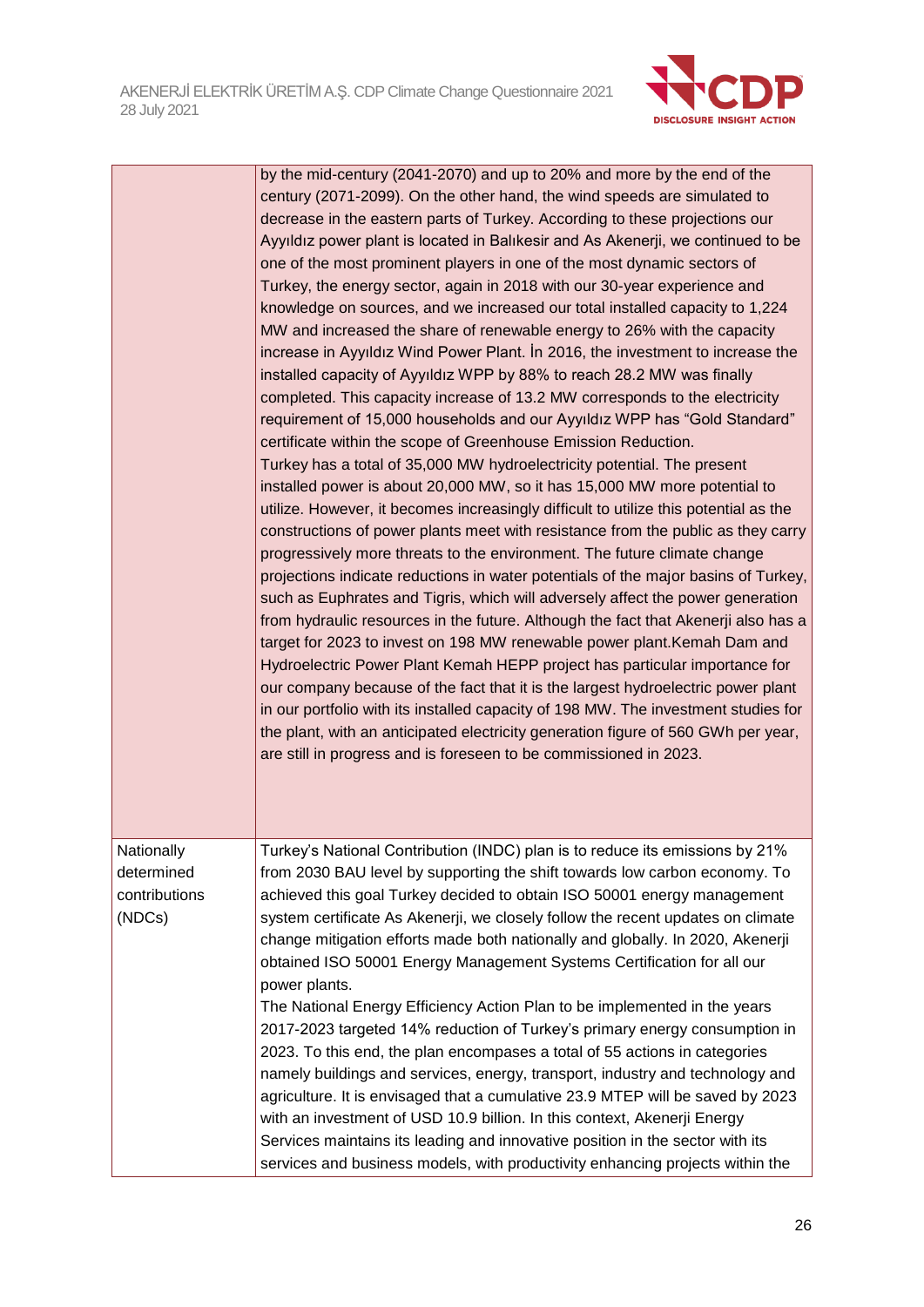

|                                                     | by the mid-century (2041-2070) and up to 20% and more by the end of the<br>century (2071-2099). On the other hand, the wind speeds are simulated to<br>decrease in the eastern parts of Turkey. According to these projections our<br>Ayyıldız power plant is located in Balıkesir and As Akenerji, we continued to be<br>one of the most prominent players in one of the most dynamic sectors of<br>Turkey, the energy sector, again in 2018 with our 30-year experience and<br>knowledge on sources, and we increased our total installed capacity to 1,224<br>MW and increased the share of renewable energy to 26% with the capacity<br>increase in Ayyıldız Wind Power Plant. İn 2016, the investment to increase the<br>installed capacity of Ayyıldız WPP by 88% to reach 28.2 MW was finally<br>completed. This capacity increase of 13.2 MW corresponds to the electricity<br>requirement of 15,000 households and our Ayyıldız WPP has "Gold Standard"<br>certificate within the scope of Greenhouse Emission Reduction.<br>Turkey has a total of 35,000 MW hydroelectricity potential. The present<br>installed power is about 20,000 MW, so it has 15,000 MW more potential to<br>utilize. However, it becomes increasingly difficult to utilize this potential as the<br>constructions of power plants meet with resistance from the public as they carry<br>progressively more threats to the environment. The future climate change<br>projections indicate reductions in water potentials of the major basins of Turkey,<br>such as Euphrates and Tigris, which will adversely affect the power generation<br>from hydraulic resources in the future. Although the fact that Akenerji also has a<br>target for 2023 to invest on 198 MW renewable power plant. Kemah Dam and<br>Hydroelectric Power Plant Kemah HEPP project has particular importance for<br>our company because of the fact that it is the largest hydroelectric power plant<br>in our portfolio with its installed capacity of 198 MW. The investment studies for<br>the plant, with an anticipated electricity generation figure of 560 GWh per year,<br>are still in progress and is foreseen to be commissioned in 2023. |
|-----------------------------------------------------|----------------------------------------------------------------------------------------------------------------------------------------------------------------------------------------------------------------------------------------------------------------------------------------------------------------------------------------------------------------------------------------------------------------------------------------------------------------------------------------------------------------------------------------------------------------------------------------------------------------------------------------------------------------------------------------------------------------------------------------------------------------------------------------------------------------------------------------------------------------------------------------------------------------------------------------------------------------------------------------------------------------------------------------------------------------------------------------------------------------------------------------------------------------------------------------------------------------------------------------------------------------------------------------------------------------------------------------------------------------------------------------------------------------------------------------------------------------------------------------------------------------------------------------------------------------------------------------------------------------------------------------------------------------------------------------------------------------------------------------------------------------------------------------------------------------------------------------------------------------------------------------------------------------------------------------------------------------------------------------------------------------------------------------------------------------------------------------------------------------------------------------------------------------------------------------------------------------|
| Nationally<br>determined<br>contributions<br>(NDCs) | Turkey's National Contribution (INDC) plan is to reduce its emissions by 21%<br>from 2030 BAU level by supporting the shift towards low carbon economy. To<br>achieved this goal Turkey decided to obtain ISO 50001 energy management<br>system certificate As Akenerji, we closely follow the recent updates on climate<br>change mitigation efforts made both nationally and globally. In 2020, Akenerji<br>obtained ISO 50001 Energy Management Systems Certification for all our<br>power plants.<br>The National Energy Efficiency Action Plan to be implemented in the years<br>2017-2023 targeted 14% reduction of Turkey's primary energy consumption in<br>2023. To this end, the plan encompases a total of 55 actions in categories<br>namely buildings and services, energy, transport, industry and technology and<br>agriculture. It is envisaged that a cumulative 23.9 MTEP will be saved by 2023<br>with an investment of USD 10.9 billion. In this context, Akenerji Energy<br>Services maintains its leading and innovative position in the sector with its<br>services and business models, with productivity enhancing projects within the                                                                                                                                                                                                                                                                                                                                                                                                                                                                                                                                                                                                                                                                                                                                                                                                                                                                                                                                                                                                                                                |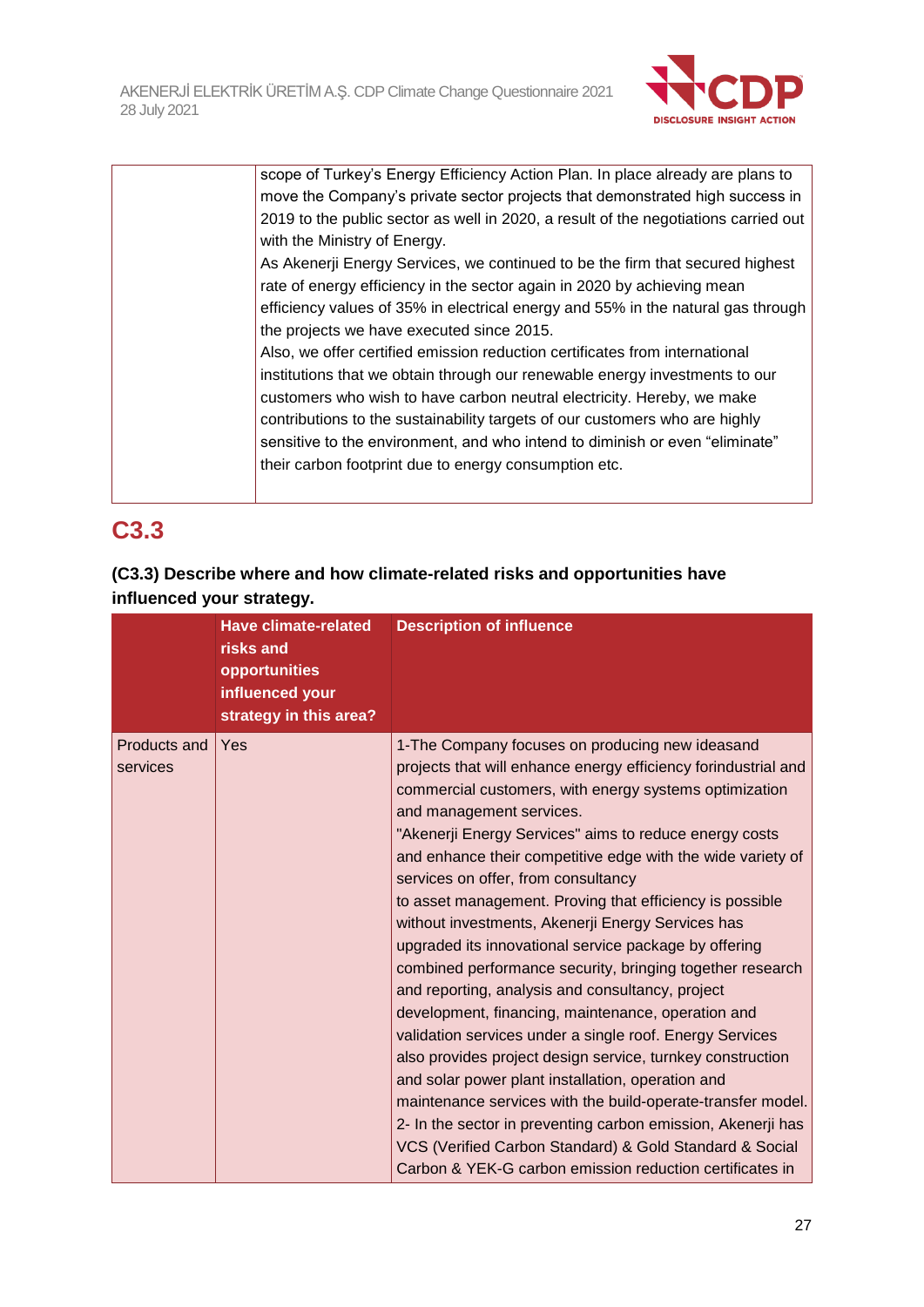

| scope of Turkey's Energy Efficiency Action Plan. In place already are plans to      |
|-------------------------------------------------------------------------------------|
| move the Company's private sector projects that demonstrated high success in        |
| 2019 to the public sector as well in 2020, a result of the negotiations carried out |
| with the Ministry of Energy.                                                        |
| As Akenerji Energy Services, we continued to be the firm that secured highest       |
| rate of energy efficiency in the sector again in 2020 by achieving mean             |
| efficiency values of 35% in electrical energy and 55% in the natural gas through    |
| the projects we have executed since 2015.                                           |
| Also, we offer certified emission reduction certificates from international         |
| institutions that we obtain through our renewable energy investments to our         |
| customers who wish to have carbon neutral electricity. Hereby, we make              |
| contributions to the sustainability targets of our customers who are highly         |
| sensitive to the environment, and who intend to diminish or even "eliminate"        |
| their carbon footprint due to energy consumption etc.                               |
|                                                                                     |

# **C3.3**

### **(C3.3) Describe where and how climate-related risks and opportunities have influenced your strategy.**

|                          | <b>Have climate-related</b><br>risks and<br>opportunities<br>influenced your<br>strategy in this area? | <b>Description of influence</b>                                                                                                                                                                                                                                                                                                                                                                                                                                                                                                                                                                                                                                                                                                                                                                                                                                                                                                                                                                                                                                                                                                                               |
|--------------------------|--------------------------------------------------------------------------------------------------------|---------------------------------------------------------------------------------------------------------------------------------------------------------------------------------------------------------------------------------------------------------------------------------------------------------------------------------------------------------------------------------------------------------------------------------------------------------------------------------------------------------------------------------------------------------------------------------------------------------------------------------------------------------------------------------------------------------------------------------------------------------------------------------------------------------------------------------------------------------------------------------------------------------------------------------------------------------------------------------------------------------------------------------------------------------------------------------------------------------------------------------------------------------------|
| Products and<br>services | Yes                                                                                                    | 1-The Company focuses on producing new ideasand<br>projects that will enhance energy efficiency forindustrial and<br>commercial customers, with energy systems optimization<br>and management services.<br>"Akenerji Energy Services" aims to reduce energy costs<br>and enhance their competitive edge with the wide variety of<br>services on offer, from consultancy<br>to asset management. Proving that efficiency is possible<br>without investments, Akenerji Energy Services has<br>upgraded its innovational service package by offering<br>combined performance security, bringing together research<br>and reporting, analysis and consultancy, project<br>development, financing, maintenance, operation and<br>validation services under a single roof. Energy Services<br>also provides project design service, turnkey construction<br>and solar power plant installation, operation and<br>maintenance services with the build-operate-transfer model.<br>2- In the sector in preventing carbon emission, Akenerji has<br>VCS (Verified Carbon Standard) & Gold Standard & Social<br>Carbon & YEK-G carbon emission reduction certificates in |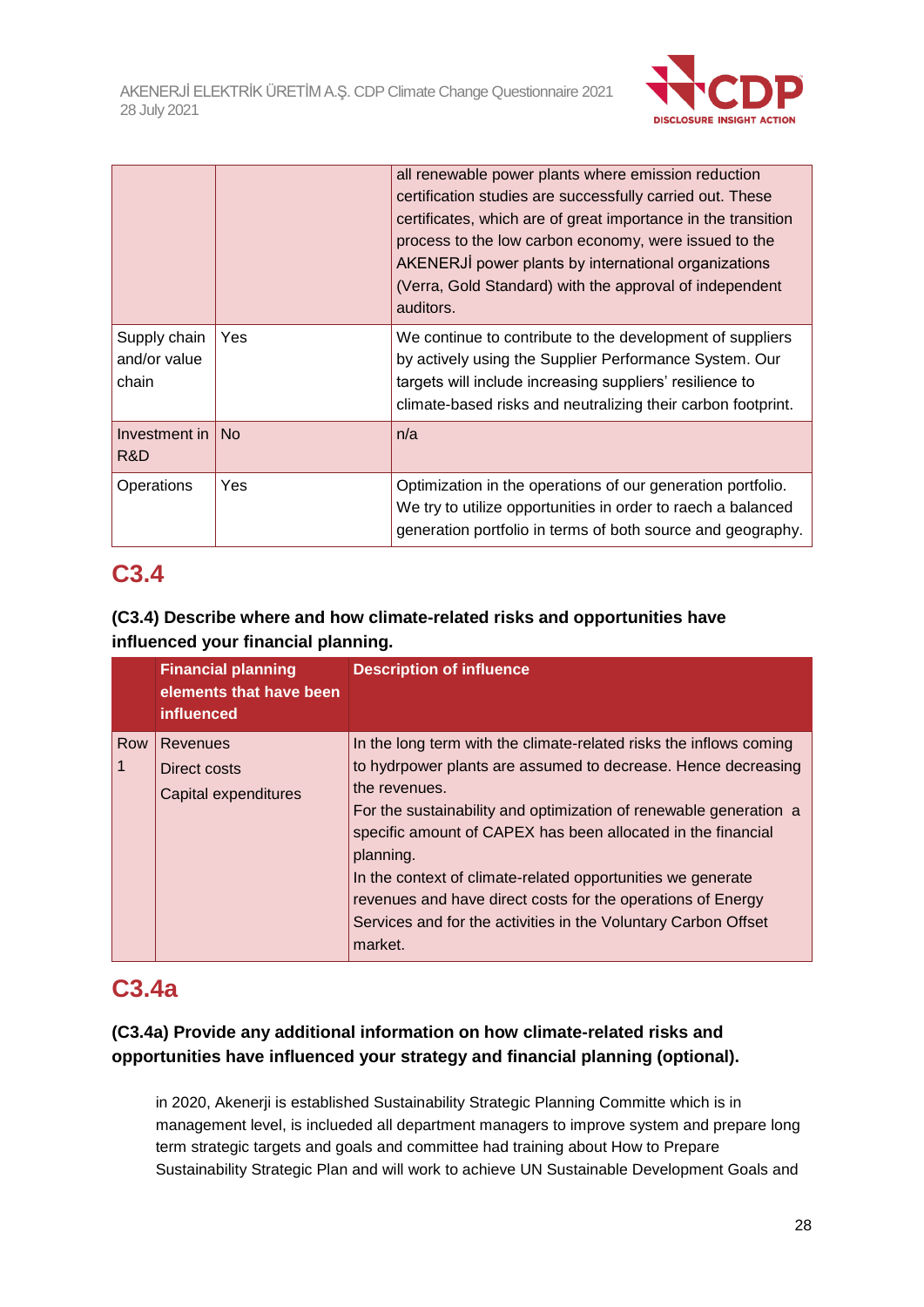

|                                       |           | all renewable power plants where emission reduction<br>certification studies are successfully carried out. These<br>certificates, which are of great importance in the transition<br>process to the low carbon economy, were issued to the<br>AKENERJİ power plants by international organizations<br>(Verra, Gold Standard) with the approval of independent<br>auditors. |
|---------------------------------------|-----------|----------------------------------------------------------------------------------------------------------------------------------------------------------------------------------------------------------------------------------------------------------------------------------------------------------------------------------------------------------------------------|
| Supply chain<br>and/or value<br>chain | Yes       | We continue to contribute to the development of suppliers<br>by actively using the Supplier Performance System. Our<br>targets will include increasing suppliers' resilience to<br>climate-based risks and neutralizing their carbon footprint.                                                                                                                            |
| Investment in<br>R&D                  | <b>No</b> | n/a                                                                                                                                                                                                                                                                                                                                                                        |
| Operations                            | Yes       | Optimization in the operations of our generation portfolio.<br>We try to utilize opportunities in order to raech a balanced<br>generation portfolio in terms of both source and geography.                                                                                                                                                                                 |

# **C3.4**

### **(C3.4) Describe where and how climate-related risks and opportunities have influenced your financial planning.**

|     | <b>Financial planning</b><br>elements that have been<br>influenced | <b>Description of influence</b>                                                                                                                                                                                                                                                                        |
|-----|--------------------------------------------------------------------|--------------------------------------------------------------------------------------------------------------------------------------------------------------------------------------------------------------------------------------------------------------------------------------------------------|
| Row | Revenues<br>Direct costs<br><b>Capital expenditures</b>            | In the long term with the climate-related risks the inflows coming<br>to hydrpower plants are assumed to decrease. Hence decreasing<br>the revenues.<br>For the sustainability and optimization of renewable generation a<br>specific amount of CAPEX has been allocated in the financial<br>planning. |
|     |                                                                    | In the context of climate-related opportunities we generate<br>revenues and have direct costs for the operations of Energy<br>Services and for the activities in the Voluntary Carbon Offset<br>market.                                                                                                |

# **C3.4a**

### **(C3.4a) Provide any additional information on how climate-related risks and opportunities have influenced your strategy and financial planning (optional).**

in 2020, Akenerji is established Sustainability Strategic Planning Committe which is in management level, is inclueded all department managers to improve system and prepare long term strategic targets and goals and committee had training about How to Prepare Sustainability Strategic Plan and will work to achieve UN Sustainable Development Goals and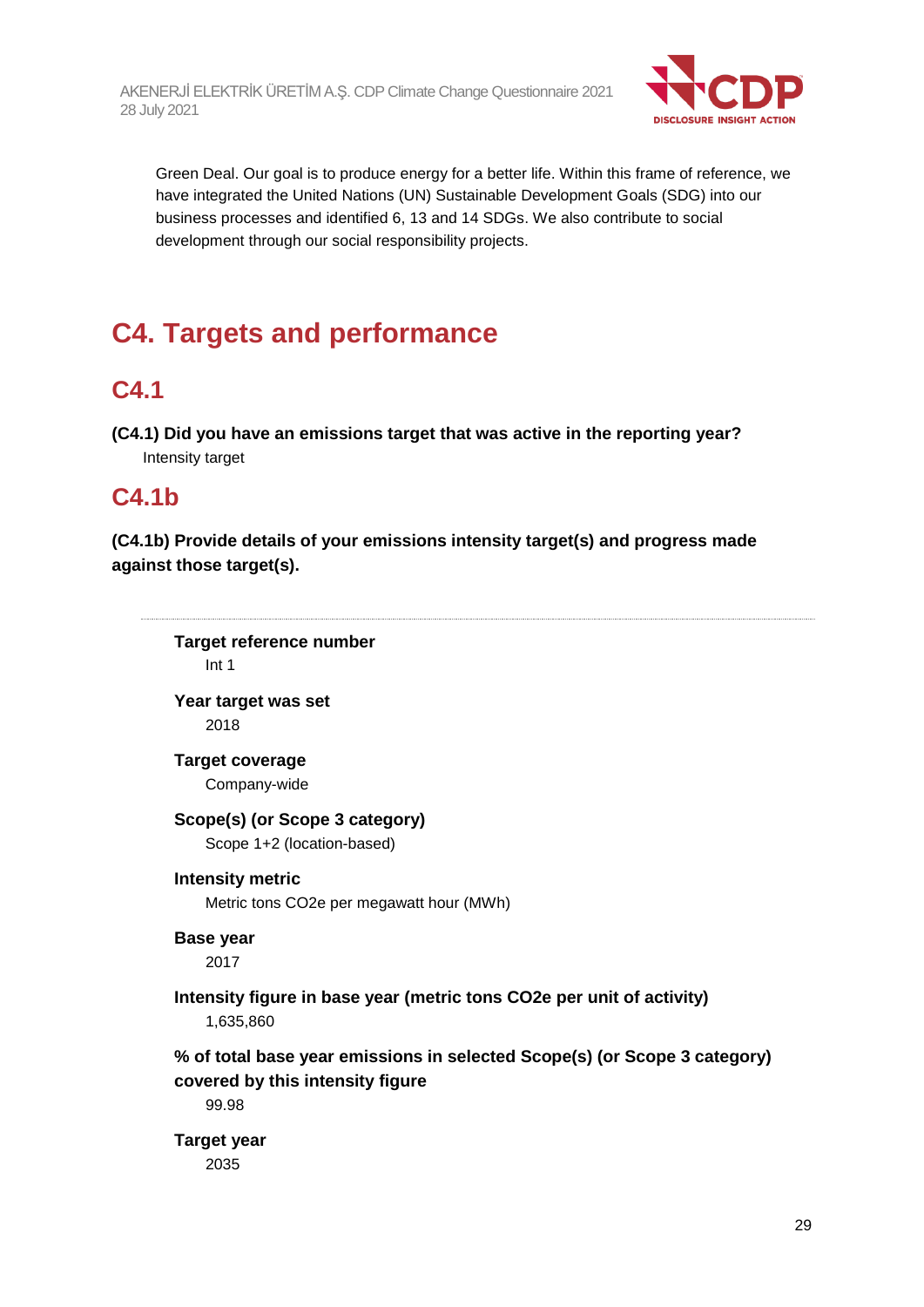

Green Deal. Our goal is to produce energy for a better life. Within this frame of reference, we have integrated the United Nations (UN) Sustainable Development Goals (SDG) into our business processes and identified 6, 13 and 14 SDGs. We also contribute to social development through our social responsibility projects.

# **C4. Targets and performance**

# **C4.1**

**(C4.1) Did you have an emissions target that was active in the reporting year?** Intensity target

# **C4.1b**

**(C4.1b) Provide details of your emissions intensity target(s) and progress made against those target(s).**

**Target reference number** Int 1

**Year target was set** 2018

**Target coverage** Company-wide

### **Scope(s) (or Scope 3 category)**

Scope 1+2 (location-based)

**Intensity metric**

Metric tons CO2e per megawatt hour (MWh)

### **Base year**

2017

### **Intensity figure in base year (metric tons CO2e per unit of activity)** 1,635,860

**% of total base year emissions in selected Scope(s) (or Scope 3 category) covered by this intensity figure**

99.98

**Target year** 2035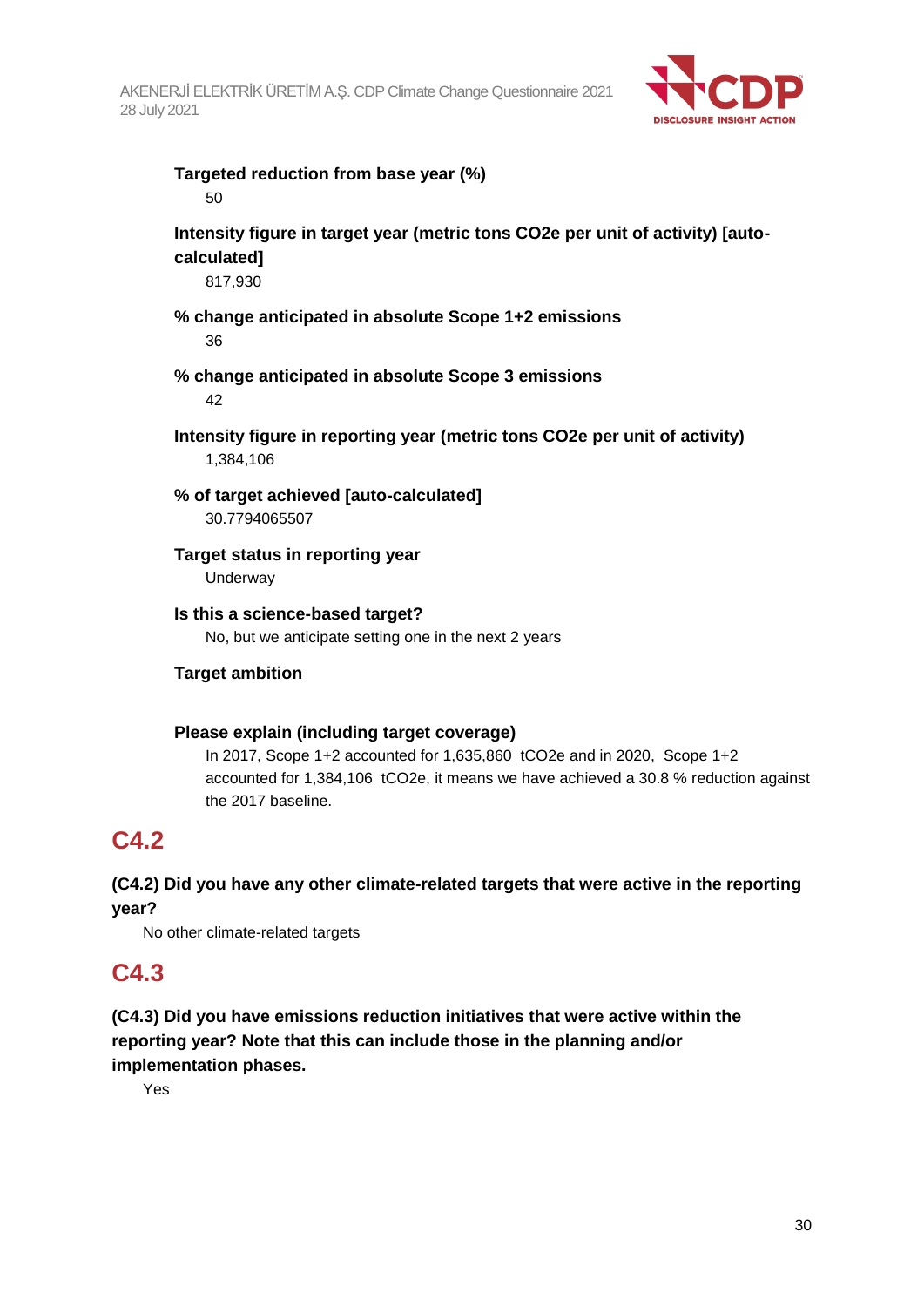

#### **Targeted reduction from base year (%)** 50

### **Intensity figure in target year (metric tons CO2e per unit of activity) [autocalculated]**

817,930

### **% change anticipated in absolute Scope 1+2 emissions** 36

- **% change anticipated in absolute Scope 3 emissions** 42
- **Intensity figure in reporting year (metric tons CO2e per unit of activity)** 1,384,106
- **% of target achieved [auto-calculated]** 30.7794065507

#### **Target status in reporting year** Underway

**Is this a science-based target?** No, but we anticipate setting one in the next 2 years

### **Target ambition**

### **Please explain (including target coverage)**

In 2017, Scope 1+2 accounted for 1,635,860 tCO2e and in 2020, Scope 1+2 accounted for 1,384,106 tCO2e, it means we have achieved a 30.8 % reduction against the 2017 baseline.

# **C4.2**

**(C4.2) Did you have any other climate-related targets that were active in the reporting year?**

No other climate-related targets

### **C4.3**

**(C4.3) Did you have emissions reduction initiatives that were active within the reporting year? Note that this can include those in the planning and/or implementation phases.**

Yes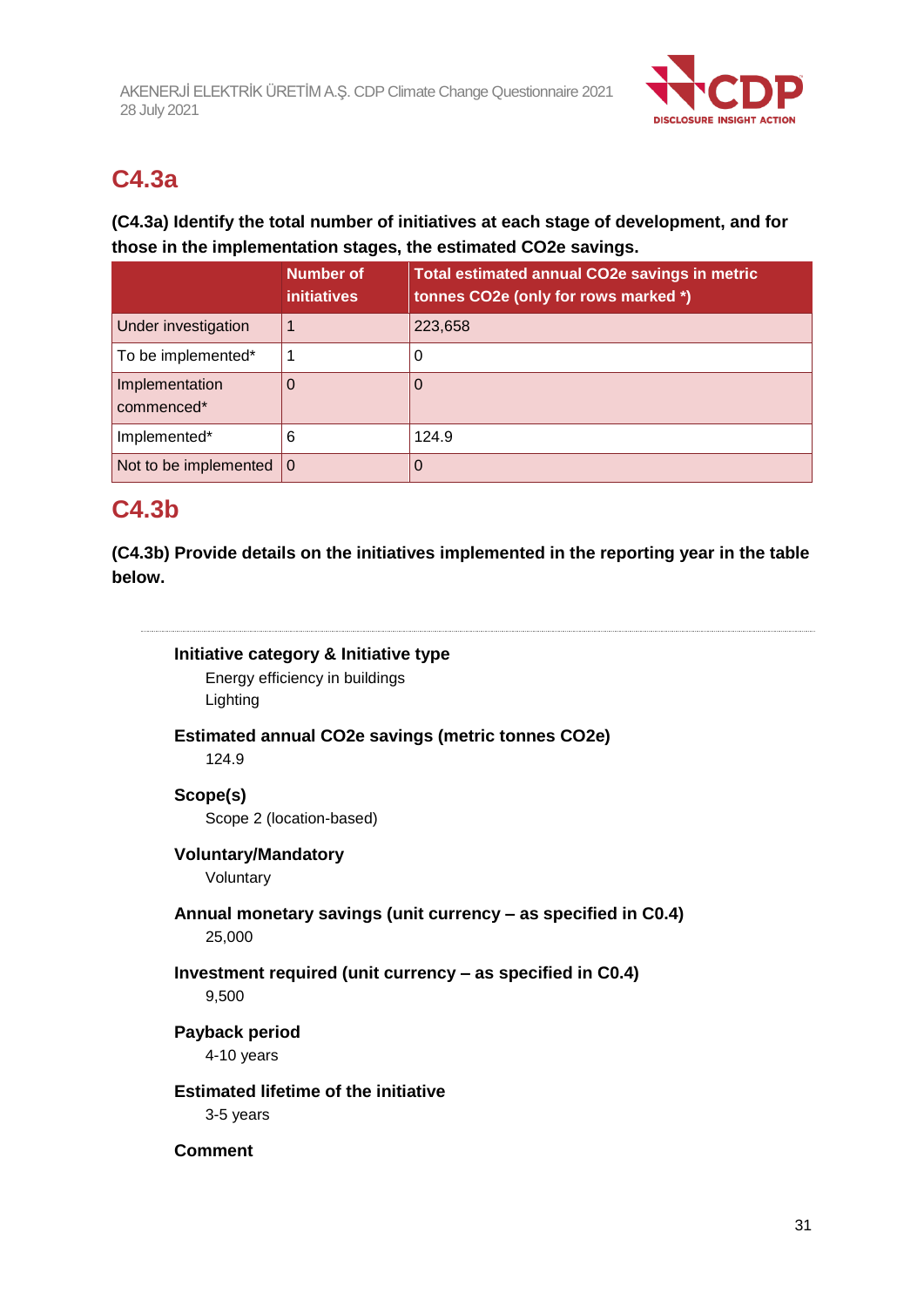

# **C4.3a**

### **(C4.3a) Identify the total number of initiatives at each stage of development, and for those in the implementation stages, the estimated CO2e savings.**

|                                   | Number of<br><b>initiatives</b> | Total estimated annual CO2e savings in metric<br>tonnes CO2e (only for rows marked *) |
|-----------------------------------|---------------------------------|---------------------------------------------------------------------------------------|
| Under investigation               |                                 | 223,658                                                                               |
| To be implemented*                |                                 | 0                                                                                     |
| Implementation<br>commenced*      |                                 | O                                                                                     |
| Implemented*                      | 6                               | 124.9                                                                                 |
| Not to be implemented $ 0\rangle$ |                                 | 0                                                                                     |

# **C4.3b**

**(C4.3b) Provide details on the initiatives implemented in the reporting year in the table below.**



Energy efficiency in buildings Lighting

**Estimated annual CO2e savings (metric tonnes CO2e)**

124.9

### **Scope(s)**

Scope 2 (location-based)

### **Voluntary/Mandatory**

Voluntary

#### **Annual monetary savings (unit currency – as specified in C0.4)** 25,000

### **Investment required (unit currency – as specified in C0.4)** 9,500

### **Payback period**

4-10 years

### **Estimated lifetime of the initiative**

3-5 years

#### **Comment**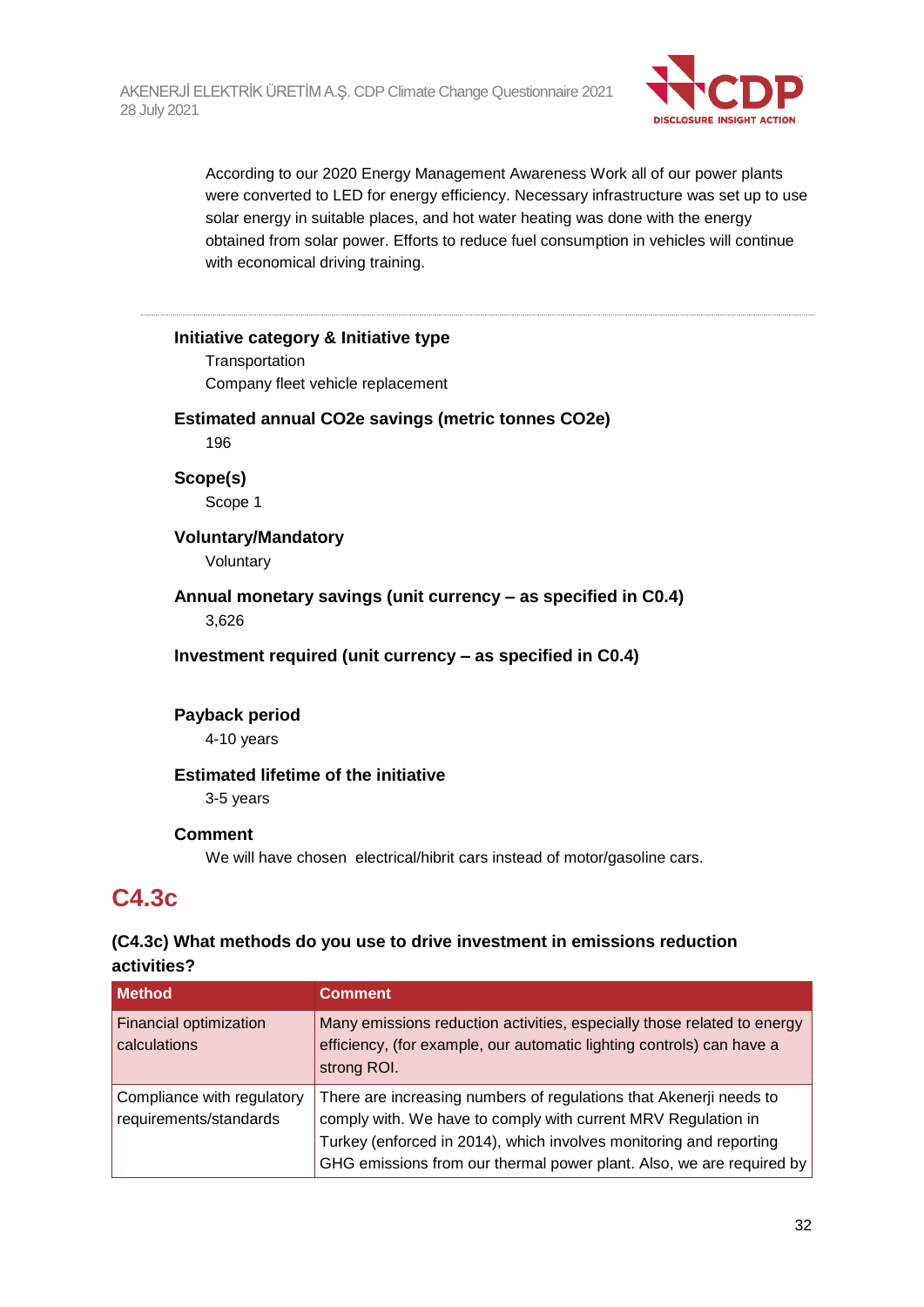

According to our 2020 Energy Management Awareness Work all of our power plants were converted to LED for energy efficiency. Necessary infrastructure was set up to use solar energy in suitable places, and hot water heating was done with the energy obtained from solar power. Efforts to reduce fuel consumption in vehicles will continue with economical driving training.

#### **Initiative category & Initiative type**

**Transportation** Company fleet vehicle replacement

#### **Estimated annual CO2e savings (metric tonnes CO2e)**

196

**Scope(s)** Scope 1

### **Voluntary/Mandatory**

Voluntary

**Annual monetary savings (unit currency – as specified in C0.4)** 3,626

**Investment required (unit currency – as specified in C0.4)**

### **Payback period**

4-10 years

#### **Estimated lifetime of the initiative**

3-5 years

#### **Comment**

We will have chosen electrical/hibrit cars instead of motor/gasoline cars.

# **C4.3c**

### **(C4.3c) What methods do you use to drive investment in emissions reduction activities?**

| <b>Method</b>                                        | <b>Comment</b>                                                                                                                                                                                                                                                                    |
|------------------------------------------------------|-----------------------------------------------------------------------------------------------------------------------------------------------------------------------------------------------------------------------------------------------------------------------------------|
| <b>Financial optimization</b><br>calculations        | Many emissions reduction activities, especially those related to energy<br>efficiency, (for example, our automatic lighting controls) can have a<br>strong ROI.                                                                                                                   |
| Compliance with regulatory<br>requirements/standards | There are increasing numbers of regulations that Akenerji needs to<br>comply with. We have to comply with current MRV Regulation in<br>Turkey (enforced in 2014), which involves monitoring and reporting<br>GHG emissions from our thermal power plant. Also, we are required by |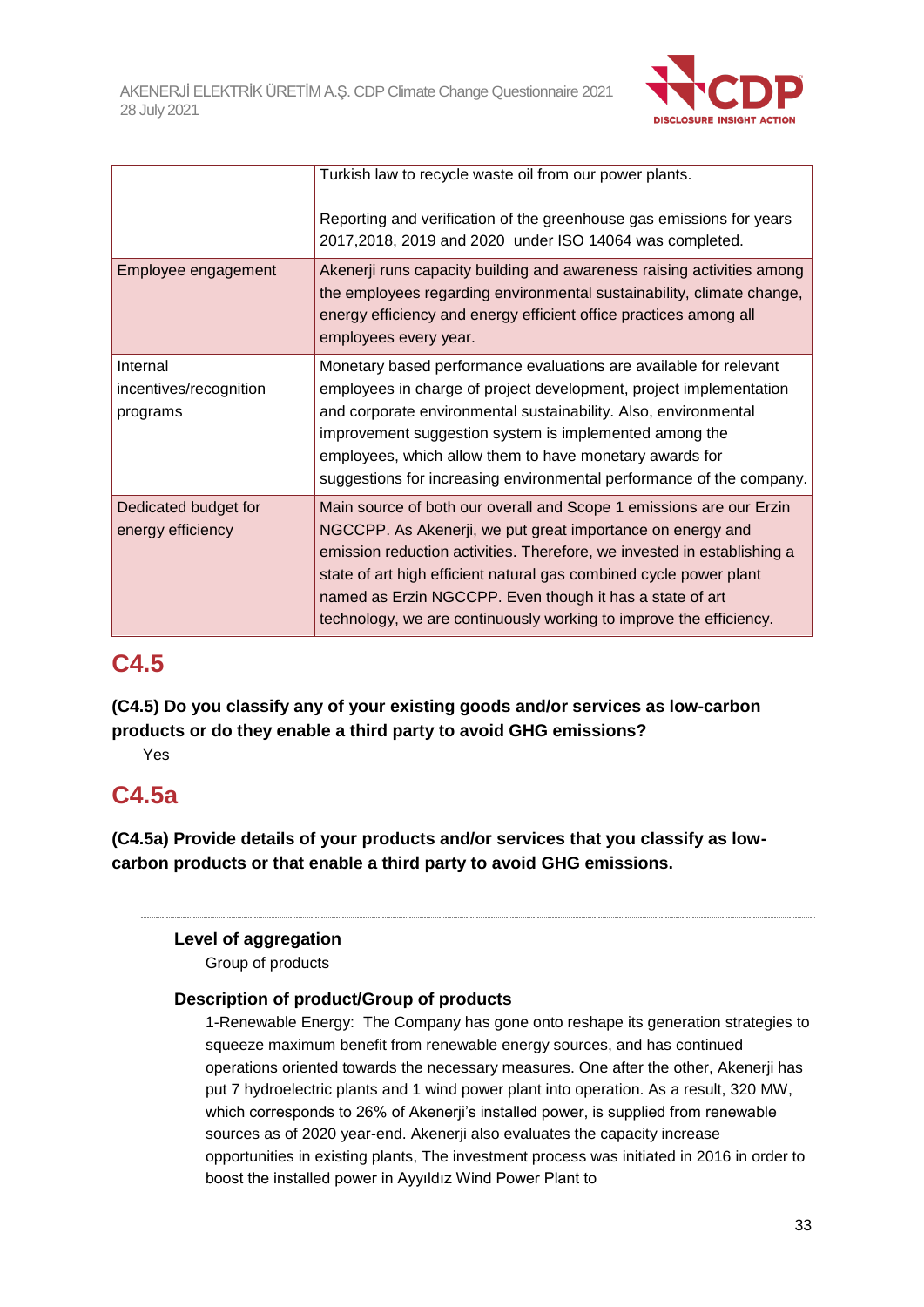

|                                                | Turkish law to recycle waste oil from our power plants.<br>Reporting and verification of the greenhouse gas emissions for years<br>2017,2018, 2019 and 2020 under ISO 14064 was completed.                                                                                                                                                                                                                           |
|------------------------------------------------|----------------------------------------------------------------------------------------------------------------------------------------------------------------------------------------------------------------------------------------------------------------------------------------------------------------------------------------------------------------------------------------------------------------------|
| Employee engagement                            | Akenerji runs capacity building and awareness raising activities among<br>the employees regarding environmental sustainability, climate change,<br>energy efficiency and energy efficient office practices among all<br>employees every year.                                                                                                                                                                        |
| Internal<br>incentives/recognition<br>programs | Monetary based performance evaluations are available for relevant<br>employees in charge of project development, project implementation<br>and corporate environmental sustainability. Also, environmental<br>improvement suggestion system is implemented among the<br>employees, which allow them to have monetary awards for<br>suggestions for increasing environmental performance of the company.              |
| Dedicated budget for<br>energy efficiency      | Main source of both our overall and Scope 1 emissions are our Erzin<br>NGCCPP. As Akenerji, we put great importance on energy and<br>emission reduction activities. Therefore, we invested in establishing a<br>state of art high efficient natural gas combined cycle power plant<br>named as Erzin NGCCPP. Even though it has a state of art<br>technology, we are continuously working to improve the efficiency. |

# **C4.5**

**(C4.5) Do you classify any of your existing goods and/or services as low-carbon products or do they enable a third party to avoid GHG emissions?**

Yes

# **C4.5a**

**(C4.5a) Provide details of your products and/or services that you classify as lowcarbon products or that enable a third party to avoid GHG emissions.**

### **Level of aggregation**

Group of products

### **Description of product/Group of products**

1-Renewable Energy: The Company has gone onto reshape its generation strategies to squeeze maximum benefit from renewable energy sources, and has continued operations oriented towards the necessary measures. One after the other, Akenerji has put 7 hydroelectric plants and 1 wind power plant into operation. As a result, 320 MW, which corresponds to 26% of Akenerji's installed power, is supplied from renewable sources as of 2020 year-end. Akenerji also evaluates the capacity increase opportunities in existing plants, The investment process was initiated in 2016 in order to boost the installed power in Ayyıldız Wind Power Plant to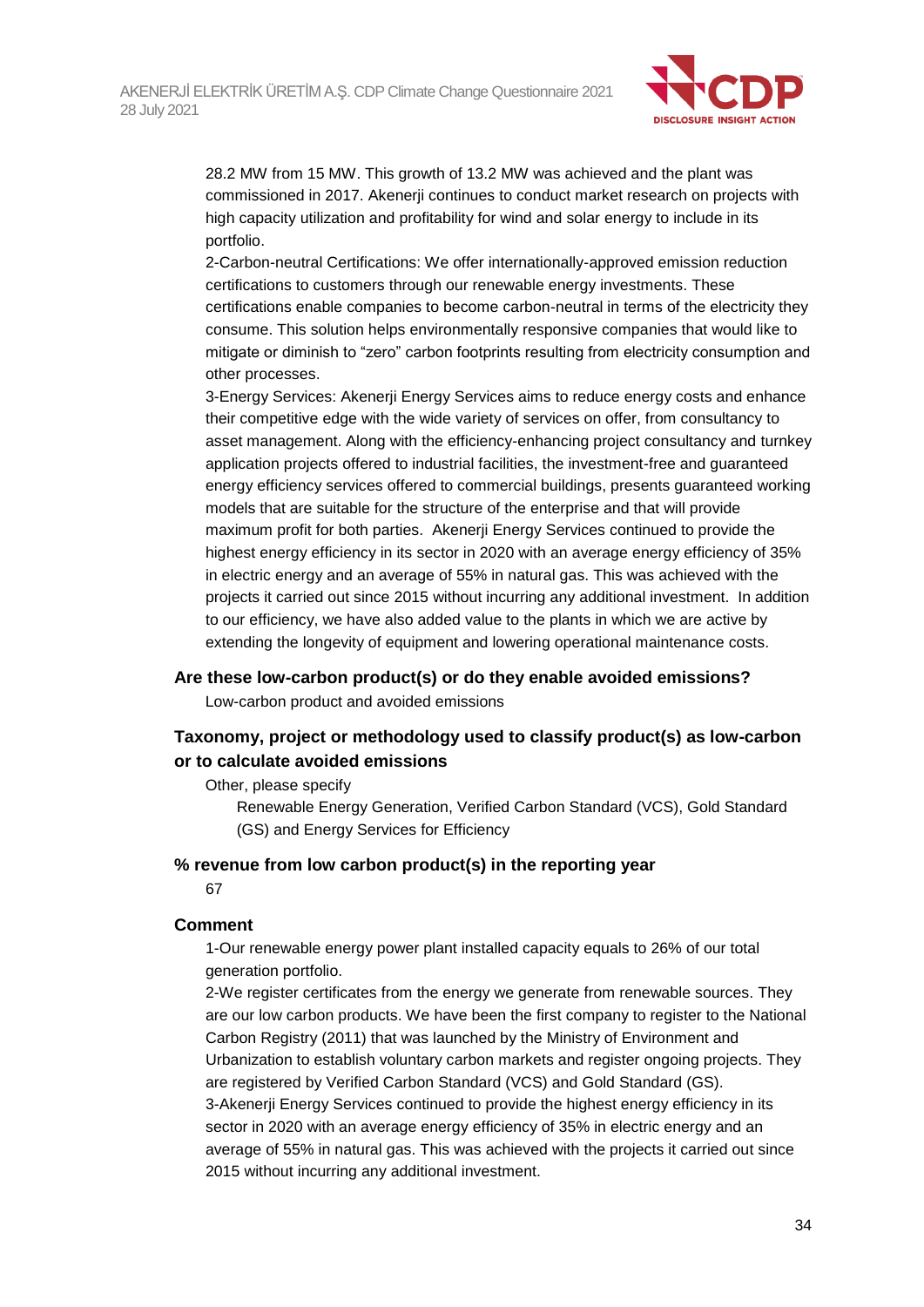

28.2 MW from 15 MW. This growth of 13.2 MW was achieved and the plant was commissioned in 2017. Akenerji continues to conduct market research on projects with high capacity utilization and profitability for wind and solar energy to include in its portfolio.

2-Carbon-neutral Certifications: We offer internationally-approved emission reduction certifications to customers through our renewable energy investments. These certifications enable companies to become carbon-neutral in terms of the electricity they consume. This solution helps environmentally responsive companies that would like to mitigate or diminish to "zero" carbon footprints resulting from electricity consumption and other processes.

3-Energy Services: Akenerji Energy Services aims to reduce energy costs and enhance their competitive edge with the wide variety of services on offer, from consultancy to asset management. Along with the efficiency-enhancing project consultancy and turnkey application projects offered to industrial facilities, the investment-free and guaranteed energy efficiency services offered to commercial buildings, presents guaranteed working models that are suitable for the structure of the enterprise and that will provide maximum profit for both parties. Akenerji Energy Services continued to provide the highest energy efficiency in its sector in 2020 with an average energy efficiency of 35% in electric energy and an average of 55% in natural gas. This was achieved with the projects it carried out since 2015 without incurring any additional investment. In addition to our efficiency, we have also added value to the plants in which we are active by extending the longevity of equipment and lowering operational maintenance costs.

#### **Are these low-carbon product(s) or do they enable avoided emissions?**

Low-carbon product and avoided emissions

### **Taxonomy, project or methodology used to classify product(s) as low-carbon or to calculate avoided emissions**

Other, please specify

Renewable Energy Generation, Verified Carbon Standard (VCS), Gold Standard (GS) and Energy Services for Efficiency

#### **% revenue from low carbon product(s) in the reporting year**

67

#### **Comment**

1-Our renewable energy power plant installed capacity equals to 26% of our total generation portfolio.

2-We register certificates from the energy we generate from renewable sources. They are our low carbon products. We have been the first company to register to the National Carbon Registry (2011) that was launched by the Ministry of Environment and Urbanization to establish voluntary carbon markets and register ongoing projects. They are registered by Verified Carbon Standard (VCS) and Gold Standard (GS). 3-Akenerji Energy Services continued to provide the highest energy efficiency in its sector in 2020 with an average energy efficiency of 35% in electric energy and an average of 55% in natural gas. This was achieved with the projects it carried out since 2015 without incurring any additional investment.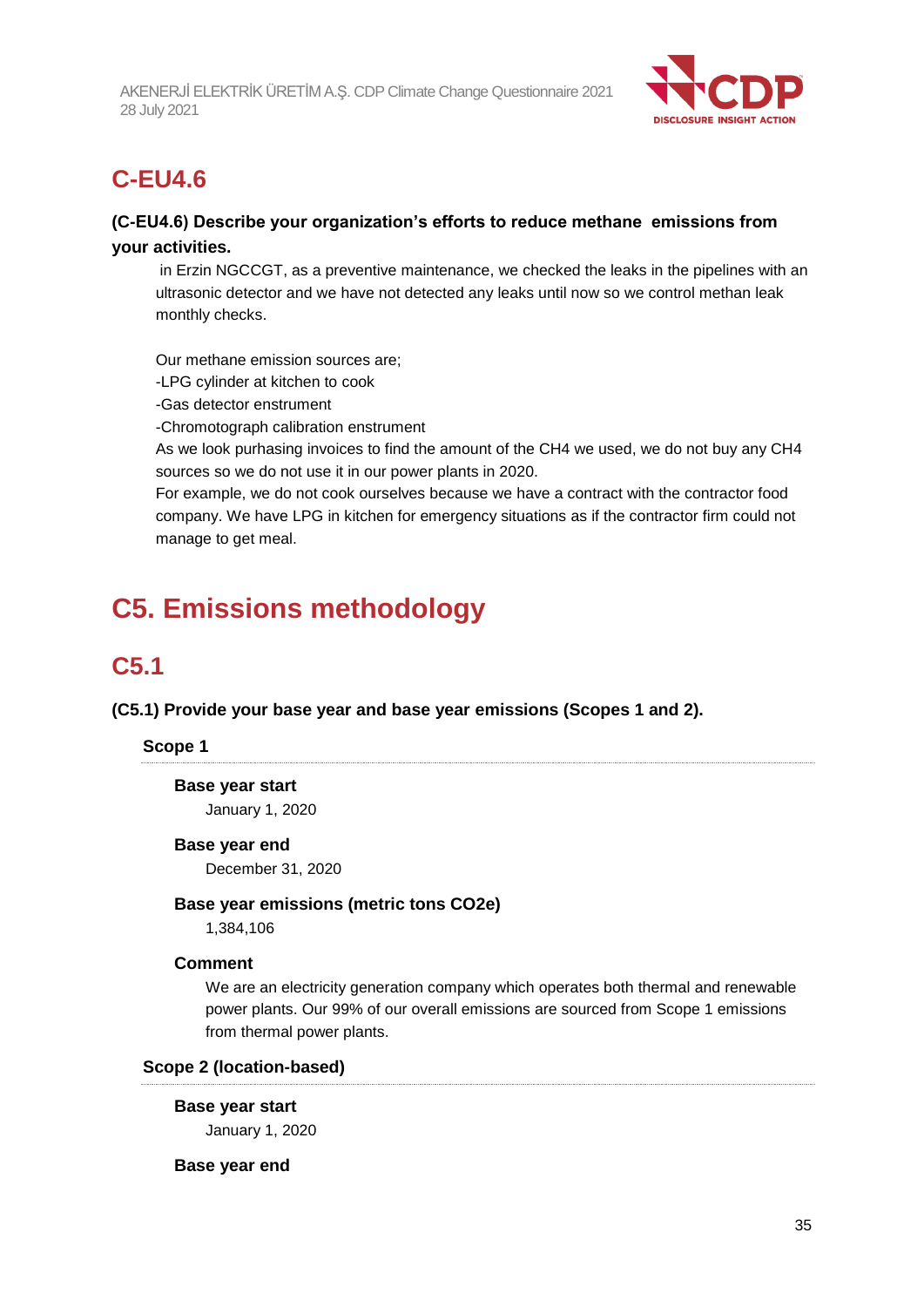

# **C-EU4.6**

### **(C-EU4.6) Describe your organization's efforts to reduce methane emissions from your activities.**

in Erzin NGCCGT, as a preventive maintenance, we checked the leaks in the pipelines with an ultrasonic detector and we have not detected any leaks until now so we control methan leak monthly checks.

Our methane emission sources are;

-LPG cylinder at kitchen to cook

-Gas detector enstrument

-Chromotograph calibration enstrument

As we look purhasing invoices to find the amount of the CH4 we used, we do not buy any CH4 sources so we do not use it in our power plants in 2020.

For example, we do not cook ourselves because we have a contract with the contractor food company. We have LPG in kitchen for emergency situations as if the contractor firm could not manage to get meal.

# **C5. Emissions methodology**

# **C5.1**

**(C5.1) Provide your base year and base year emissions (Scopes 1 and 2).**

### **Scope 1**

# **Base year start**

January 1, 2020

#### **Base year end**

December 31, 2020

#### **Base year emissions (metric tons CO2e)**

1,384,106

#### **Comment**

We are an electricity generation company which operates both thermal and renewable power plants. Our 99% of our overall emissions are sourced from Scope 1 emissions from thermal power plants.

#### **Scope 2 (location-based)**

**Base year start**

January 1, 2020

**Base year end**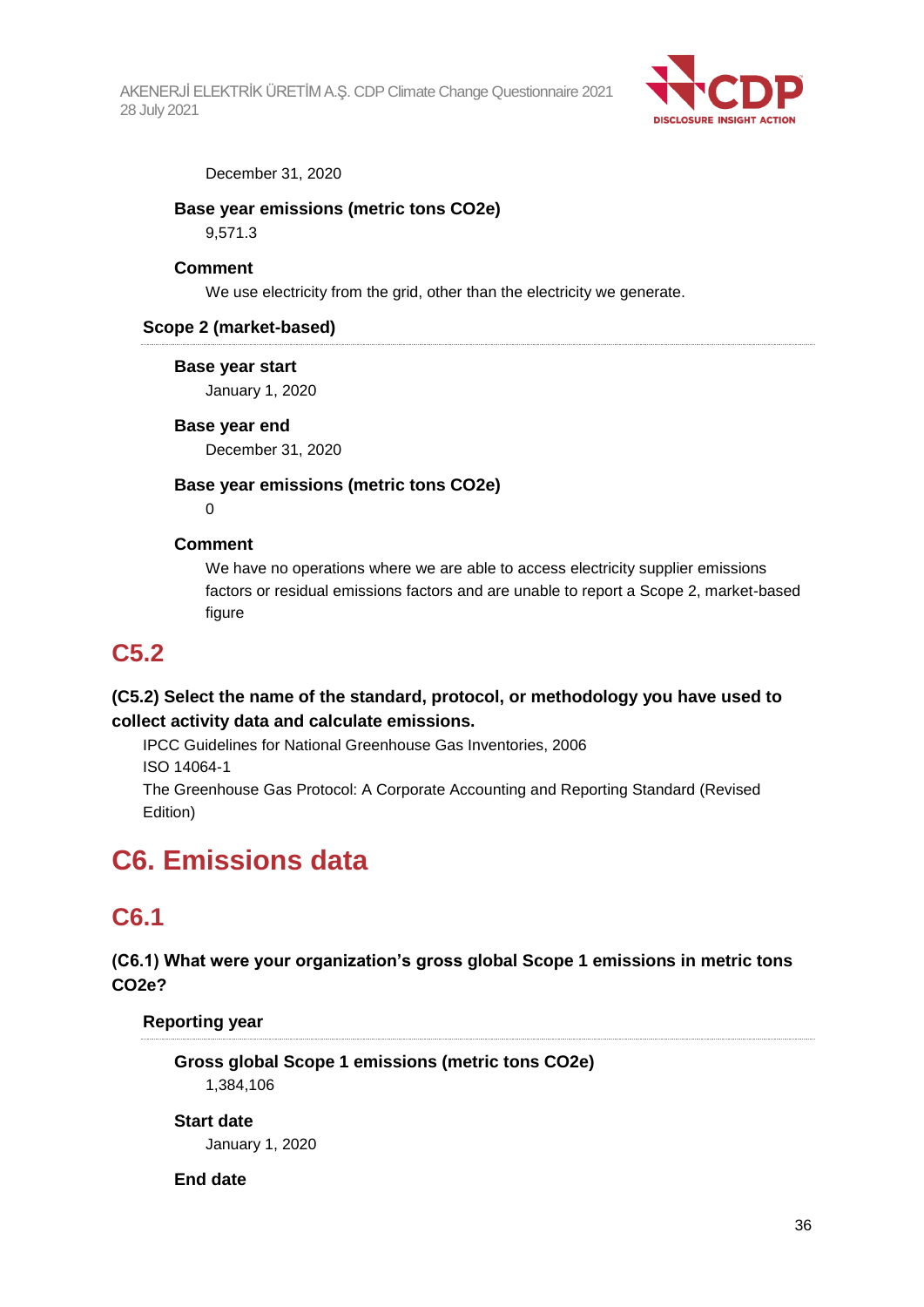

December 31, 2020

#### **Base year emissions (metric tons CO2e)**

9,571.3

#### **Comment**

We use electricity from the grid, other than the electricity we generate.

#### **Scope 2 (market-based)**

#### **Base year start**

January 1, 2020

#### **Base year end**

December 31, 2020

#### **Base year emissions (metric tons CO2e)**

 $\Omega$ 

#### **Comment**

We have no operations where we are able to access electricity supplier emissions factors or residual emissions factors and are unable to report a Scope 2, market-based figure

### **C5.2**

### **(C5.2) Select the name of the standard, protocol, or methodology you have used to collect activity data and calculate emissions.**

IPCC Guidelines for National Greenhouse Gas Inventories, 2006 ISO 14064-1 The Greenhouse Gas Protocol: A Corporate Accounting and Reporting Standard (Revised Edition)

# **C6. Emissions data**

# **C6.1**

**(C6.1) What were your organization's gross global Scope 1 emissions in metric tons CO2e?**

**Reporting year**

**Gross global Scope 1 emissions (metric tons CO2e)** 1,384,106

#### **Start date**

January 1, 2020

#### **End date**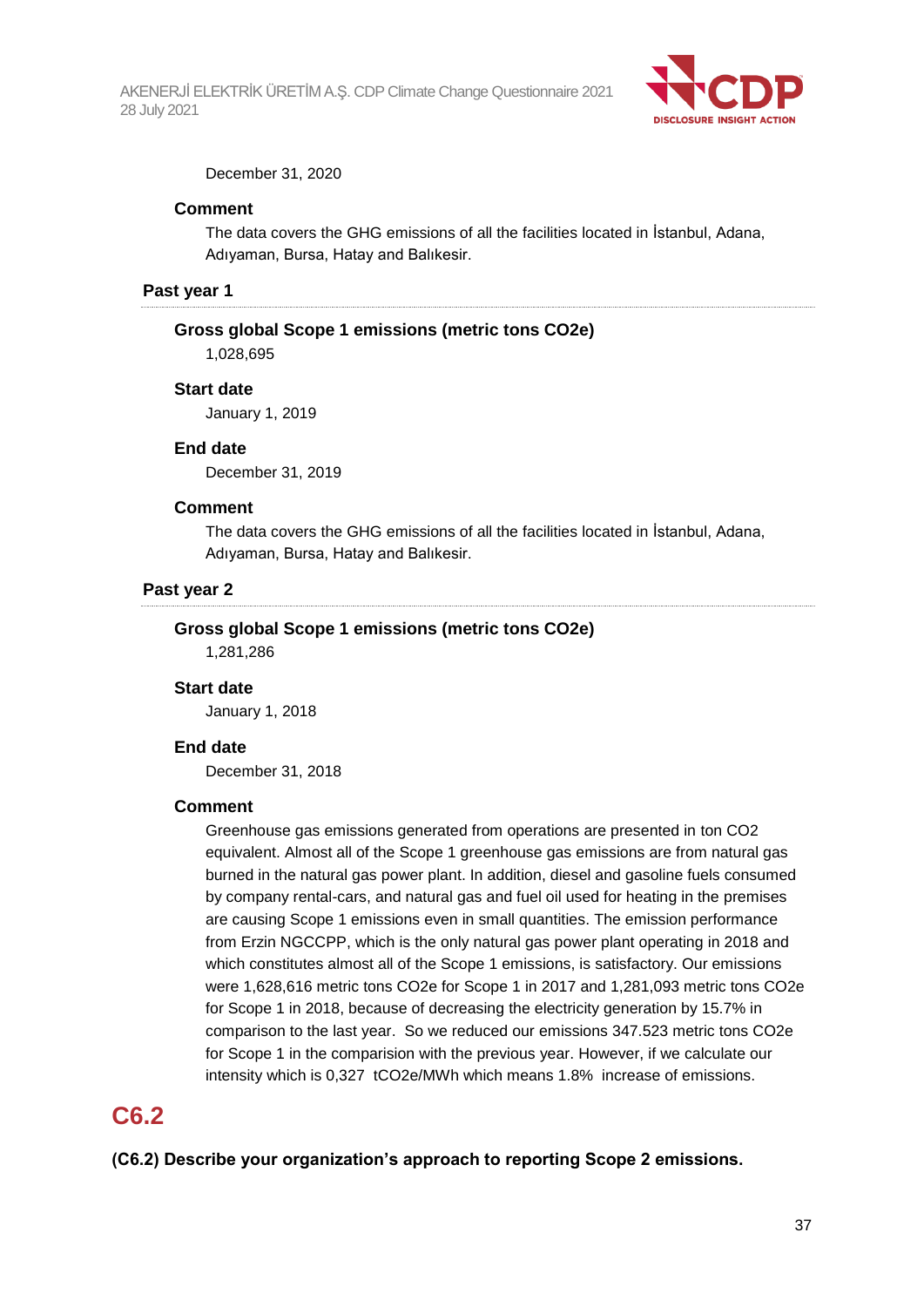

December 31, 2020

#### **Comment**

The data covers the GHG emissions of all the facilities located in İstanbul, Adana, Adıyaman, Bursa, Hatay and Balıkesir.

#### **Past year 1**

#### **Gross global Scope 1 emissions (metric tons CO2e)**

1,028,695

#### **Start date**

January 1, 2019

#### **End date**

December 31, 2019

#### **Comment**

The data covers the GHG emissions of all the facilities located in İstanbul, Adana, Adıyaman, Bursa, Hatay and Balıkesir.

### **Past year 2**

#### **Gross global Scope 1 emissions (metric tons CO2e)**

1,281,286

#### **Start date**

January 1, 2018

#### **End date**

December 31, 2018

#### **Comment**

Greenhouse gas emissions generated from operations are presented in ton CO2 equivalent. Almost all of the Scope 1 greenhouse gas emissions are from natural gas burned in the natural gas power plant. In addition, diesel and gasoline fuels consumed by company rental-cars, and natural gas and fuel oil used for heating in the premises are causing Scope 1 emissions even in small quantities. The emission performance from Erzin NGCCPP, which is the only natural gas power plant operating in 2018 and which constitutes almost all of the Scope 1 emissions, is satisfactory. Our emissions were 1,628,616 metric tons CO2e for Scope 1 in 2017 and 1,281,093 metric tons CO2e for Scope 1 in 2018, because of decreasing the electricity generation by 15.7% in comparison to the last year. So we reduced our emissions 347.523 metric tons CO2e for Scope 1 in the comparision with the previous year. However, if we calculate our intensity which is 0,327 tCO2e/MWh which means 1.8% increase of emissions.

## **C6.2**

**(C6.2) Describe your organization's approach to reporting Scope 2 emissions.**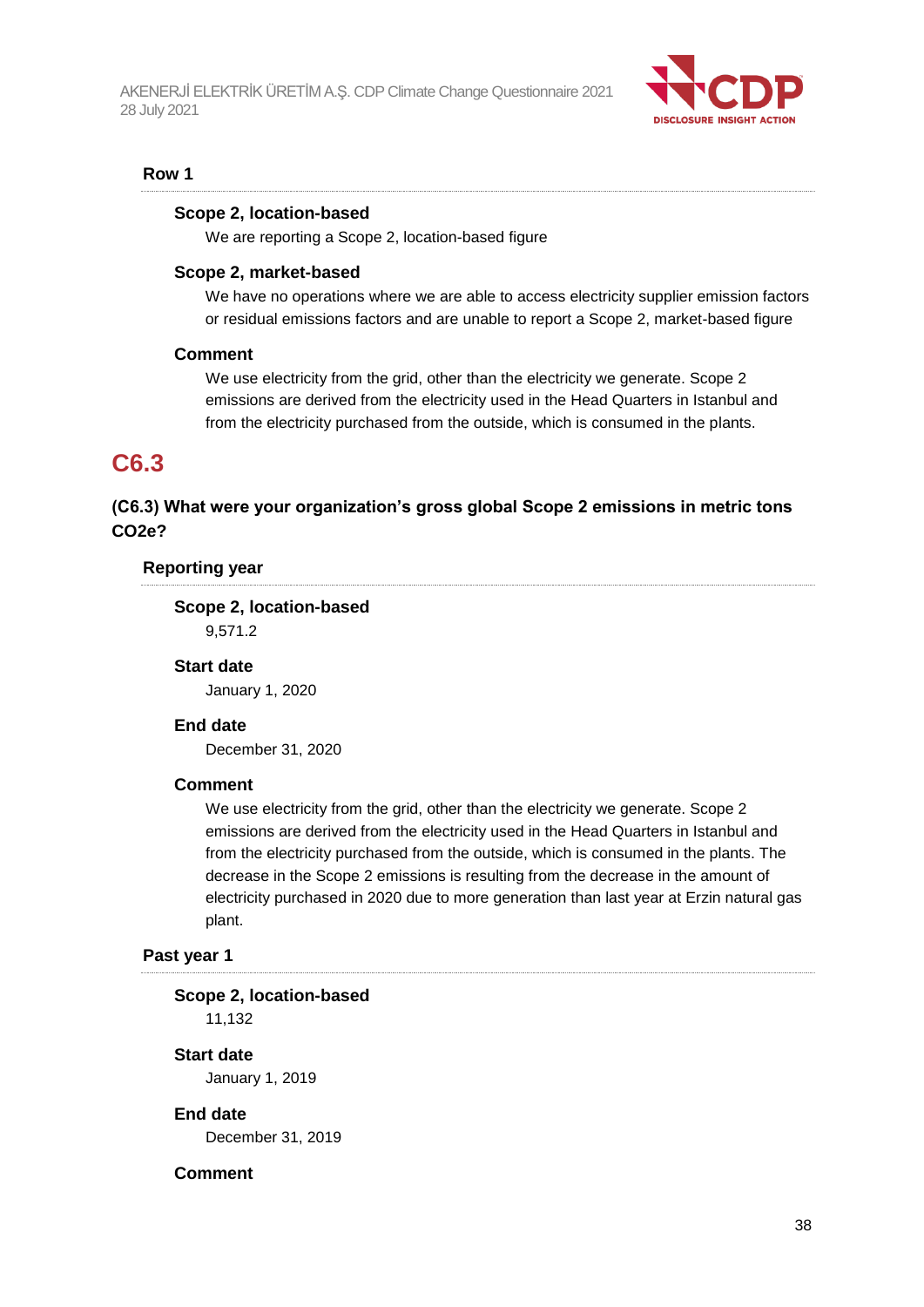

#### **Row 1**

#### **Scope 2, location-based**

We are reporting a Scope 2, location-based figure

#### **Scope 2, market-based**

We have no operations where we are able to access electricity supplier emission factors or residual emissions factors and are unable to report a Scope 2, market-based figure

#### **Comment**

We use electricity from the grid, other than the electricity we generate. Scope 2 emissions are derived from the electricity used in the Head Quarters in Istanbul and from the electricity purchased from the outside, which is consumed in the plants.

## **C6.3**

## **(C6.3) What were your organization's gross global Scope 2 emissions in metric tons CO2e?**

#### **Reporting year**

**Scope 2, location-based** 9,571.2

## **Start date**

January 1, 2020

#### **End date**

December 31, 2020

#### **Comment**

We use electricity from the grid, other than the electricity we generate. Scope 2 emissions are derived from the electricity used in the Head Quarters in Istanbul and from the electricity purchased from the outside, which is consumed in the plants. The decrease in the Scope 2 emissions is resulting from the decrease in the amount of electricity purchased in 2020 due to more generation than last year at Erzin natural gas plant.

#### **Past year 1**

#### **Scope 2, location-based**

11,132

#### **Start date**

January 1, 2019

#### **End date**

December 31, 2019

#### **Comment**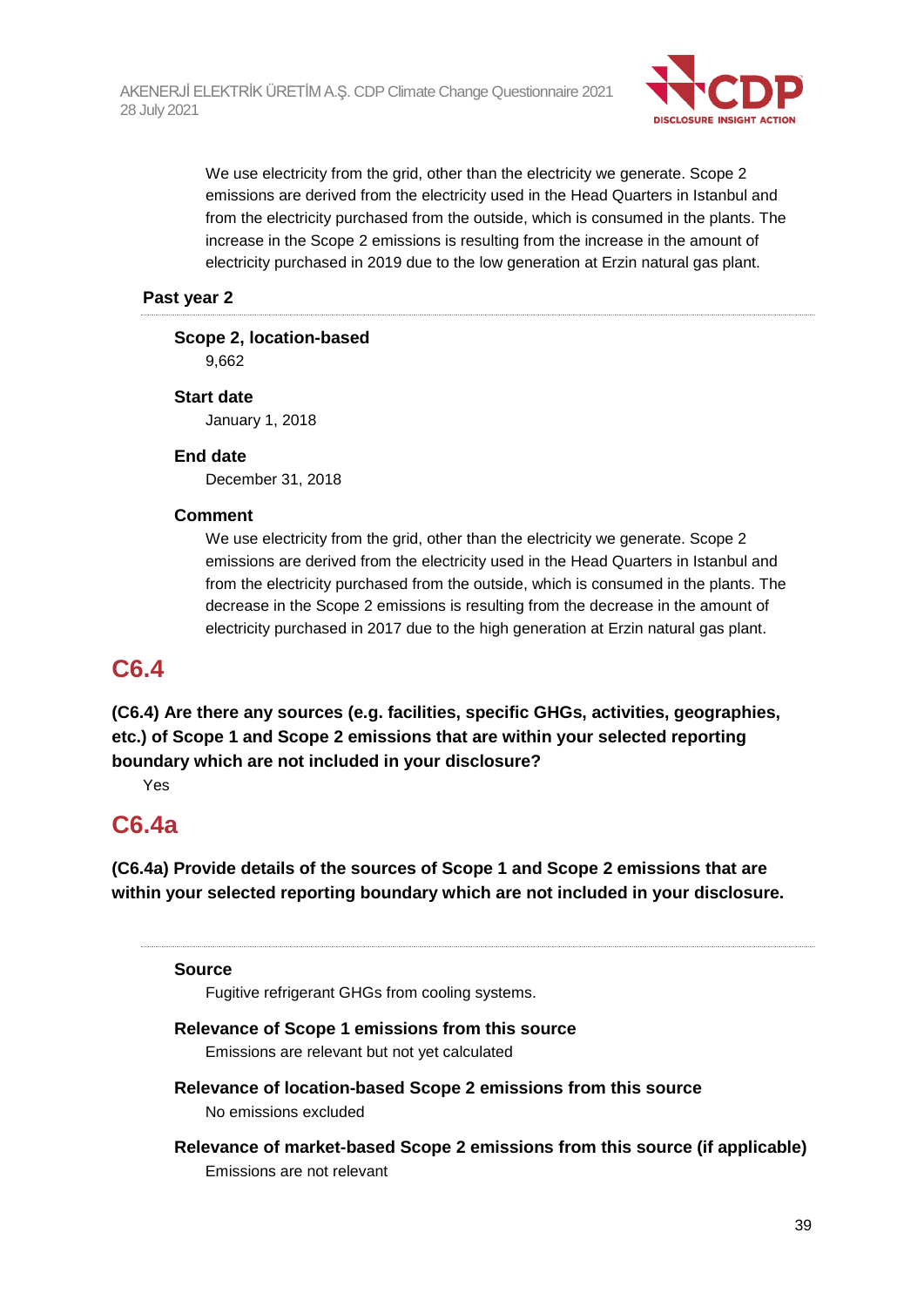

We use electricity from the grid, other than the electricity we generate. Scope 2 emissions are derived from the electricity used in the Head Quarters in Istanbul and from the electricity purchased from the outside, which is consumed in the plants. The increase in the Scope 2 emissions is resulting from the increase in the amount of electricity purchased in 2019 due to the low generation at Erzin natural gas plant.

### **Past year 2**

## **Scope 2, location-based**

9,662

## **Start date**

January 1, 2018

## **End date**

December 31, 2018

## **Comment**

We use electricity from the grid, other than the electricity we generate. Scope 2 emissions are derived from the electricity used in the Head Quarters in Istanbul and from the electricity purchased from the outside, which is consumed in the plants. The decrease in the Scope 2 emissions is resulting from the decrease in the amount of electricity purchased in 2017 due to the high generation at Erzin natural gas plant.

## **C6.4**

**(C6.4) Are there any sources (e.g. facilities, specific GHGs, activities, geographies, etc.) of Scope 1 and Scope 2 emissions that are within your selected reporting boundary which are not included in your disclosure?**

Yes

## **C6.4a**

**(C6.4a) Provide details of the sources of Scope 1 and Scope 2 emissions that are within your selected reporting boundary which are not included in your disclosure.**

### **Source**

Fugitive refrigerant GHGs from cooling systems.

## **Relevance of Scope 1 emissions from this source**

Emissions are relevant but not yet calculated

- **Relevance of location-based Scope 2 emissions from this source** No emissions excluded
- **Relevance of market-based Scope 2 emissions from this source (if applicable)** Emissions are not relevant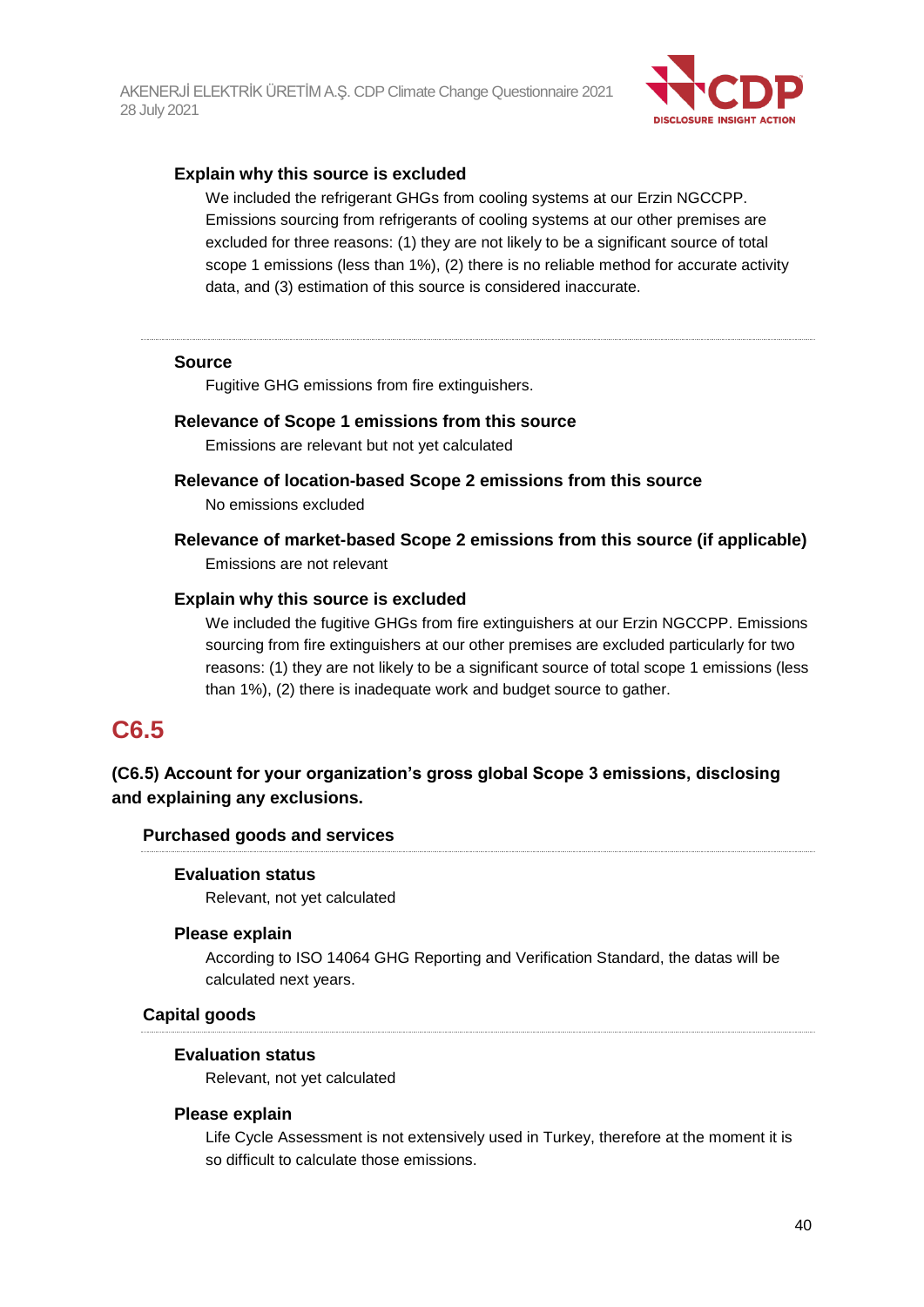

### **Explain why this source is excluded**

We included the refrigerant GHGs from cooling systems at our Erzin NGCCPP. Emissions sourcing from refrigerants of cooling systems at our other premises are excluded for three reasons: (1) they are not likely to be a significant source of total scope 1 emissions (less than 1%), (2) there is no reliable method for accurate activity data, and (3) estimation of this source is considered inaccurate.

#### **Source**

Fugitive GHG emissions from fire extinguishers.

#### **Relevance of Scope 1 emissions from this source**

Emissions are relevant but not yet calculated

**Relevance of location-based Scope 2 emissions from this source**

No emissions excluded

**Relevance of market-based Scope 2 emissions from this source (if applicable)** Emissions are not relevant

#### **Explain why this source is excluded**

We included the fugitive GHGs from fire extinguishers at our Erzin NGCCPP. Emissions sourcing from fire extinguishers at our other premises are excluded particularly for two reasons: (1) they are not likely to be a significant source of total scope 1 emissions (less than 1%), (2) there is inadequate work and budget source to gather.

## **C6.5**

## **(C6.5) Account for your organization's gross global Scope 3 emissions, disclosing and explaining any exclusions.**

#### **Purchased goods and services**

#### **Evaluation status**

Relevant, not yet calculated

#### **Please explain**

According to ISO 14064 GHG Reporting and Verification Standard, the datas will be calculated next years.

#### **Capital goods**

#### **Evaluation status**

Relevant, not yet calculated

#### **Please explain**

Life Cycle Assessment is not extensively used in Turkey, therefore at the moment it is so difficult to calculate those emissions.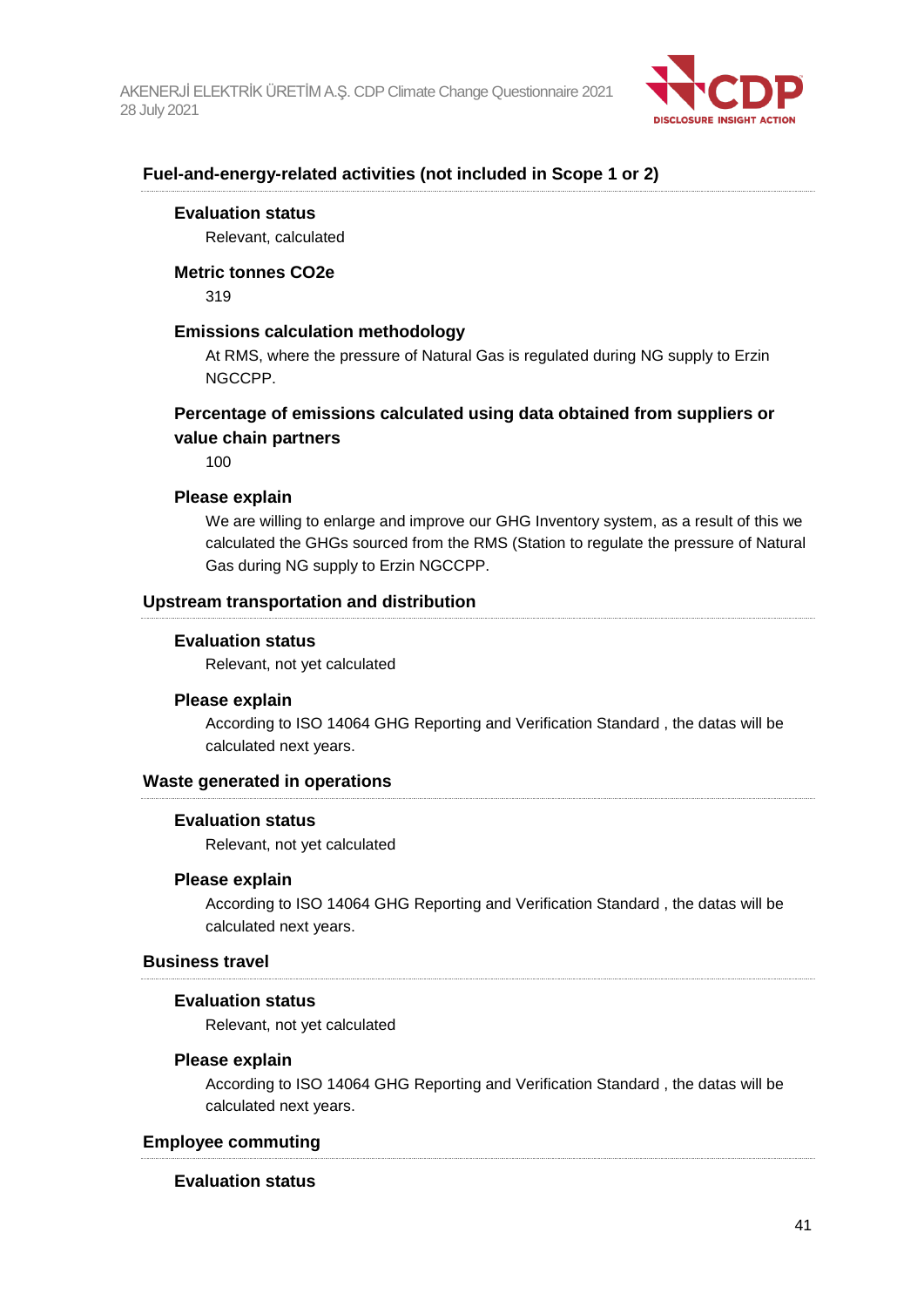

### **Fuel-and-energy-related activities (not included in Scope 1 or 2)**

#### **Evaluation status**

Relevant, calculated

#### **Metric tonnes CO2e**

319

### **Emissions calculation methodology**

At RMS, where the pressure of Natural Gas is regulated during NG supply to Erzin NGCCPP.

### **Percentage of emissions calculated using data obtained from suppliers or value chain partners**

100

#### **Please explain**

We are willing to enlarge and improve our GHG Inventory system, as a result of this we calculated the GHGs sourced from the RMS (Station to regulate the pressure of Natural Gas during NG supply to Erzin NGCCPP.

#### **Upstream transportation and distribution**

#### **Evaluation status**

Relevant, not yet calculated

#### **Please explain**

According to ISO 14064 GHG Reporting and Verification Standard , the datas will be calculated next years.

#### **Waste generated in operations**

#### **Evaluation status**

Relevant, not yet calculated

#### **Please explain**

According to ISO 14064 GHG Reporting and Verification Standard , the datas will be calculated next years.

### **Business travel**

#### **Evaluation status**

Relevant, not yet calculated

#### **Please explain**

According to ISO 14064 GHG Reporting and Verification Standard , the datas will be calculated next years.

#### **Employee commuting**

#### **Evaluation status**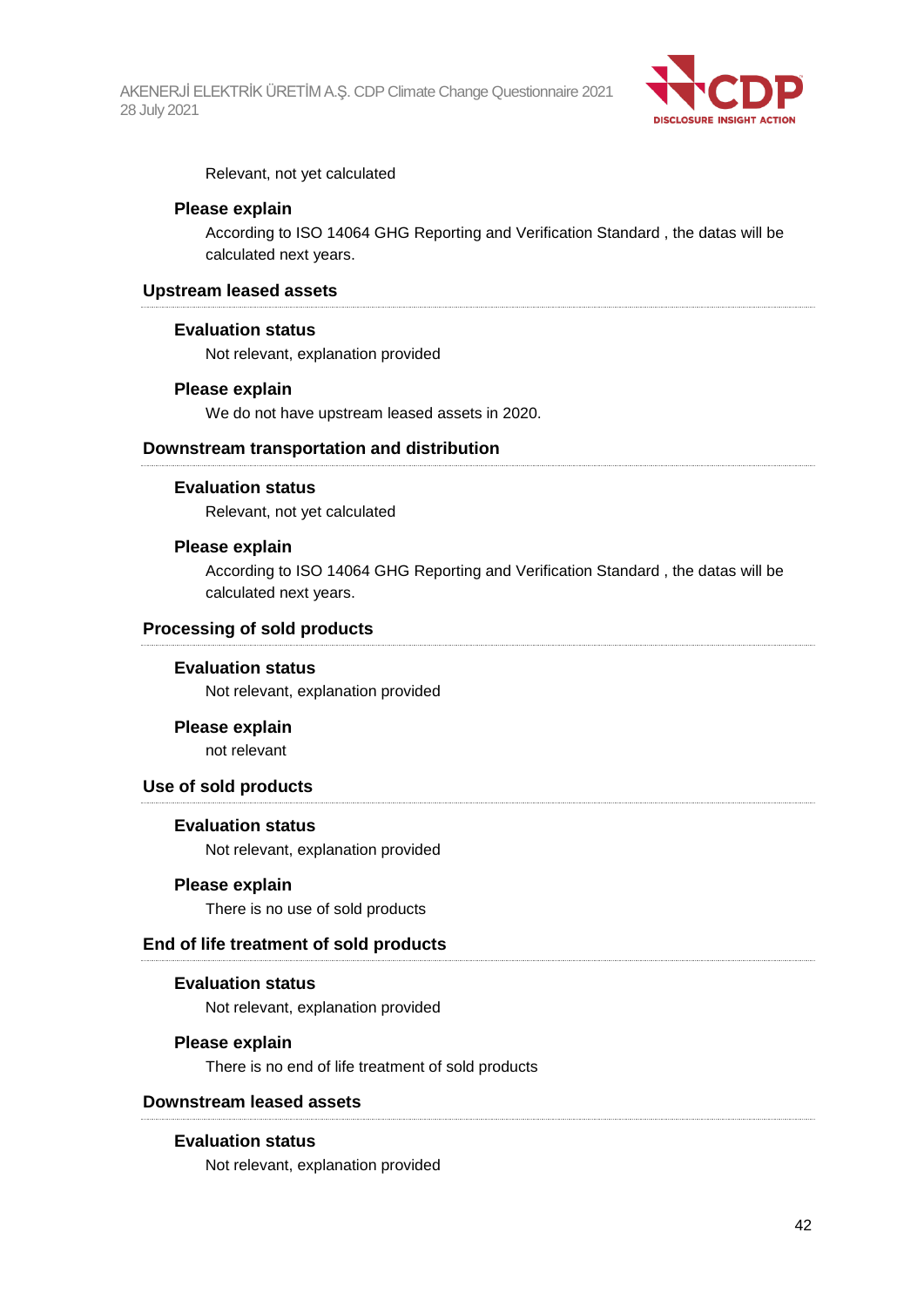

Relevant, not yet calculated

### **Please explain**

According to ISO 14064 GHG Reporting and Verification Standard , the datas will be calculated next years.

#### **Upstream leased assets**

#### **Evaluation status**

Not relevant, explanation provided

### **Please explain**

We do not have upstream leased assets in 2020.

### **Downstream transportation and distribution**

#### **Evaluation status**

Relevant, not yet calculated

#### **Please explain**

According to ISO 14064 GHG Reporting and Verification Standard , the datas will be calculated next years.

### **Processing of sold products**

#### **Evaluation status**

Not relevant, explanation provided

#### **Please explain**

not relevant

### **Use of sold products**

#### **Evaluation status**

Not relevant, explanation provided

#### **Please explain**

There is no use of sold products

#### **End of life treatment of sold products**

#### **Evaluation status**

Not relevant, explanation provided

#### **Please explain**

There is no end of life treatment of sold products

### **Downstream leased assets**

#### **Evaluation status**

Not relevant, explanation provided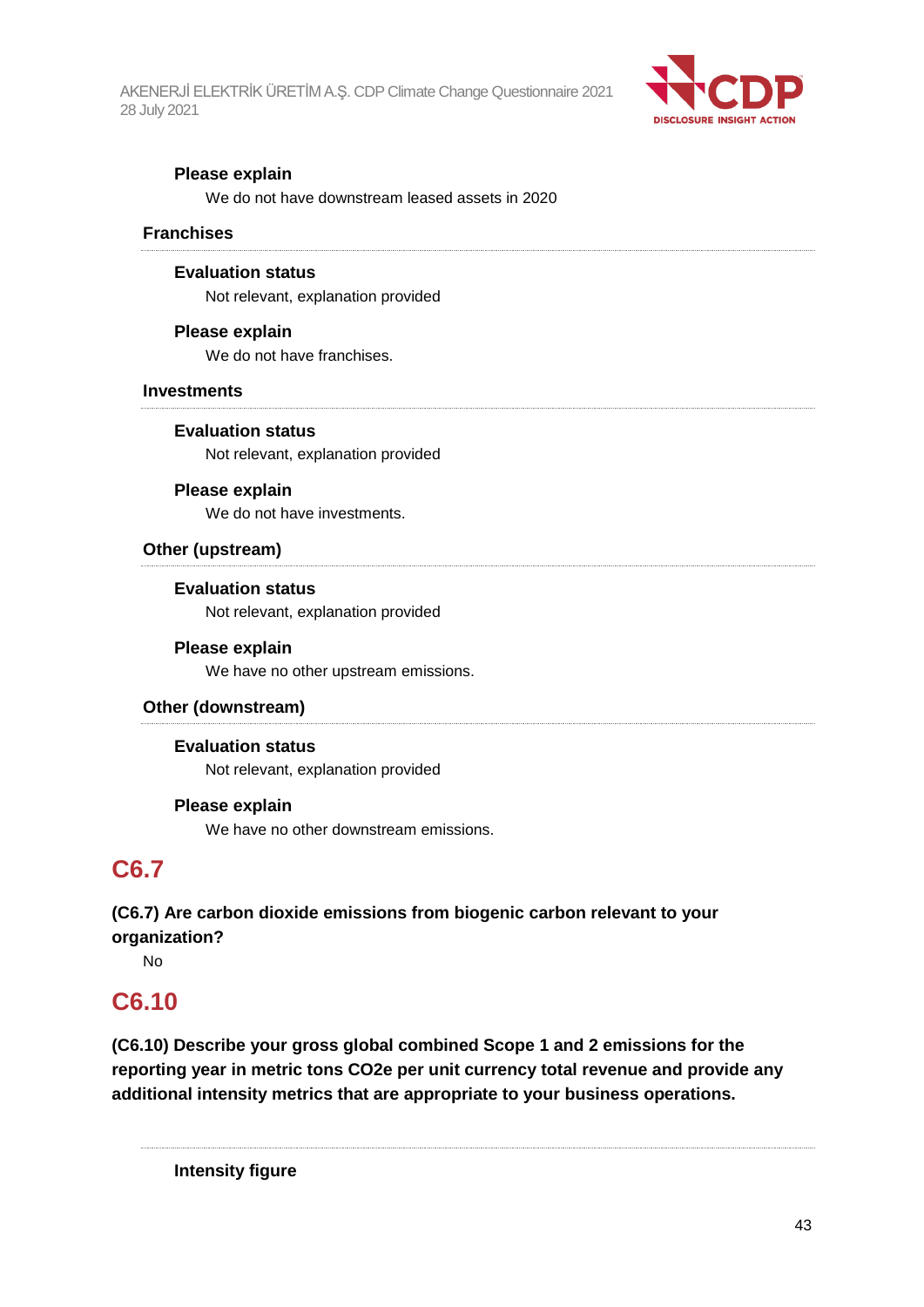

### **Please explain**

We do not have downstream leased assets in 2020

### **Franchises**

#### **Evaluation status**

Not relevant, explanation provided

### **Please explain**

We do not have franchises.

### **Investments**

**Evaluation status**

Not relevant, explanation provided

### **Please explain**

We do not have investments.

### **Other (upstream)**

**Evaluation status** Not relevant, explanation provided

### **Please explain**

We have no other upstream emissions.

### **Other (downstream)**

### **Evaluation status**

Not relevant, explanation provided

#### **Please explain**

We have no other downstream emissions.

## **C6.7**

**(C6.7) Are carbon dioxide emissions from biogenic carbon relevant to your organization?**

No

## **C6.10**

**(C6.10) Describe your gross global combined Scope 1 and 2 emissions for the reporting year in metric tons CO2e per unit currency total revenue and provide any additional intensity metrics that are appropriate to your business operations.**

**Intensity figure**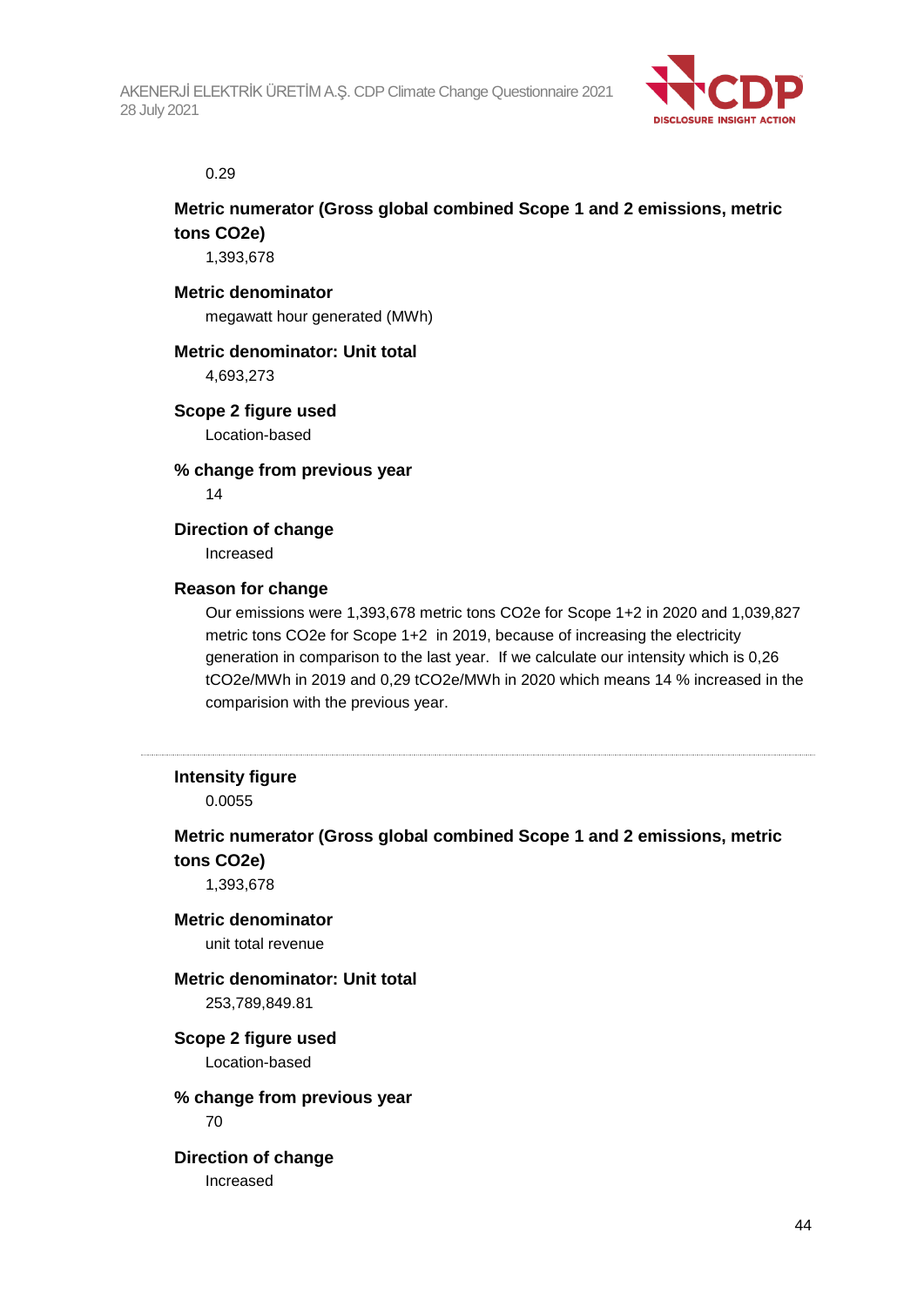

#### 0.29

## **Metric numerator (Gross global combined Scope 1 and 2 emissions, metric tons CO2e)**

1,393,678

#### **Metric denominator**

megawatt hour generated (MWh)

#### **Metric denominator: Unit total**

4,693,273

### **Scope 2 figure used**

Location-based

**% change from previous year** 14

### **Direction of change**

Increased

### **Reason for change**

Our emissions were 1,393,678 metric tons CO2e for Scope 1+2 in 2020 and 1,039,827 metric tons CO2e for Scope 1+2 in 2019, because of increasing the electricity generation in comparison to the last year. If we calculate our intensity which is 0,26 tCO2e/MWh in 2019 and 0,29 tCO2e/MWh in 2020 which means 14 % increased in the comparision with the previous year.

### **Intensity figure**

0.0055

## **Metric numerator (Gross global combined Scope 1 and 2 emissions, metric tons CO2e)**

1,393,678

#### **Metric denominator** unit total revenue

## **Metric denominator: Unit total**

253,789,849.81

### **Scope 2 figure used**

Location-based

## **% change from previous year**

70

#### **Direction of change** Increased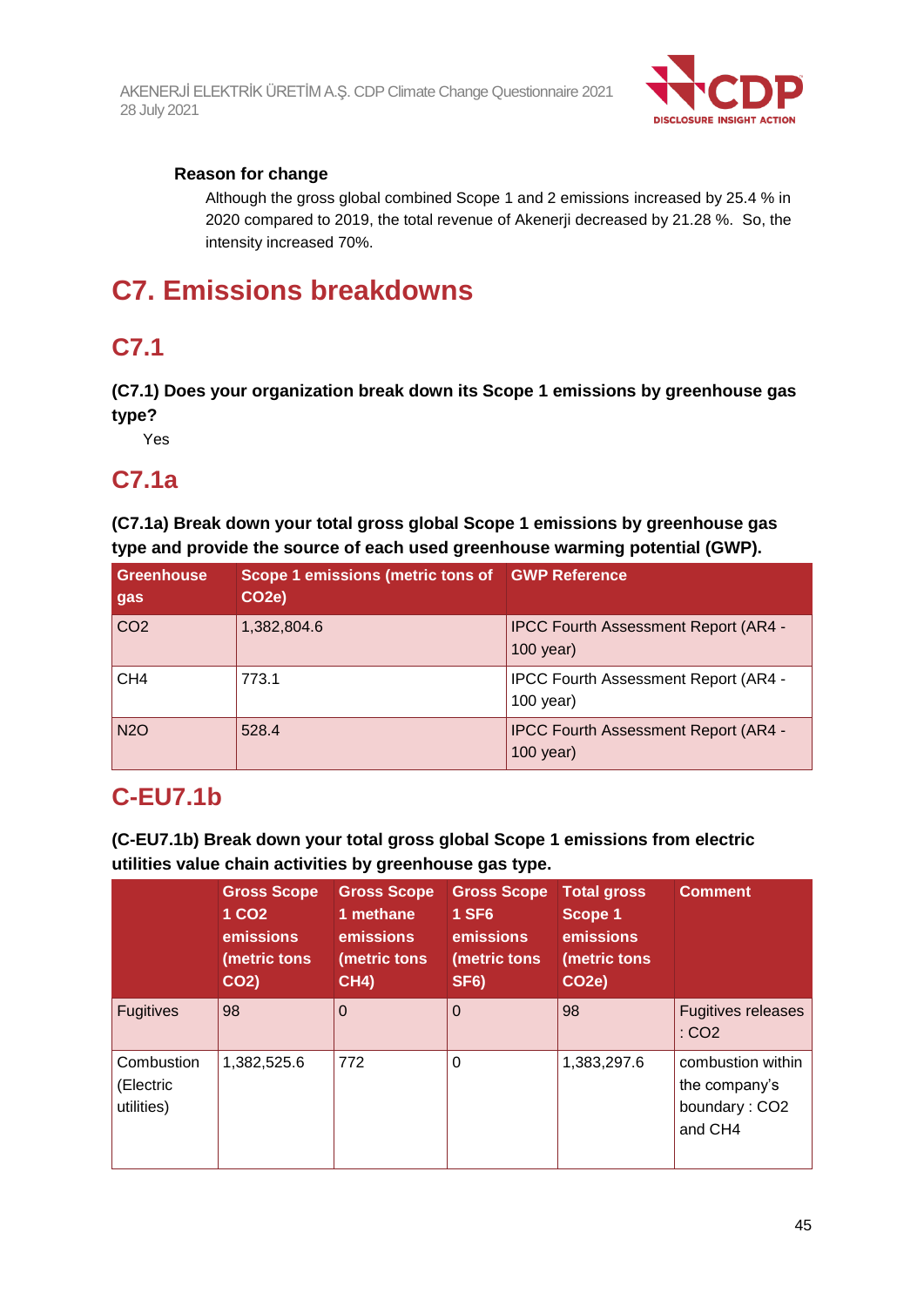

## **Reason for change**

Although the gross global combined Scope 1 and 2 emissions increased by 25.4 % in 2020 compared to 2019, the total revenue of Akenerji decreased by 21.28 %. So, the intensity increased 70%.

## **C7. Emissions breakdowns**

## **C7.1**

**(C7.1) Does your organization break down its Scope 1 emissions by greenhouse gas type?**

Yes

## **C7.1a**

**(C7.1a) Break down your total gross global Scope 1 emissions by greenhouse gas type and provide the source of each used greenhouse warming potential (GWP).**

| Greenhouse<br>gas | Scope 1 emissions (metric tons of GWP Reference<br>CO <sub>2</sub> e) |                                                            |
|-------------------|-----------------------------------------------------------------------|------------------------------------------------------------|
| CO <sub>2</sub>   | 1,382,804.6                                                           | <b>IPCC Fourth Assessment Report (AR4 -</b><br>$100$ year) |
| CH4               | 773.1                                                                 | <b>IPCC Fourth Assessment Report (AR4 -</b><br>$100$ year) |
| <b>N2O</b>        | 528.4                                                                 | <b>IPCC Fourth Assessment Report (AR4 -</b><br>$100$ year) |

## **C-EU7.1b**

**(C-EU7.1b) Break down your total gross global Scope 1 emissions from electric utilities value chain activities by greenhouse gas type.**

|                                       | <b>Gross Scope</b><br>1 CO <sub>2</sub><br>emissions<br>(metric tons<br>CO <sub>2</sub> ) | <b>Gross Scope</b><br>1 methane<br>emissions<br>(metric tons<br><b>CH4)</b> | <b>Gross Scope</b><br><b>1 SF6</b><br>emissions<br>(metric tons<br>SF <sub>6</sub> ) | <b>Total gross</b><br>Scope 1<br>emissions<br>(metric tons<br><b>CO2e)</b> | <b>Comment</b>                                                 |
|---------------------------------------|-------------------------------------------------------------------------------------------|-----------------------------------------------------------------------------|--------------------------------------------------------------------------------------|----------------------------------------------------------------------------|----------------------------------------------------------------|
| <b>Fugitives</b>                      | 98                                                                                        | $\Omega$                                                                    | $\Omega$                                                                             | 98                                                                         | <b>Fugitives releases</b><br>: CO2                             |
| Combustion<br>(Electric<br>utilities) | 1,382,525.6                                                                               | 772                                                                         | 0                                                                                    | 1,383,297.6                                                                | combustion within<br>the company's<br>boundary: CO2<br>and CH4 |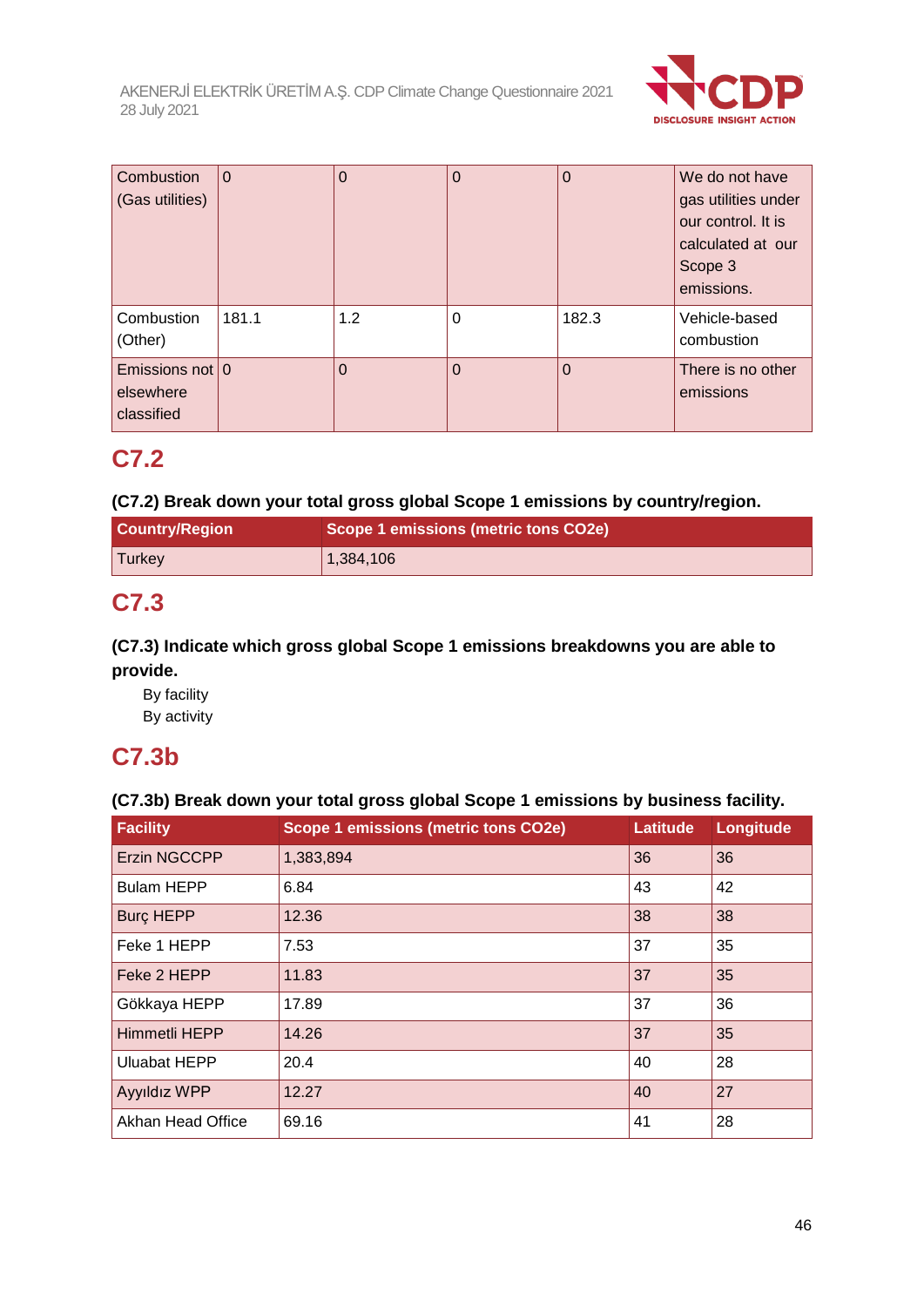

| Combustion<br>(Gas utilities)                  | $\Omega$ | O   | $\Omega$ | $\overline{0}$ | We do not have<br>gas utilities under<br>our control. It is<br>calculated at our<br>Scope 3<br>emissions. |
|------------------------------------------------|----------|-----|----------|----------------|-----------------------------------------------------------------------------------------------------------|
| Combustion<br>(Other)                          | 181.1    | 1.2 | $\Omega$ | 182.3          | Vehicle-based<br>combustion                                                                               |
| Emissions not $ 0 $<br>elsewhere<br>classified |          | 0   | $\Omega$ | $\Omega$       | There is no other<br>emissions                                                                            |

## **C7.2**

## **(C7.2) Break down your total gross global Scope 1 emissions by country/region.**

| <b>Country/Region</b> | Scope 1 emissions (metric tons CO2e) |
|-----------------------|--------------------------------------|
| Turkey                | 1,384,106                            |

## **C7.3**

## **(C7.3) Indicate which gross global Scope 1 emissions breakdowns you are able to provide.**

By facility By activity

## **C7.3b**

## **(C7.3b) Break down your total gross global Scope 1 emissions by business facility.**

| <b>Facility</b>     | <b>Scope 1 emissions (metric tons CO2e)</b> | Latitude | Longitude |
|---------------------|---------------------------------------------|----------|-----------|
| <b>Erzin NGCCPP</b> | 1,383,894                                   | 36       | 36        |
| <b>Bulam HEPP</b>   | 6.84                                        | 43       | 42        |
| <b>Burc HEPP</b>    | 12.36                                       | 38       | 38        |
| Feke 1 HEPP         | 7.53                                        | 37       | 35        |
| Feke 2 HEPP         | 11.83                                       | 37       | 35        |
| Gökkaya HEPP        | 17.89                                       | 37       | 36        |
| Himmetli HEPP       | 14.26                                       | 37       | 35        |
| <b>Uluabat HEPP</b> | 20.4                                        | 40       | 28        |
| <b>Ayyıldız WPP</b> | 12.27                                       | 40       | 27        |
| Akhan Head Office   | 69.16                                       | 41       | 28        |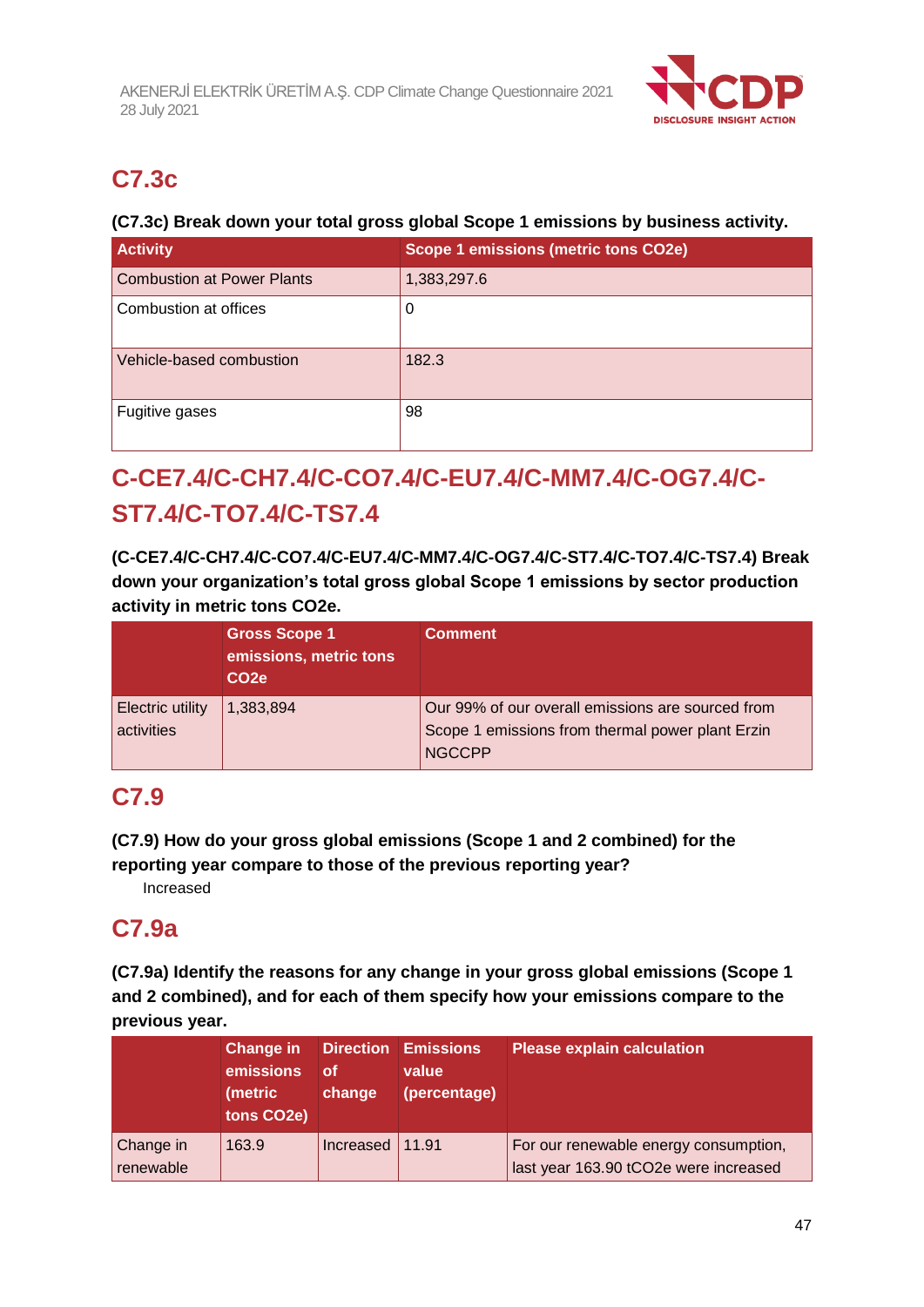

## **C7.3c**

## **(C7.3c) Break down your total gross global Scope 1 emissions by business activity.**

| <b>Activity</b>                   | Scope 1 emissions (metric tons CO2e) |
|-----------------------------------|--------------------------------------|
| <b>Combustion at Power Plants</b> | 1,383,297.6                          |
| Combustion at offices             | 0                                    |
| Vehicle-based combustion          | 182.3                                |
| Fugitive gases                    | 98                                   |

## **C-CE7.4/C-CH7.4/C-CO7.4/C-EU7.4/C-MM7.4/C-OG7.4/C-ST7.4/C-TO7.4/C-TS7.4**

**(C-CE7.4/C-CH7.4/C-CO7.4/C-EU7.4/C-MM7.4/C-OG7.4/C-ST7.4/C-TO7.4/C-TS7.4) Break down your organization's total gross global Scope 1 emissions by sector production activity in metric tons CO2e.**

|                                       | <b>Gross Scope 1</b><br>emissions, metric tons<br>CO <sub>2e</sub> | <b>Comment</b>                                                                                                         |
|---------------------------------------|--------------------------------------------------------------------|------------------------------------------------------------------------------------------------------------------------|
| <b>Electric utility</b><br>activities | 1,383,894                                                          | Our 99% of our overall emissions are sourced from<br>Scope 1 emissions from thermal power plant Erzin<br><b>NGCCPP</b> |

## **C7.9**

**(C7.9) How do your gross global emissions (Scope 1 and 2 combined) for the reporting year compare to those of the previous reporting year?**

Increased

## **C7.9a**

**(C7.9a) Identify the reasons for any change in your gross global emissions (Scope 1 and 2 combined), and for each of them specify how your emissions compare to the previous year.**

|                        | Change in<br>emissions<br>(metric<br>tons CO2e) | οf<br>change | <b>Direction Emissions</b><br>value<br>(percentage) | <b>Please explain calculation</b>                                              |
|------------------------|-------------------------------------------------|--------------|-----------------------------------------------------|--------------------------------------------------------------------------------|
| Change in<br>renewable | 163.9                                           | Increased    | 11.91                                               | For our renewable energy consumption,<br>last year 163.90 tCO2e were increased |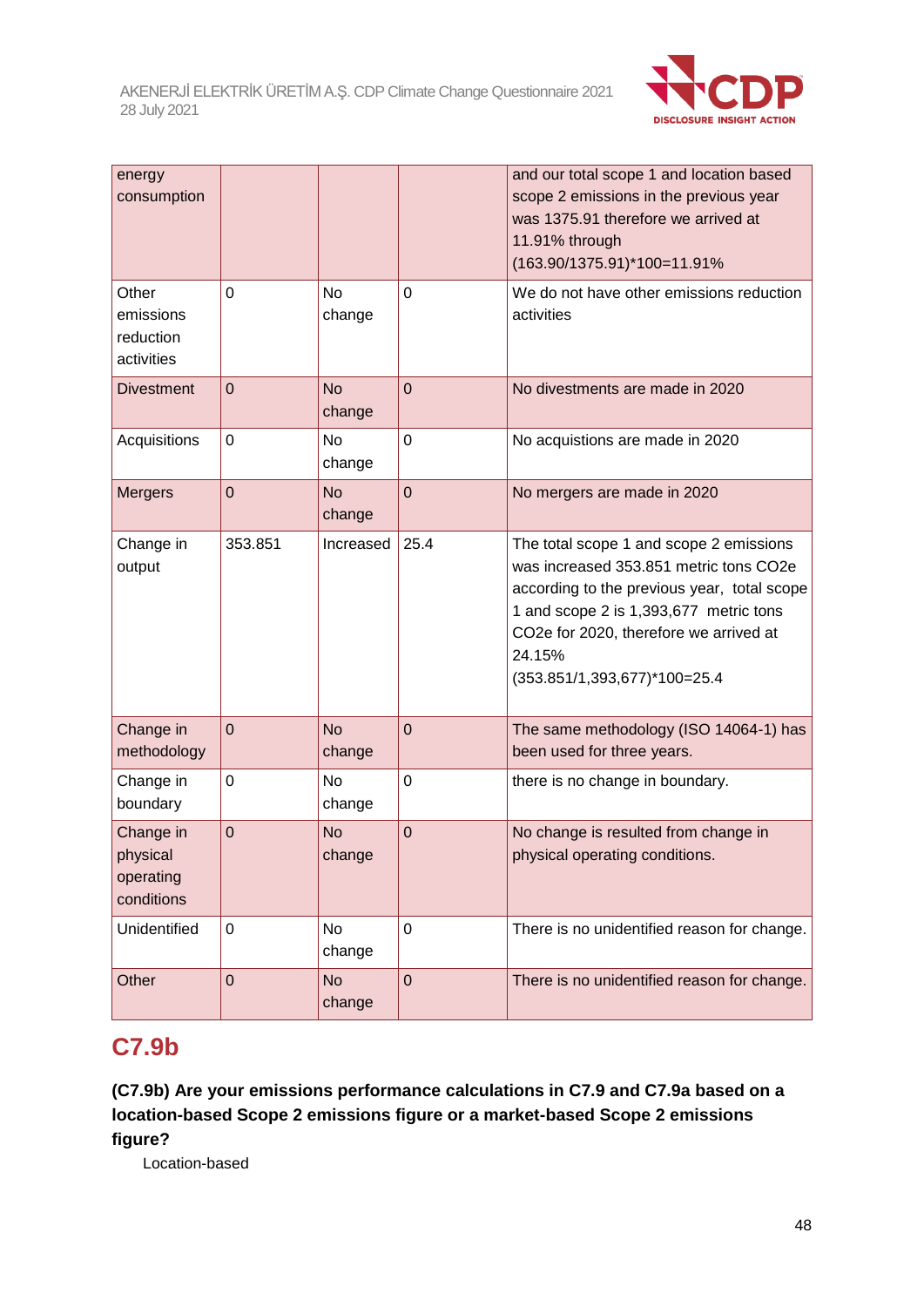

| energy<br>consumption                            |                |                     |                | and our total scope 1 and location based<br>scope 2 emissions in the previous year<br>was 1375.91 therefore we arrived at<br>11.91% through<br>(163.90/1375.91)*100=11.91%                                                                                     |
|--------------------------------------------------|----------------|---------------------|----------------|----------------------------------------------------------------------------------------------------------------------------------------------------------------------------------------------------------------------------------------------------------------|
| Other<br>emissions<br>reduction<br>activities    | $\overline{0}$ | <b>No</b><br>change | $\overline{0}$ | We do not have other emissions reduction<br>activities                                                                                                                                                                                                         |
| <b>Divestment</b>                                | $\overline{0}$ | <b>No</b><br>change | $\mathbf 0$    | No divestments are made in 2020                                                                                                                                                                                                                                |
| Acquisitions                                     | $\mathbf 0$    | <b>No</b><br>change | $\overline{0}$ | No acquistions are made in 2020                                                                                                                                                                                                                                |
| <b>Mergers</b>                                   | $\overline{0}$ | <b>No</b><br>change | $\overline{0}$ | No mergers are made in 2020                                                                                                                                                                                                                                    |
| Change in<br>output                              | 353.851        | Increased           | 25.4           | The total scope 1 and scope 2 emissions<br>was increased 353.851 metric tons CO2e<br>according to the previous year, total scope<br>1 and scope 2 is 1,393,677 metric tons<br>CO2e for 2020, therefore we arrived at<br>24.15%<br>(353.851/1,393,677)*100=25.4 |
| Change in<br>methodology                         | $\overline{0}$ | <b>No</b><br>change | $\overline{0}$ | The same methodology (ISO 14064-1) has<br>been used for three years.                                                                                                                                                                                           |
| Change in<br>boundary                            | $\mathbf 0$    | <b>No</b><br>change | $\mathbf 0$    | there is no change in boundary.                                                                                                                                                                                                                                |
| Change in<br>physical<br>operating<br>conditions | $\overline{0}$ | <b>No</b><br>change | $\overline{0}$ | No change is resulted from change in<br>physical operating conditions.                                                                                                                                                                                         |
| Unidentified                                     | $\mathbf 0$    | <b>No</b><br>change | $\mathbf 0$    | There is no unidentified reason for change.                                                                                                                                                                                                                    |
| Other                                            | $\overline{0}$ | <b>No</b><br>change | $\overline{0}$ | There is no unidentified reason for change.                                                                                                                                                                                                                    |

## **C7.9b**

**(C7.9b) Are your emissions performance calculations in C7.9 and C7.9a based on a location-based Scope 2 emissions figure or a market-based Scope 2 emissions figure?**

Location-based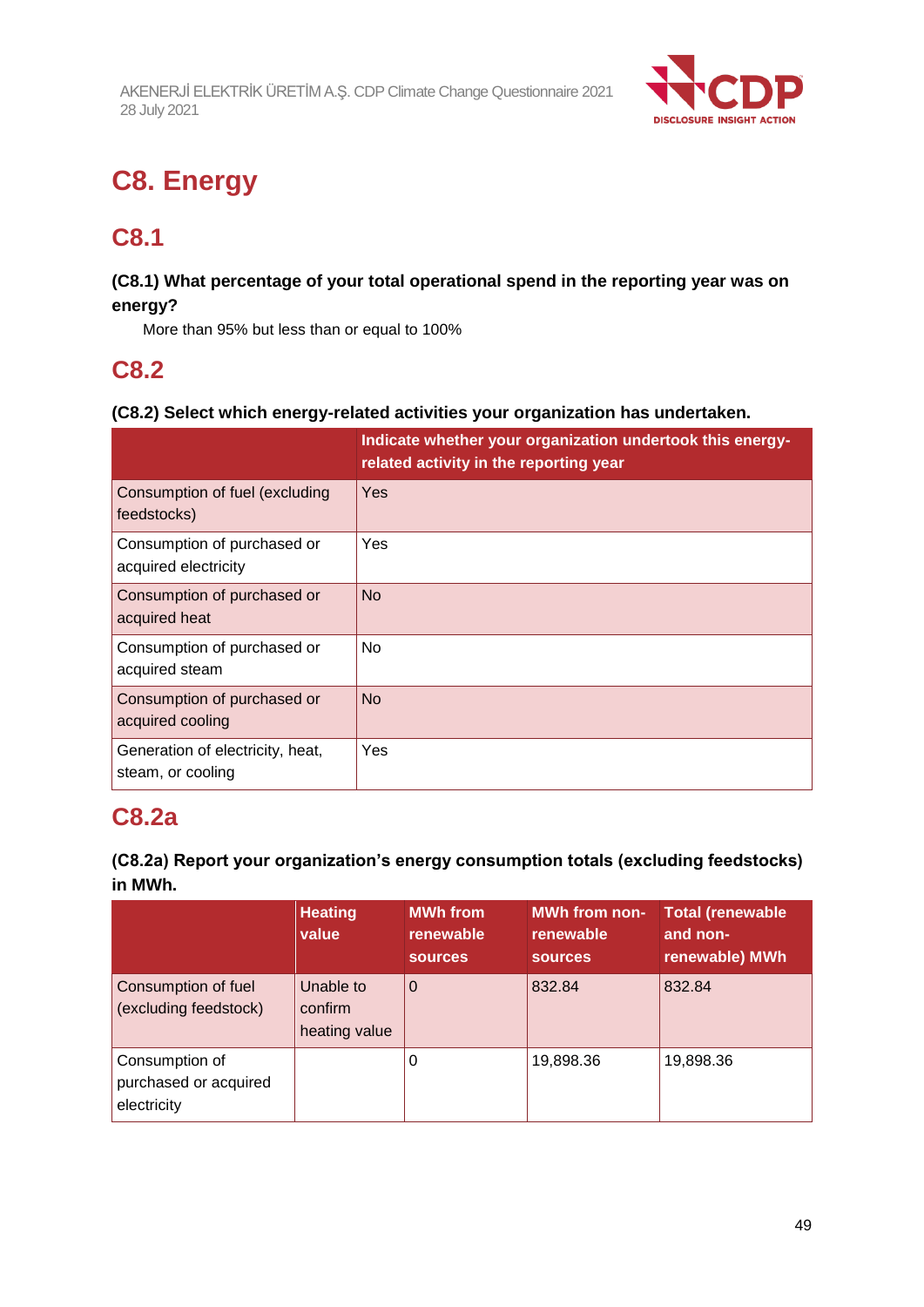

## **C8. Energy**

## **C8.1**

## **(C8.1) What percentage of your total operational spend in the reporting year was on energy?**

More than 95% but less than or equal to 100%

## **C8.2**

## **(C8.2) Select which energy-related activities your organization has undertaken.**

|                                                       | Indicate whether your organization undertook this energy-<br>related activity in the reporting year |
|-------------------------------------------------------|-----------------------------------------------------------------------------------------------------|
| Consumption of fuel (excluding<br>feedstocks)         | <b>Yes</b>                                                                                          |
| Consumption of purchased or<br>acquired electricity   | Yes                                                                                                 |
| Consumption of purchased or<br>acquired heat          | <b>No</b>                                                                                           |
| Consumption of purchased or<br>acquired steam         | <b>No</b>                                                                                           |
| Consumption of purchased or<br>acquired cooling       | <b>No</b>                                                                                           |
| Generation of electricity, heat,<br>steam, or cooling | Yes                                                                                                 |

## **C8.2a**

## **(C8.2a) Report your organization's energy consumption totals (excluding feedstocks) in MWh.**

|                                                        | <b>Heating</b><br>value               | <b>MWh</b> from<br>renewable<br><b>sources</b> | <b>MWh from non-</b><br>renewable<br><b>sources</b> | <b>Total (renewable</b><br>and non-<br>renewable) MWh |
|--------------------------------------------------------|---------------------------------------|------------------------------------------------|-----------------------------------------------------|-------------------------------------------------------|
| Consumption of fuel<br>(excluding feedstock)           | Unable to<br>confirm<br>heating value | 0                                              | 832.84                                              | 832.84                                                |
| Consumption of<br>purchased or acquired<br>electricity |                                       | 0                                              | 19,898.36                                           | 19,898.36                                             |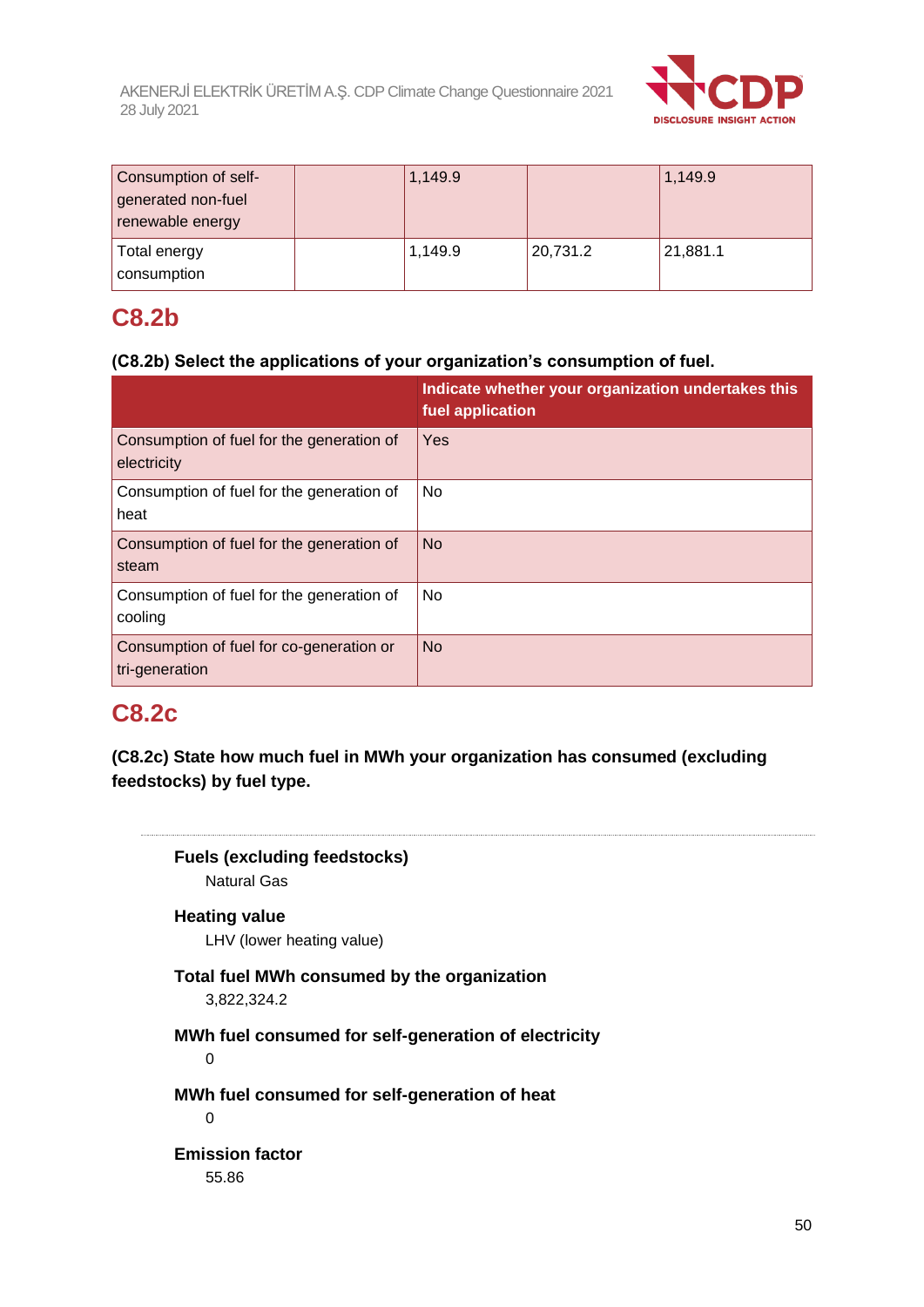

| Consumption of self- | 1,149.9 |          | 1,149.9  |
|----------------------|---------|----------|----------|
| generated non-fuel   |         |          |          |
| renewable energy     |         |          |          |
| <b>Total energy</b>  | 1,149.9 | 20,731.2 | 21,881.1 |
| consumption          |         |          |          |

## **C8.2b**

## **(C8.2b) Select the applications of your organization's consumption of fuel.**

|                                                            | Indicate whether your organization undertakes this<br>fuel application |
|------------------------------------------------------------|------------------------------------------------------------------------|
| Consumption of fuel for the generation of<br>electricity   | Yes                                                                    |
| Consumption of fuel for the generation of<br>heat          | No                                                                     |
| Consumption of fuel for the generation of<br>steam         | <b>No</b>                                                              |
| Consumption of fuel for the generation of<br>cooling       | <b>No</b>                                                              |
| Consumption of fuel for co-generation or<br>tri-generation | <b>No</b>                                                              |

## **C8.2c**

**(C8.2c) State how much fuel in MWh your organization has consumed (excluding feedstocks) by fuel type.**

**Fuels (excluding feedstocks)** Natural Gas **Heating value** LHV (lower heating value) **Total fuel MWh consumed by the organization** 3,822,324.2 **MWh fuel consumed for self-generation of electricity** 0 **MWh fuel consumed for self-generation of heat** 0 **Emission factor** 55.86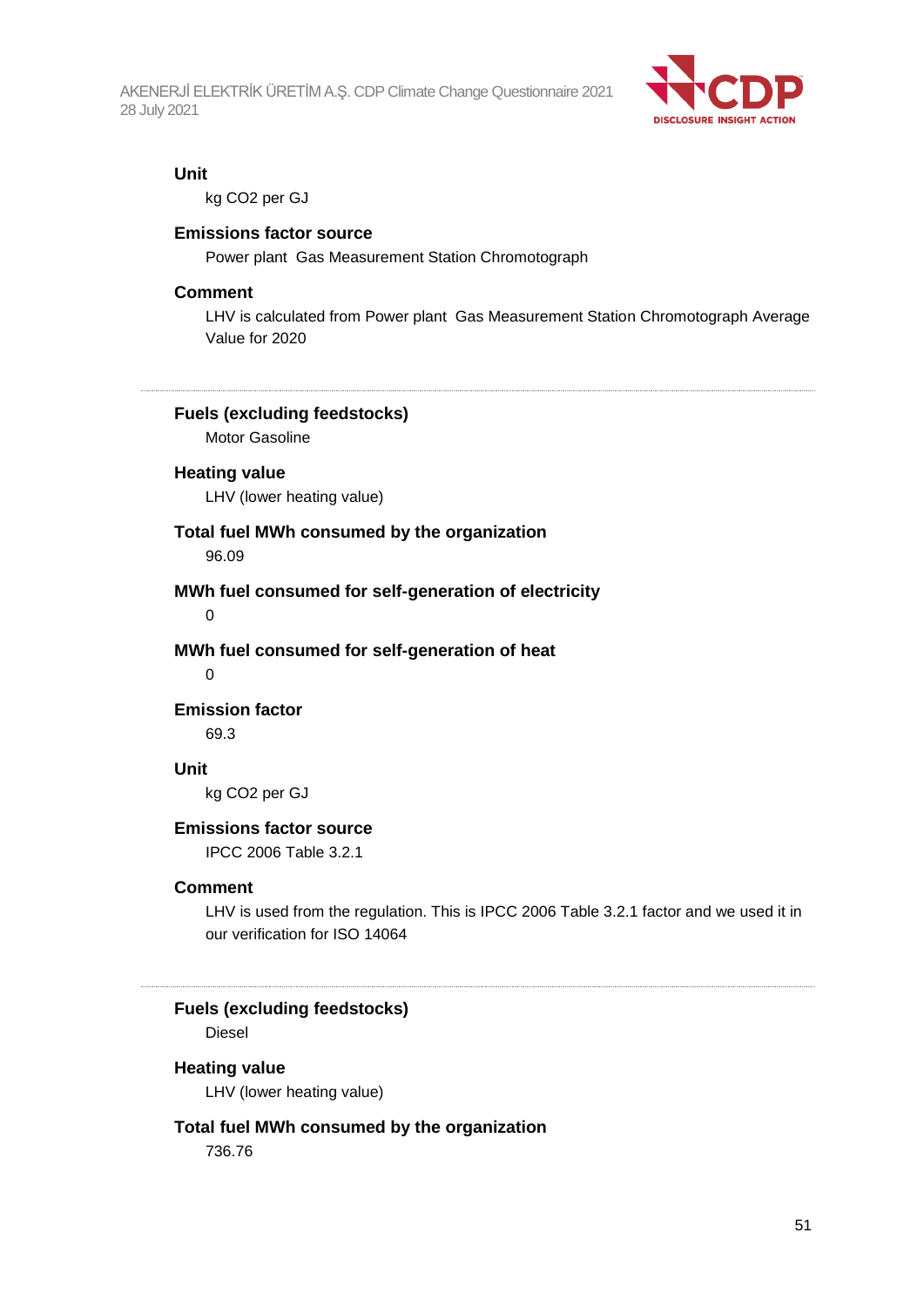

#### **Unit**

kg CO2 per GJ

#### **Emissions factor source**

Power plant Gas Measurement Station Chromotograph

#### **Comment**

LHV is calculated from Power plant Gas Measurement Station Chromotograph Average Value for 2020

#### **Fuels (excluding feedstocks)**

Motor Gasoline

### **Heating value**

LHV (lower heating value)

### **Total fuel MWh consumed by the organization**

96.09

#### **MWh fuel consumed for self-generation of electricity**

0

#### **MWh fuel consumed for self-generation of heat**

 $\Omega$ 

### **Emission factor**

69.3

#### **Unit**

kg CO2 per GJ

#### **Emissions factor source**

IPCC 2006 Table 3.2.1

#### **Comment**

LHV is used from the regulation. This is IPCC 2006 Table 3.2.1 factor and we used it in our verification for ISO 14064

**Fuels (excluding feedstocks)**

Diesel

#### **Heating value**

LHV (lower heating value)

#### **Total fuel MWh consumed by the organization**

736.76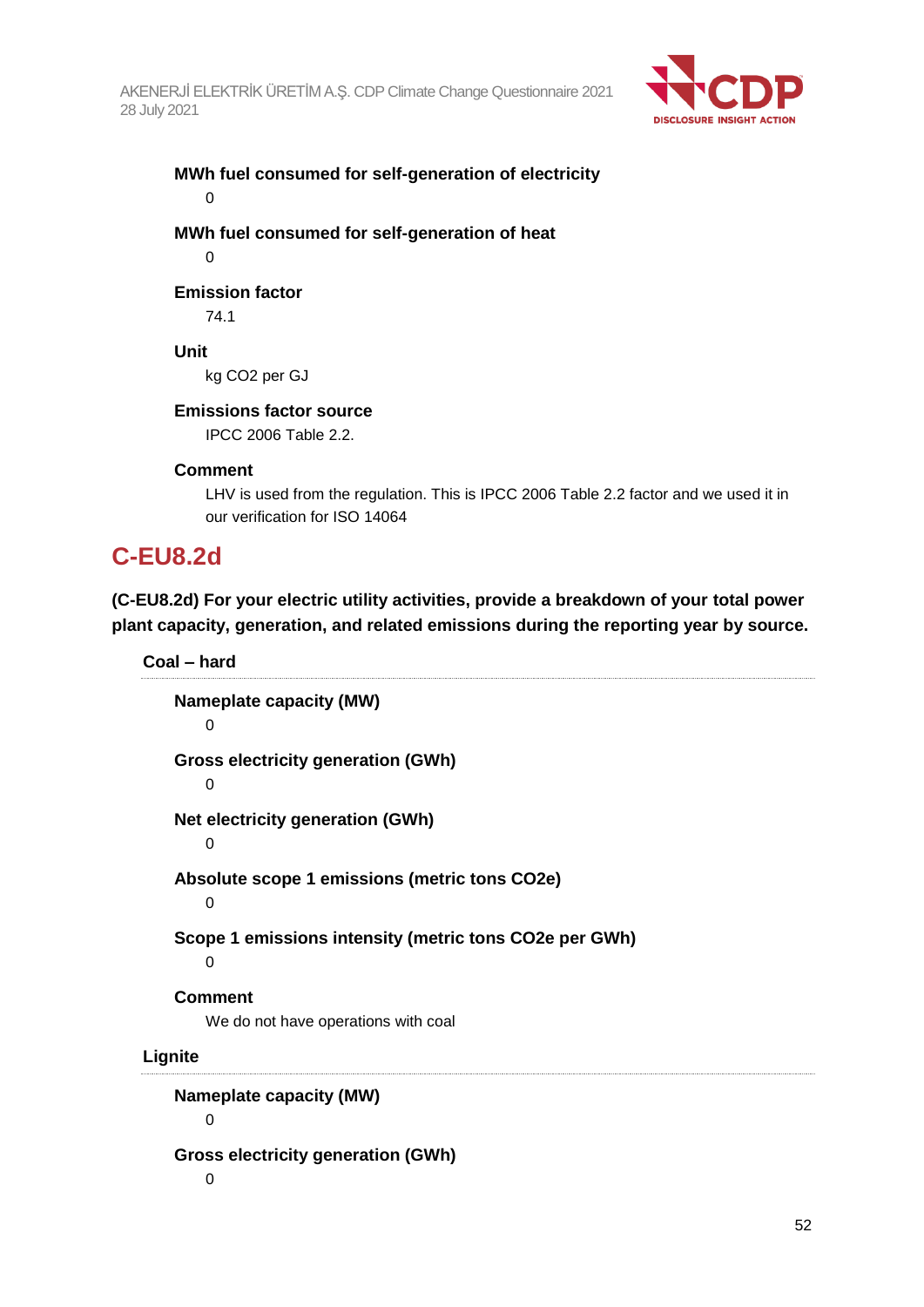

## **MWh fuel consumed for self-generation of electricity** 0

**MWh fuel consumed for self-generation of heat**  $\Omega$ 

## **Emission factor**

74.1

## **Unit**

kg CO2 per GJ

## **Emissions factor source**

IPCC 2006 Table 2.2.

## **Comment**

LHV is used from the regulation. This is IPCC 2006 Table 2.2 factor and we used it in our verification for ISO 14064

## **C-EU8.2d**

**(C-EU8.2d) For your electric utility activities, provide a breakdown of your total power plant capacity, generation, and related emissions during the reporting year by source.**

**Coal – hard**

**Nameplate capacity (MW)**  $\Omega$ **Gross electricity generation (GWh)**  $\Omega$ **Net electricity generation (GWh)**  $\Omega$ **Absolute scope 1 emissions (metric tons CO2e)**  $\Omega$ **Scope 1 emissions intensity (metric tons CO2e per GWh)**  $\Omega$ **Comment** We do not have operations with coal **Lignite Nameplate capacity (MW)**  $\Omega$ **Gross electricity generation (GWh)** 0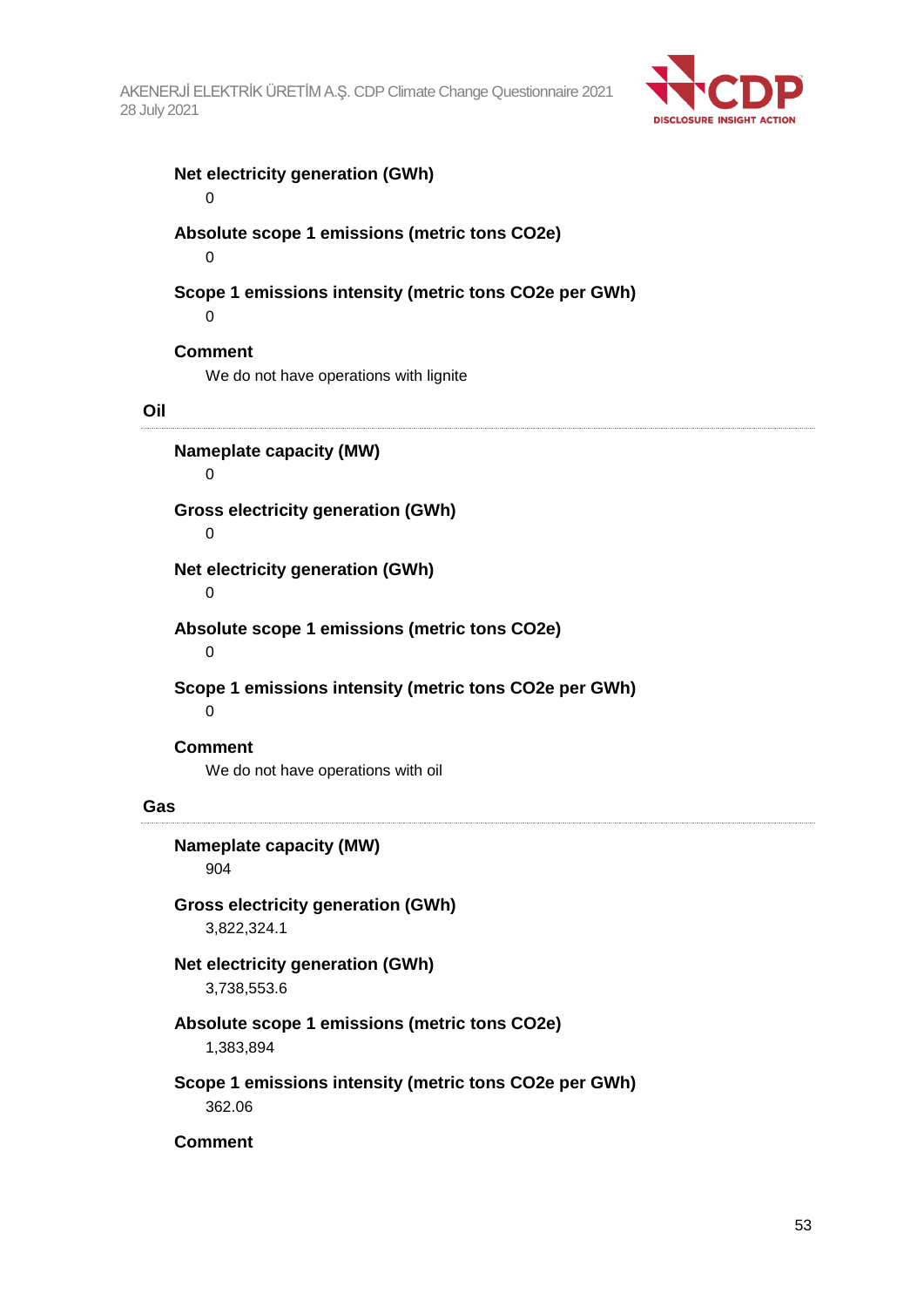

## **Net electricity generation (GWh)** 0 **Absolute scope 1 emissions (metric tons CO2e)** 0 **Scope 1 emissions intensity (metric tons CO2e per GWh)**

0

## **Comment**

We do not have operations with lignite

### **Oil**

**Nameplate capacity (MW)**

### 0

**Gross electricity generation (GWh)**

### 0

**Net electricity generation (GWh)**

#### 0

**Absolute scope 1 emissions (metric tons CO2e)**

 $\Omega$ 

**Scope 1 emissions intensity (metric tons CO2e per GWh)**

 $\Omega$ 

### **Comment**

We do not have operations with oil

#### **Gas**

## **Nameplate capacity (MW)** 904 **Gross electricity generation (GWh)** 3,822,324.1 **Net electricity generation (GWh)** 3,738,553.6 **Absolute scope 1 emissions (metric tons CO2e)** 1,383,894 **Scope 1 emissions intensity (metric tons CO2e per GWh)** 362.06

### **Comment**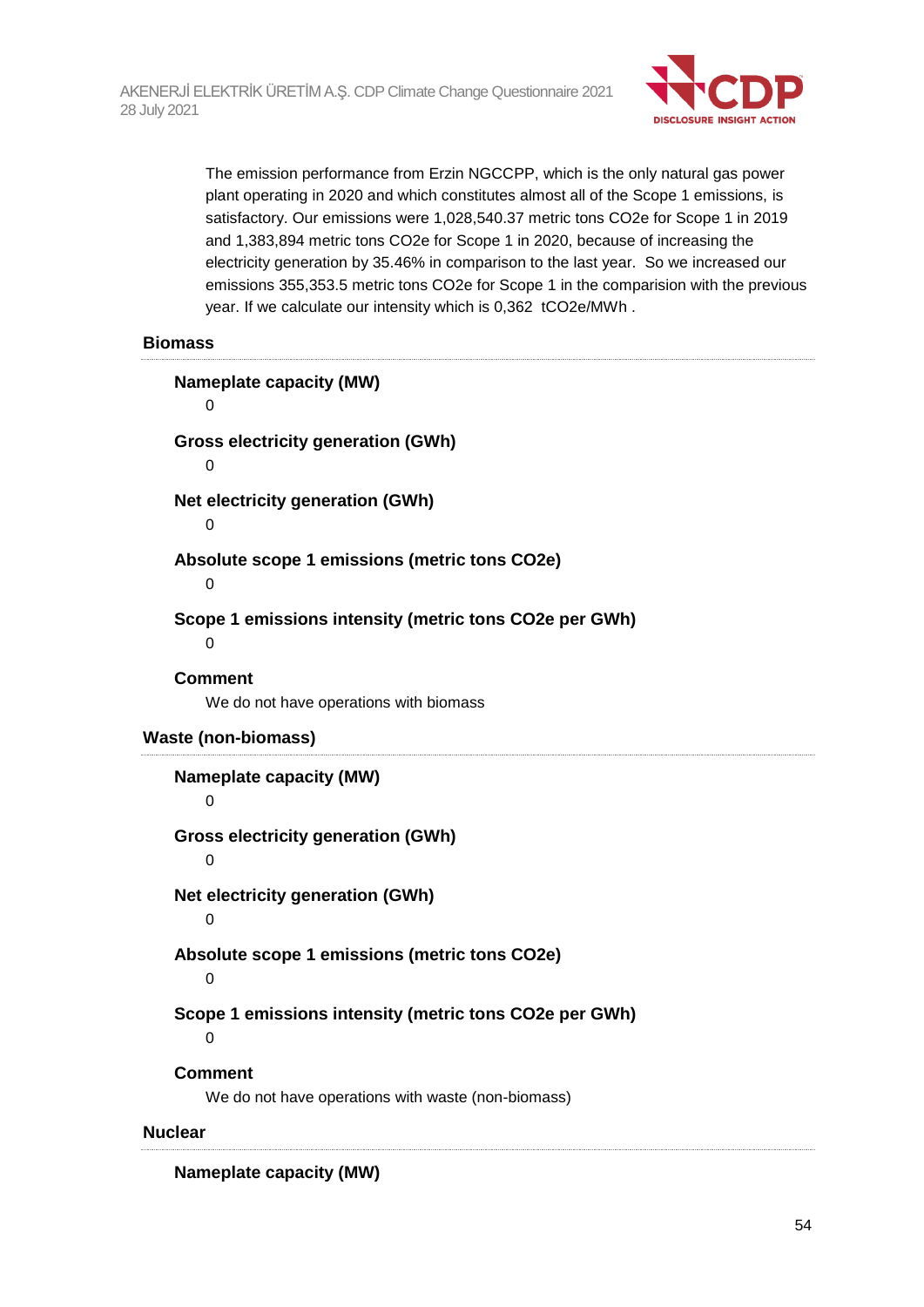

The emission performance from Erzin NGCCPP, which is the only natural gas power plant operating in 2020 and which constitutes almost all of the Scope 1 emissions, is satisfactory. Our emissions were 1,028,540.37 metric tons CO2e for Scope 1 in 2019 and 1,383,894 metric tons CO2e for Scope 1 in 2020, because of increasing the electricity generation by 35.46% in comparison to the last year. So we increased our emissions 355,353.5 metric tons CO2e for Scope 1 in the comparision with the previous year. If we calculate our intensity which is 0,362 tCO2e/MWh .

#### **Biomass**

| <b>Nameplate capacity (MW)</b><br>0                                  |
|----------------------------------------------------------------------|
| <b>Gross electricity generation (GWh)</b><br>0                       |
| Net electricity generation (GWh)<br>0                                |
| Absolute scope 1 emissions (metric tons CO2e)<br>$\mathbf 0$         |
| Scope 1 emissions intensity (metric tons CO2e per GWh)<br>0          |
| <b>Comment</b><br>We do not have operations with biomass             |
| <b>Waste (non-biomass)</b>                                           |
|                                                                      |
| <b>Nameplate capacity (MW)</b><br>$\mathbf 0$                        |
| <b>Gross electricity generation (GWh)</b><br>0                       |
| Net electricity generation (GWh)<br>0                                |
| Absolute scope 1 emissions (metric tons CO2e)<br>$\mathbf 0$         |
| Scope 1 emissions intensity (metric tons CO2e per GWh)<br>0          |
| <b>Comment</b><br>We do not have operations with waste (non-biomass) |

**Nameplate capacity (MW)**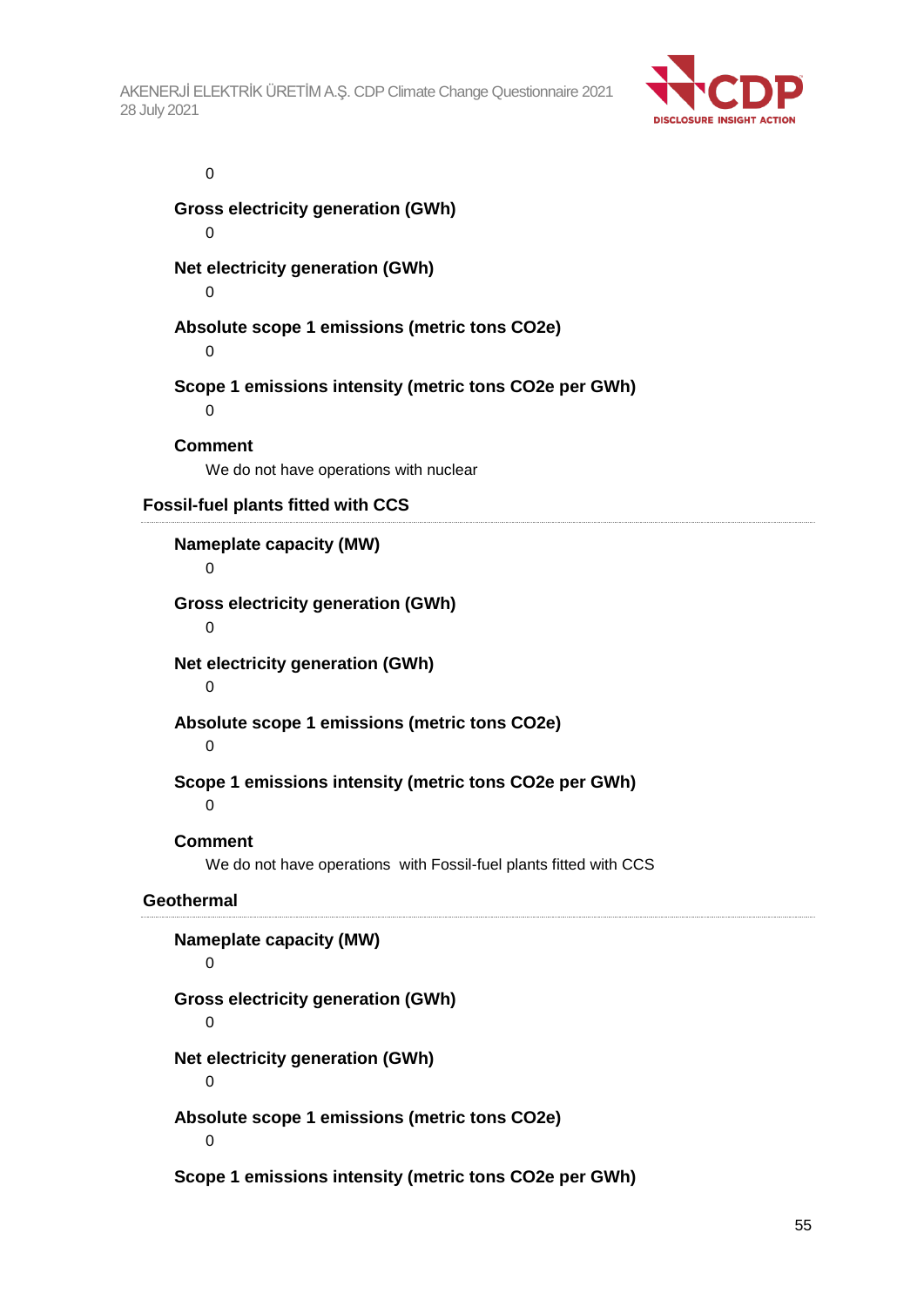

0

**Gross electricity generation (GWh)**

 $\Omega$ 

**Net electricity generation (GWh)**

 $\Omega$ 

**Absolute scope 1 emissions (metric tons CO2e)**

 $\Omega$ 

**Scope 1 emissions intensity (metric tons CO2e per GWh)**

 $\Omega$ 

**Comment**

We do not have operations with nuclear

**Fossil-fuel plants fitted with CCS**

**Nameplate capacity (MW)**

0

**Gross electricity generation (GWh)**

0

**Net electricity generation (GWh)**

 $\Omega$ 

**Absolute scope 1 emissions (metric tons CO2e)**

 $\Omega$ 

**Scope 1 emissions intensity (metric tons CO2e per GWh)**

0

**Comment**

We do not have operations with Fossil-fuel plants fitted with CCS

## **Geothermal**

**Nameplate capacity (MW)**  $\Omega$ **Gross electricity generation (GWh)**  $\Omega$ **Net electricity generation (GWh)**  $\Omega$ **Absolute scope 1 emissions (metric tons CO2e)**  $\Omega$ 

**Scope 1 emissions intensity (metric tons CO2e per GWh)**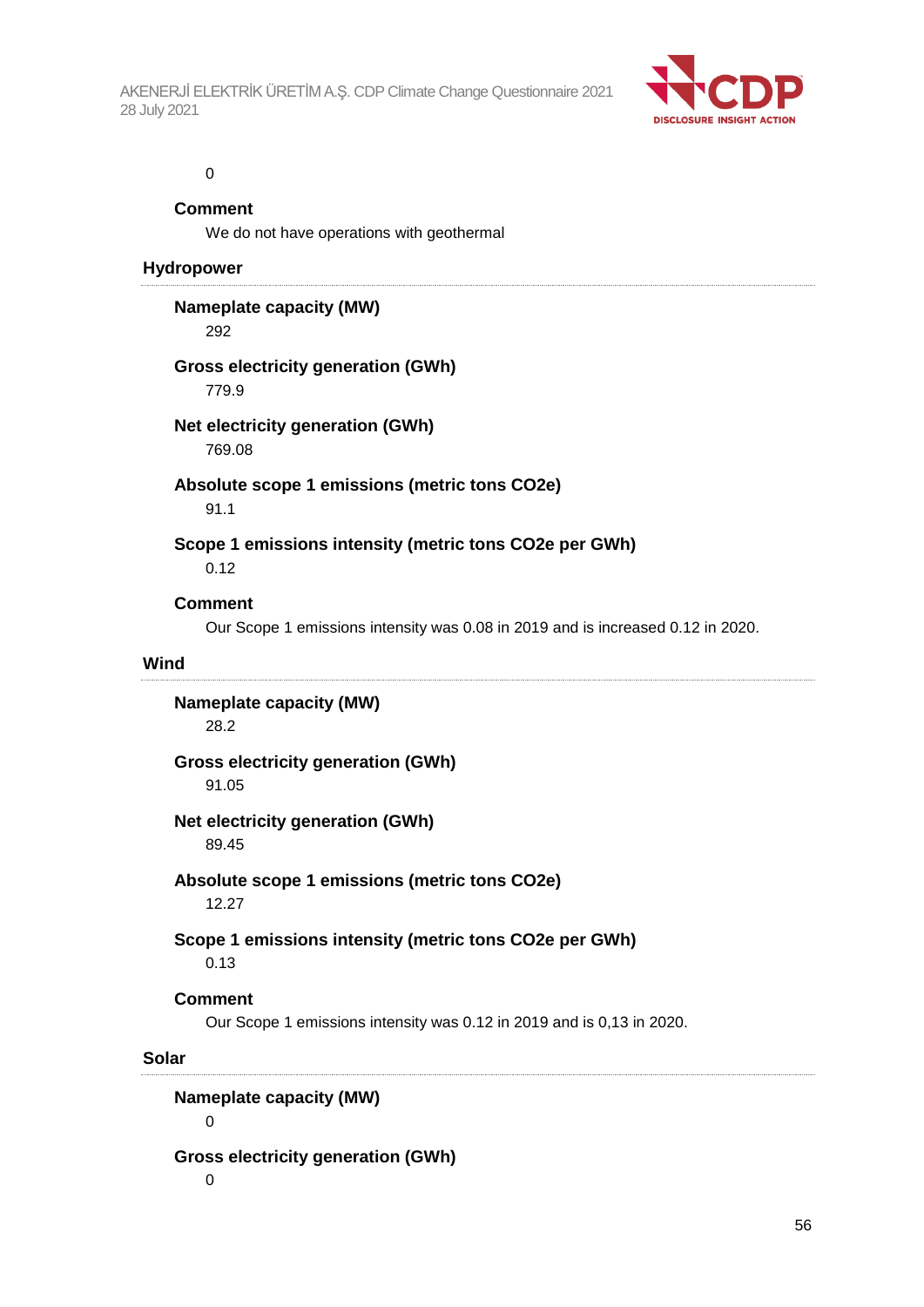

#### 0

#### **Comment**

We do not have operations with geothermal

#### **Hydropower**

### **Nameplate capacity (MW)**

292

### **Gross electricity generation (GWh)**

779.9

### **Net electricity generation (GWh)**

769.08

## **Absolute scope 1 emissions (metric tons CO2e)**

91.1

## **Scope 1 emissions intensity (metric tons CO2e per GWh)**

0.12

### **Comment**

Our Scope 1 emissions intensity was 0.08 in 2019 and is increased 0.12 in 2020.

#### **Wind**

**Nameplate capacity (MW)** 28.2

### **Gross electricity generation (GWh)**

91.05

## **Net electricity generation (GWh)**

89.45

## **Absolute scope 1 emissions (metric tons CO2e)**

12.27

### **Scope 1 emissions intensity (metric tons CO2e per GWh)**

0.13

### **Comment**

Our Scope 1 emissions intensity was 0.12 in 2019 and is 0,13 in 2020.

#### **Solar**

**Nameplate capacity (MW)**

0

### **Gross electricity generation (GWh)**

0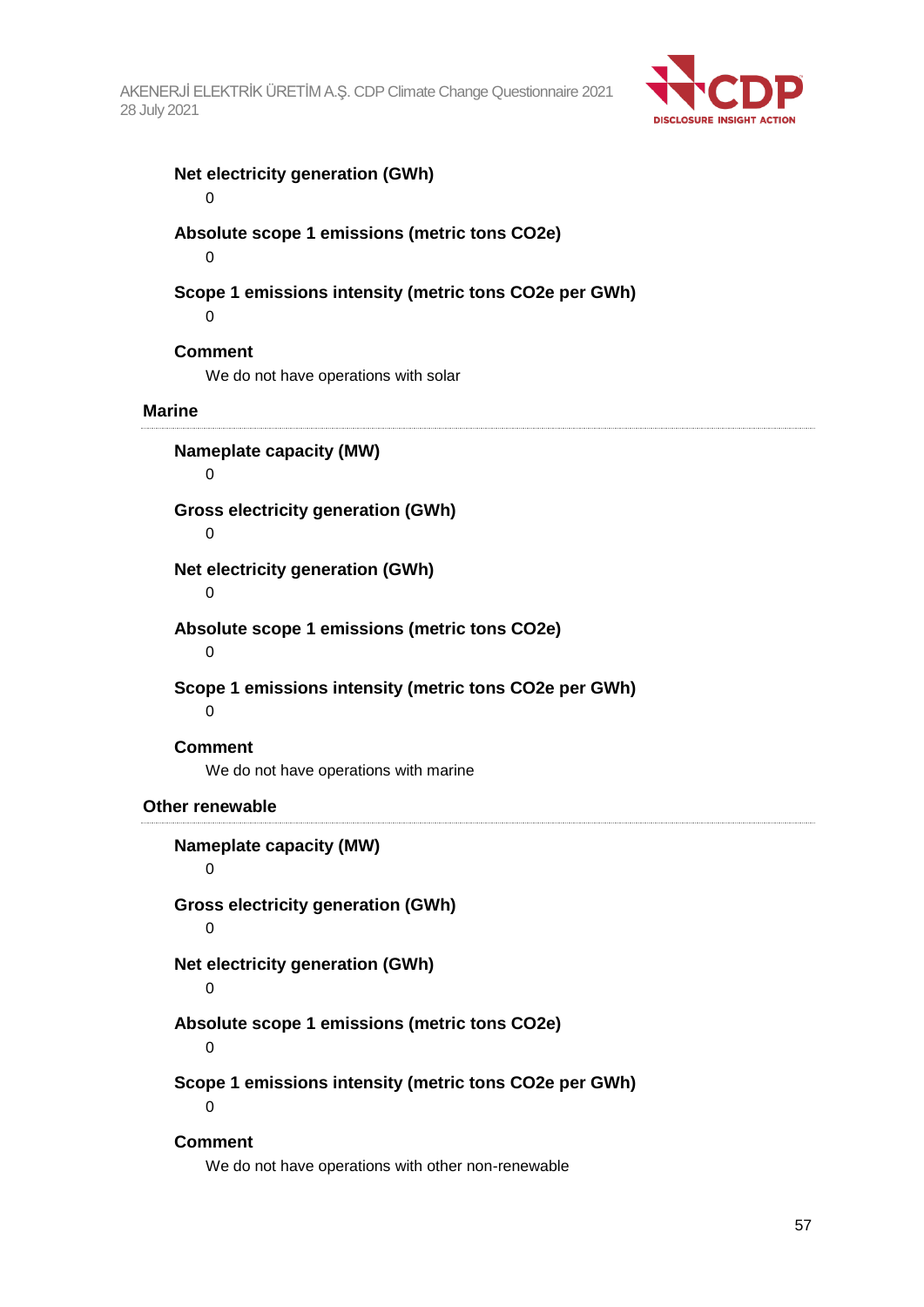

## **Net electricity generation (GWh)**

0

## **Absolute scope 1 emissions (metric tons CO2e)**

 $\Omega$ 

## **Scope 1 emissions intensity (metric tons CO2e per GWh)**

 $\Omega$ 

## **Comment**

We do not have operations with solar

### **Marine**

**Nameplate capacity (MW)** 0

## **Gross electricity generation (GWh)**

0

## **Net electricity generation (GWh)**

 $\Omega$ 

## **Absolute scope 1 emissions (metric tons CO2e)**

 $\Omega$ 

## **Scope 1 emissions intensity (metric tons CO2e per GWh)**

 $\Omega$ 

### **Comment**

We do not have operations with marine

### **Other renewable**

## **Nameplate capacity (MW)** 0 **Gross electricity generation (GWh)**  $\Omega$ **Net electricity generation (GWh)**  $\Omega$ **Absolute scope 1 emissions (metric tons CO2e)**  $\Omega$ **Scope 1 emissions intensity (metric tons CO2e per GWh)**  $\Omega$ **Comment**

We do not have operations with other non-renewable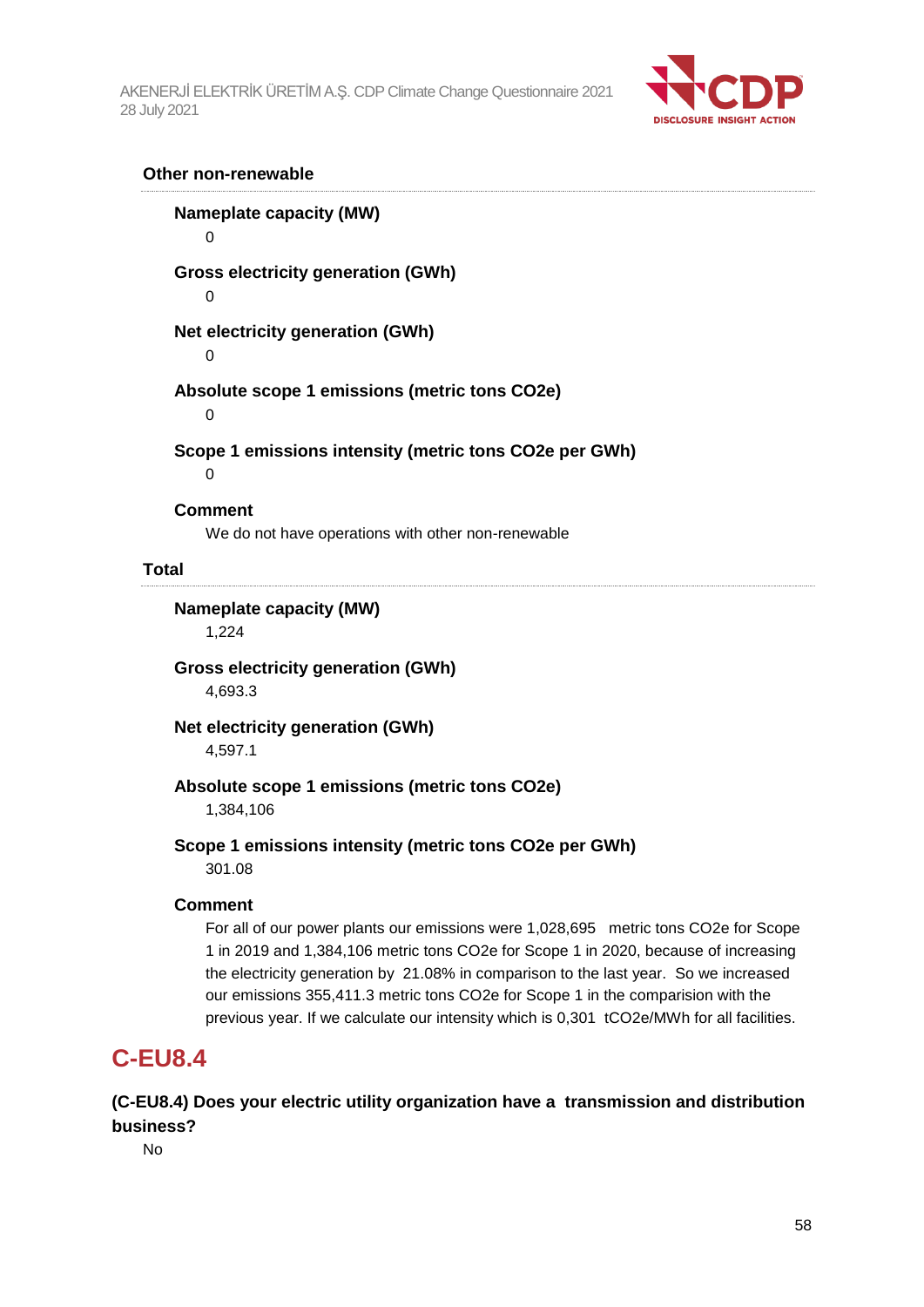

#### **Other non-renewable**

**Nameplate capacity (MW)**  $\Omega$ **Gross electricity generation (GWh)** 0 **Net electricity generation (GWh)**  $\Omega$ **Absolute scope 1 emissions (metric tons CO2e)**  $\Omega$ **Scope 1 emissions intensity (metric tons CO2e per GWh)**  $\Omega$ **Comment** We do not have operations with other non-renewable

### **Total**

**Nameplate capacity (MW)**

1,224

**Gross electricity generation (GWh)** 4,693.3

**Net electricity generation (GWh)** 4,597.1

### **Absolute scope 1 emissions (metric tons CO2e)**

1,384,106

### **Scope 1 emissions intensity (metric tons CO2e per GWh)**

301.08

### **Comment**

For all of our power plants our emissions were 1,028,695 metric tons CO2e for Scope 1 in 2019 and 1,384,106 metric tons CO2e for Scope 1 in 2020, because of increasing the electricity generation by 21.08% in comparison to the last year. So we increased our emissions 355,411.3 metric tons CO2e for Scope 1 in the comparision with the previous year. If we calculate our intensity which is 0,301 tCO2e/MWh for all facilities.

## **C-EU8.4**

**(C-EU8.4) Does your electric utility organization have a transmission and distribution business?**

No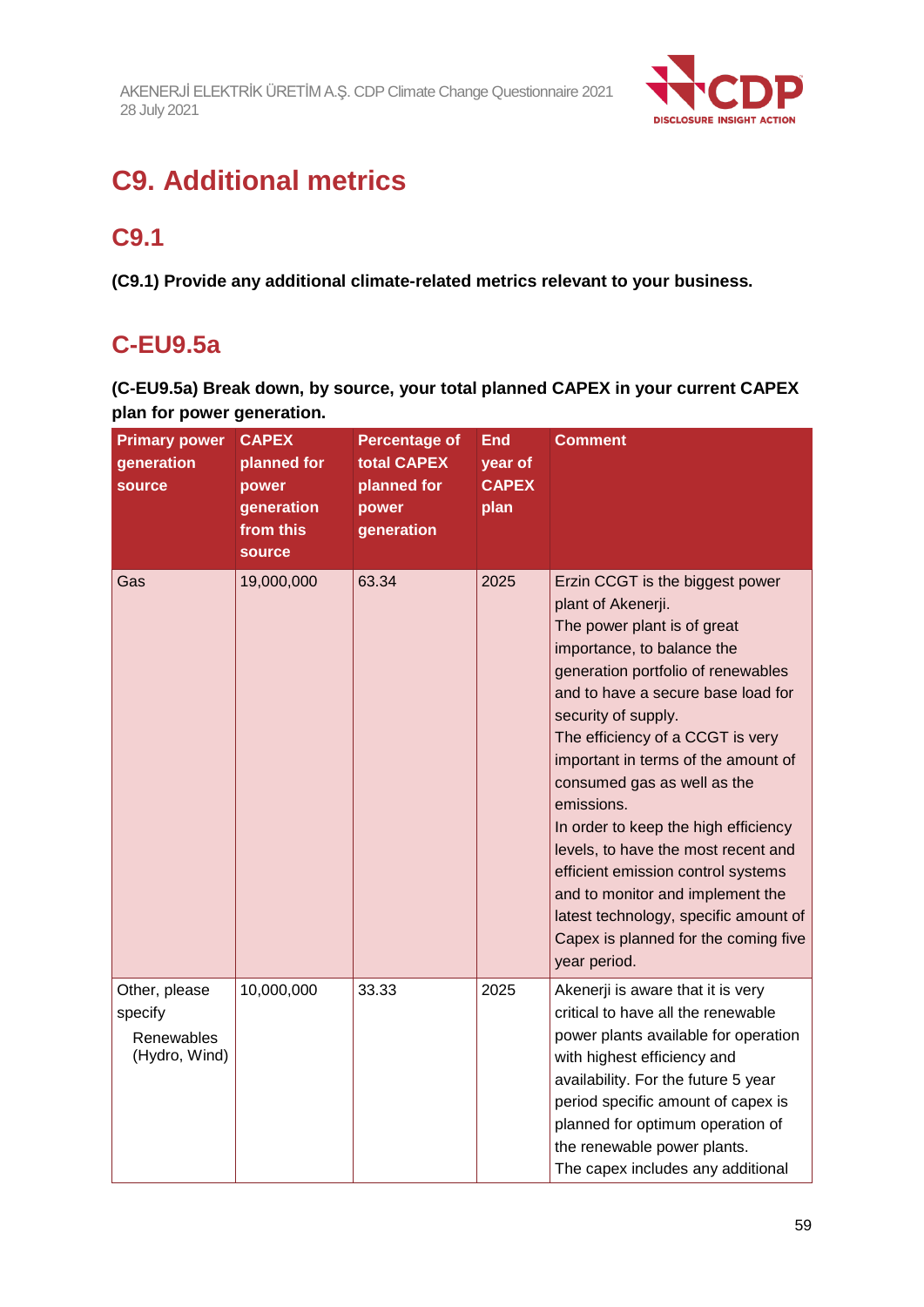

## **C9. Additional metrics**

## **C9.1**

**(C9.1) Provide any additional climate-related metrics relevant to your business.**

## **C-EU9.5a**

**(C-EU9.5a) Break down, by source, your total planned CAPEX in your current CAPEX plan for power generation.**

| <b>Primary power</b><br>generation<br><b>source</b>     | <b>CAPEX</b><br>planned for<br>power<br>generation<br>from this<br>source | <b>Percentage of</b><br>total CAPEX<br>planned for<br>power<br>generation | <b>End</b><br>year of<br><b>CAPEX</b><br>plan | <b>Comment</b>                                                                                                                                                                                                                                                                                                                                                                                                                                                                                                                                                                                          |
|---------------------------------------------------------|---------------------------------------------------------------------------|---------------------------------------------------------------------------|-----------------------------------------------|---------------------------------------------------------------------------------------------------------------------------------------------------------------------------------------------------------------------------------------------------------------------------------------------------------------------------------------------------------------------------------------------------------------------------------------------------------------------------------------------------------------------------------------------------------------------------------------------------------|
| Gas                                                     | 19,000,000                                                                | 63.34                                                                     | 2025                                          | Erzin CCGT is the biggest power<br>plant of Akenerji.<br>The power plant is of great<br>importance, to balance the<br>generation portfolio of renewables<br>and to have a secure base load for<br>security of supply.<br>The efficiency of a CCGT is very<br>important in terms of the amount of<br>consumed gas as well as the<br>emissions.<br>In order to keep the high efficiency<br>levels, to have the most recent and<br>efficient emission control systems<br>and to monitor and implement the<br>latest technology, specific amount of<br>Capex is planned for the coming five<br>year period. |
| Other, please<br>specify<br>Renewables<br>(Hydro, Wind) | 10,000,000                                                                | 33.33                                                                     | 2025                                          | Akenerji is aware that it is very<br>critical to have all the renewable<br>power plants available for operation<br>with highest efficiency and<br>availability. For the future 5 year<br>period specific amount of capex is<br>planned for optimum operation of<br>the renewable power plants.<br>The capex includes any additional                                                                                                                                                                                                                                                                     |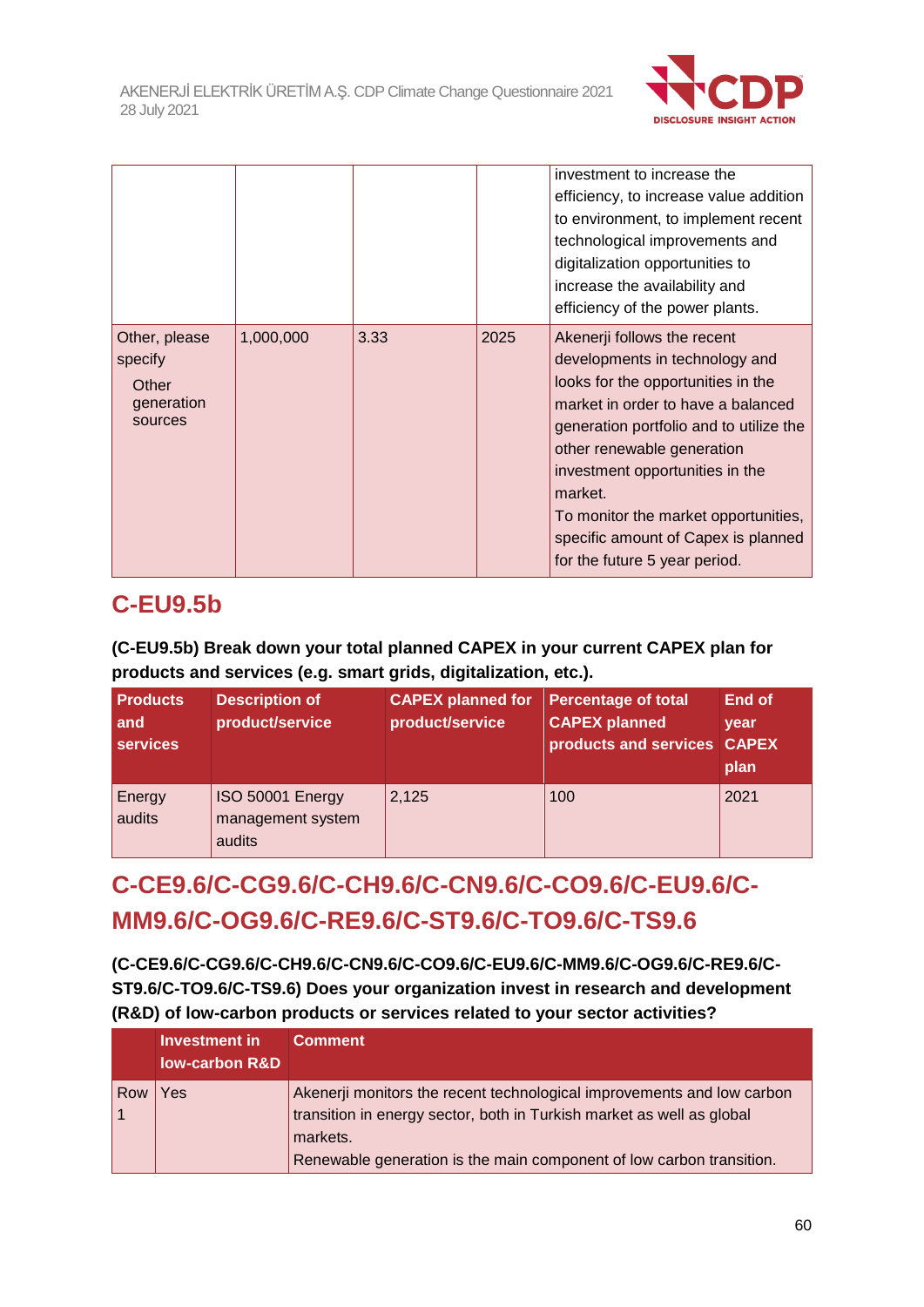

|                                                            |           |      |      | investment to increase the<br>efficiency, to increase value addition<br>to environment, to implement recent<br>technological improvements and<br>digitalization opportunities to<br>increase the availability and<br>efficiency of the power plants.                                                                                                                             |
|------------------------------------------------------------|-----------|------|------|----------------------------------------------------------------------------------------------------------------------------------------------------------------------------------------------------------------------------------------------------------------------------------------------------------------------------------------------------------------------------------|
| Other, please<br>specify<br>Other<br>generation<br>sources | 1,000,000 | 3.33 | 2025 | Akenerji follows the recent<br>developments in technology and<br>looks for the opportunities in the<br>market in order to have a balanced<br>generation portfolio and to utilize the<br>other renewable generation<br>investment opportunities in the<br>market.<br>To monitor the market opportunities,<br>specific amount of Capex is planned<br>for the future 5 year period. |

## **C-EU9.5b**

## **(C-EU9.5b) Break down your total planned CAPEX in your current CAPEX plan for products and services (e.g. smart grids, digitalization, etc.).**

| <b>Products</b><br>and<br>services | <b>Description of</b><br>product/service        | <b>CAPEX planned for</b><br>product/service | <b>Percentage of total</b><br><b>CAPEX planned</b><br>products and services CAPEX | End of<br>year<br>plan |
|------------------------------------|-------------------------------------------------|---------------------------------------------|-----------------------------------------------------------------------------------|------------------------|
| Energy<br>audits                   | ISO 50001 Energy<br>management system<br>audits | 2,125                                       | 100                                                                               | 2021                   |

## **C-CE9.6/C-CG9.6/C-CH9.6/C-CN9.6/C-CO9.6/C-EU9.6/C-MM9.6/C-OG9.6/C-RE9.6/C-ST9.6/C-TO9.6/C-TS9.6**

**(C-CE9.6/C-CG9.6/C-CH9.6/C-CN9.6/C-CO9.6/C-EU9.6/C-MM9.6/C-OG9.6/C-RE9.6/C-ST9.6/C-TO9.6/C-TS9.6) Does your organization invest in research and development (R&D) of low-carbon products or services related to your sector activities?**

|     | Investment in<br>low-carbon R&D | <b>Comment</b>                                                                                                                                                                                                                      |
|-----|---------------------------------|-------------------------------------------------------------------------------------------------------------------------------------------------------------------------------------------------------------------------------------|
| Row | Yes                             | Akenerji monitors the recent technological improvements and low carbon<br>transition in energy sector, both in Turkish market as well as global<br>markets.<br>Renewable generation is the main component of low carbon transition. |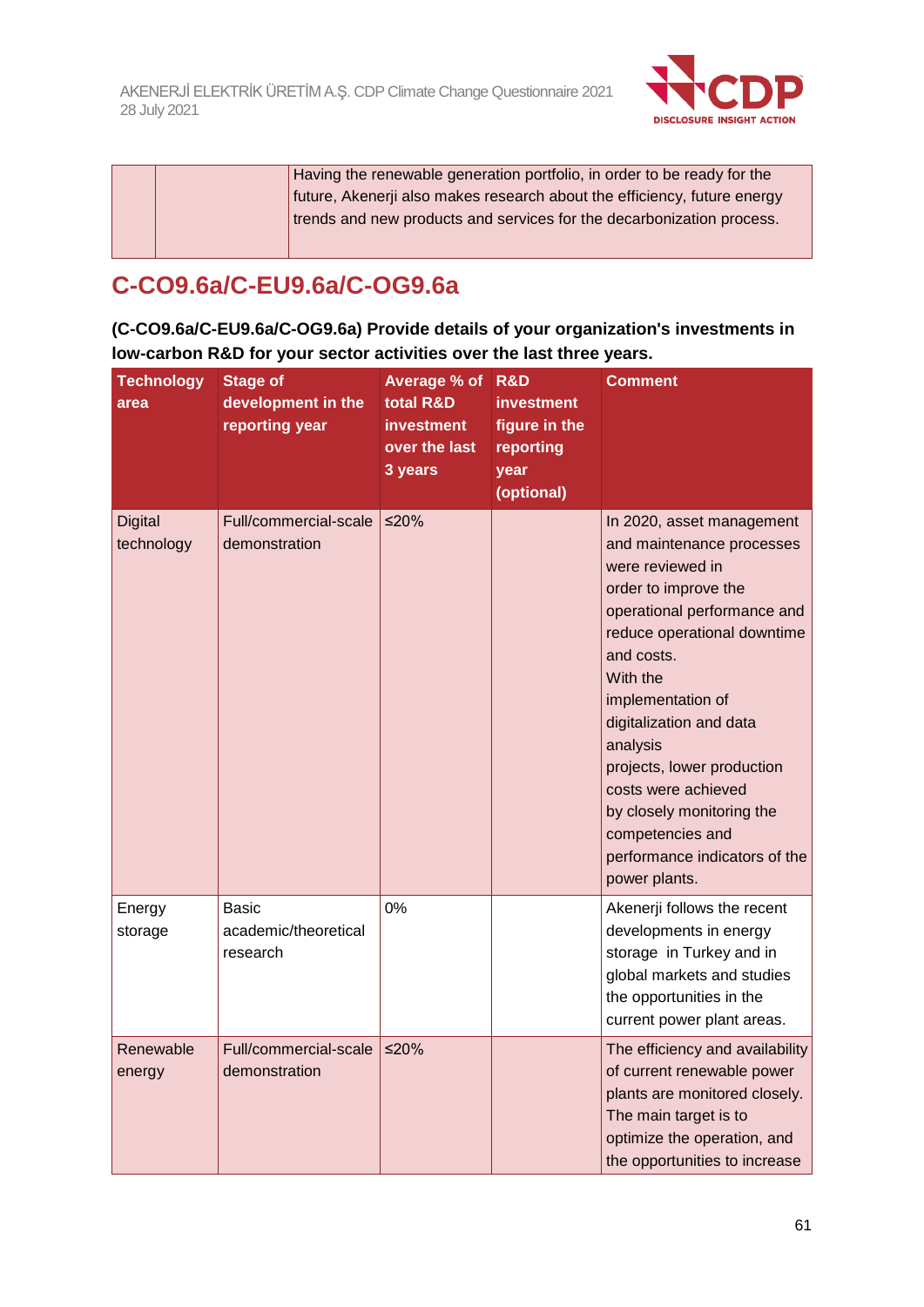

Having the renewable generation portfolio, in order to be ready for the future, Akenerji also makes research about the efficiency, future energy trends and new products and services for the decarbonization process.

## **C-CO9.6a/C-EU9.6a/C-OG9.6a**

**(C-CO9.6a/C-EU9.6a/C-OG9.6a) Provide details of your organization's investments in low-carbon R&D for your sector activities over the last three years.**

| <b>Technology</b><br>area    | <b>Stage of</b><br>development in the<br>reporting year | Average % of<br>total R&D<br><b>investment</b><br>over the last<br>3 years | R&D<br>investment<br>figure in the<br>reporting<br>year<br>(optional) | Comment                                                                                                                                                                                                                                                                                                                                                                                                        |
|------------------------------|---------------------------------------------------------|----------------------------------------------------------------------------|-----------------------------------------------------------------------|----------------------------------------------------------------------------------------------------------------------------------------------------------------------------------------------------------------------------------------------------------------------------------------------------------------------------------------------------------------------------------------------------------------|
| <b>Digital</b><br>technology | Full/commercial-scale<br>demonstration                  | ≤20%                                                                       |                                                                       | In 2020, asset management<br>and maintenance processes<br>were reviewed in<br>order to improve the<br>operational performance and<br>reduce operational downtime<br>and costs.<br>With the<br>implementation of<br>digitalization and data<br>analysis<br>projects, lower production<br>costs were achieved<br>by closely monitoring the<br>competencies and<br>performance indicators of the<br>power plants. |
| Energy<br>storage            | Basic<br>academic/theoretical<br>research               | 0%                                                                         |                                                                       | Akenerji follows the recent<br>developments in energy<br>storage in Turkey and in<br>global markets and studies<br>the opportunities in the<br>current power plant areas.                                                                                                                                                                                                                                      |
| Renewable<br>energy          | Full/commercial-scale<br>demonstration                  | ≤20%                                                                       |                                                                       | The efficiency and availability<br>of current renewable power<br>plants are monitored closely.<br>The main target is to<br>optimize the operation, and<br>the opportunities to increase                                                                                                                                                                                                                        |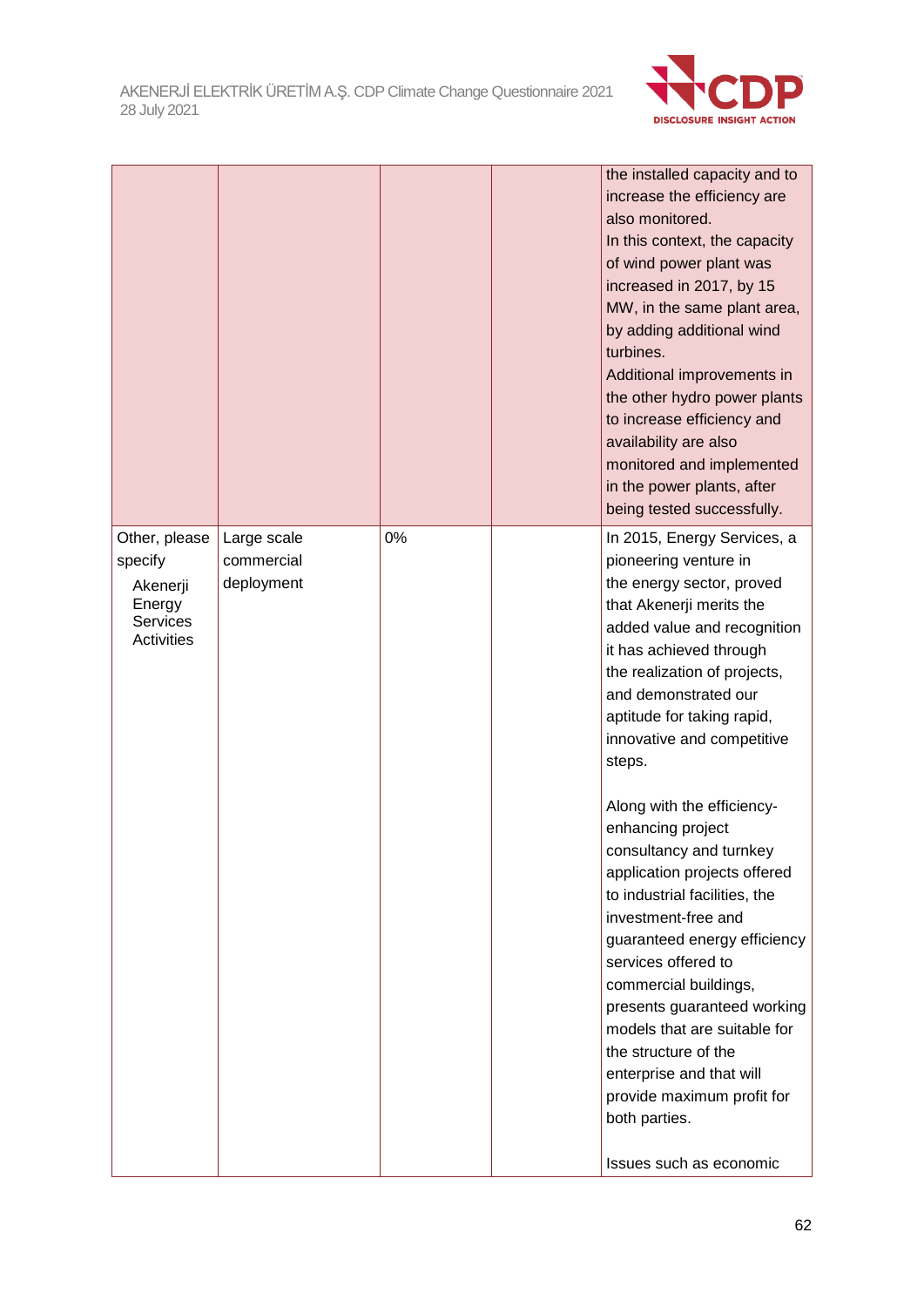

|                                                                                        |                                         |    | the installed capacity and to<br>increase the efficiency are<br>also monitored.<br>In this context, the capacity<br>of wind power plant was<br>increased in 2017, by 15<br>MW, in the same plant area,<br>by adding additional wind<br>turbines.<br>Additional improvements in<br>the other hydro power plants<br>to increase efficiency and<br>availability are also<br>monitored and implemented<br>in the power plants, after<br>being tested successfully.                                                                                                                                                             |
|----------------------------------------------------------------------------------------|-----------------------------------------|----|----------------------------------------------------------------------------------------------------------------------------------------------------------------------------------------------------------------------------------------------------------------------------------------------------------------------------------------------------------------------------------------------------------------------------------------------------------------------------------------------------------------------------------------------------------------------------------------------------------------------------|
| Other, please<br>specify<br>Akenerji<br>Energy<br><b>Services</b><br><b>Activities</b> | Large scale<br>commercial<br>deployment | 0% | In 2015, Energy Services, a<br>pioneering venture in<br>the energy sector, proved<br>that Akenerji merits the<br>added value and recognition<br>it has achieved through<br>the realization of projects,<br>and demonstrated our<br>aptitude for taking rapid,<br>innovative and competitive<br>steps.<br>Along with the efficiency-<br>enhancing project<br>consultancy and turnkey<br>application projects offered<br>to industrial facilities, the<br>investment-free and<br>guaranteed energy efficiency<br>services offered to<br>commercial buildings,<br>presents guaranteed working<br>models that are suitable for |
|                                                                                        |                                         |    | the structure of the<br>enterprise and that will<br>provide maximum profit for<br>both parties.<br>Issues such as economic                                                                                                                                                                                                                                                                                                                                                                                                                                                                                                 |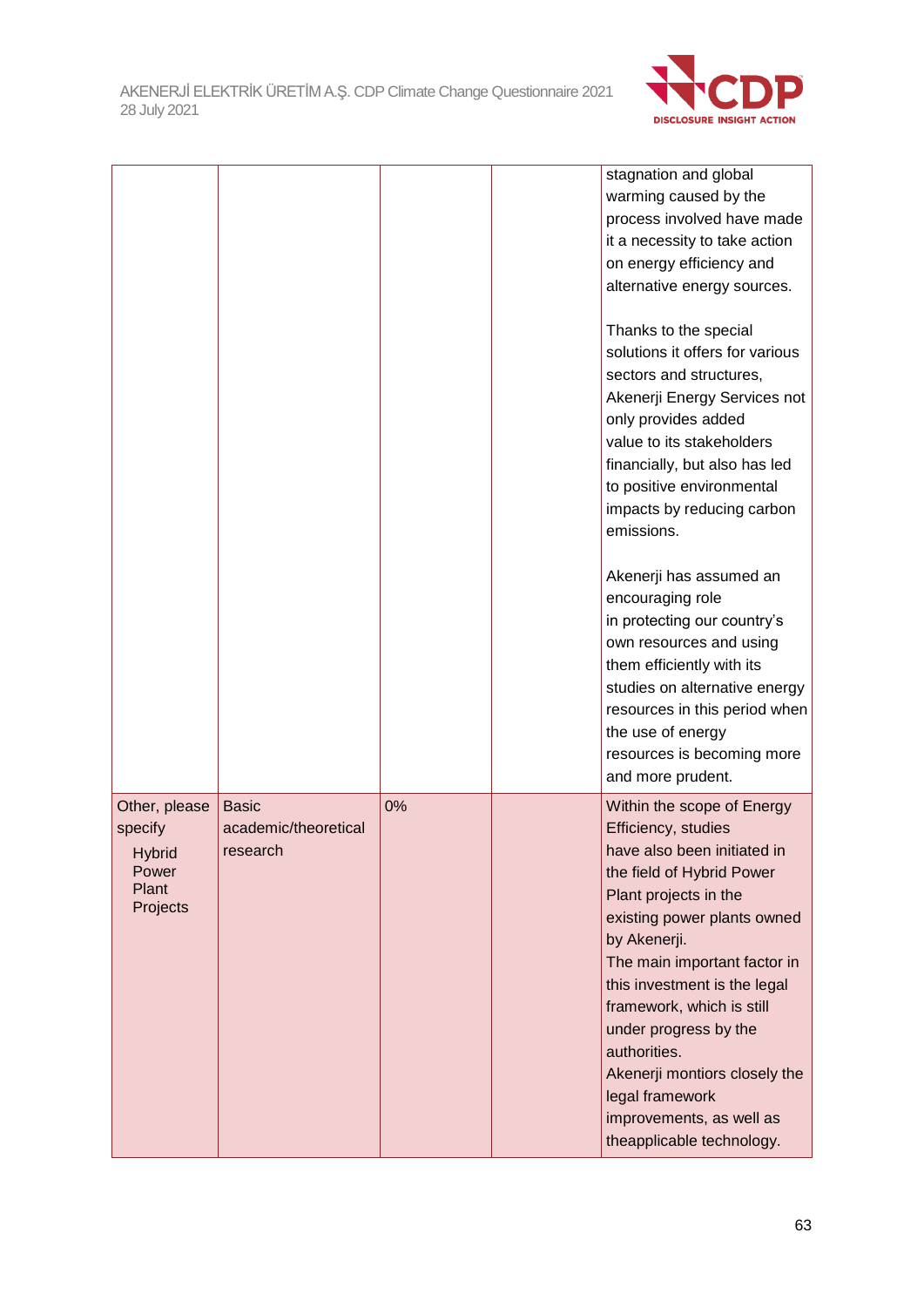

|                                                                         |                                                  |    | stagnation and global<br>warming caused by the<br>process involved have made<br>it a necessity to take action<br>on energy efficiency and<br>alternative energy sources.<br>Thanks to the special<br>solutions it offers for various<br>sectors and structures,<br>Akenerji Energy Services not<br>only provides added<br>value to its stakeholders<br>financially, but also has led<br>to positive environmental<br>impacts by reducing carbon<br>emissions.<br>Akenerji has assumed an<br>encouraging role<br>in protecting our country's<br>own resources and using<br>them efficiently with its<br>studies on alternative energy<br>resources in this period when<br>the use of energy<br>resources is becoming more<br>and more prudent. |
|-------------------------------------------------------------------------|--------------------------------------------------|----|-----------------------------------------------------------------------------------------------------------------------------------------------------------------------------------------------------------------------------------------------------------------------------------------------------------------------------------------------------------------------------------------------------------------------------------------------------------------------------------------------------------------------------------------------------------------------------------------------------------------------------------------------------------------------------------------------------------------------------------------------|
| Other, please<br>specify<br><b>Hybrid</b><br>Power<br>Plant<br>Projects | <b>Basic</b><br>academic/theoretical<br>research | 0% | Within the scope of Energy<br>Efficiency, studies<br>have also been initiated in<br>the field of Hybrid Power<br>Plant projects in the<br>existing power plants owned<br>by Akenerji.<br>The main important factor in<br>this investment is the legal<br>framework, which is still<br>under progress by the<br>authorities.<br>Akenerji montiors closely the<br>legal framework<br>improvements, as well as<br>theapplicable technology.                                                                                                                                                                                                                                                                                                      |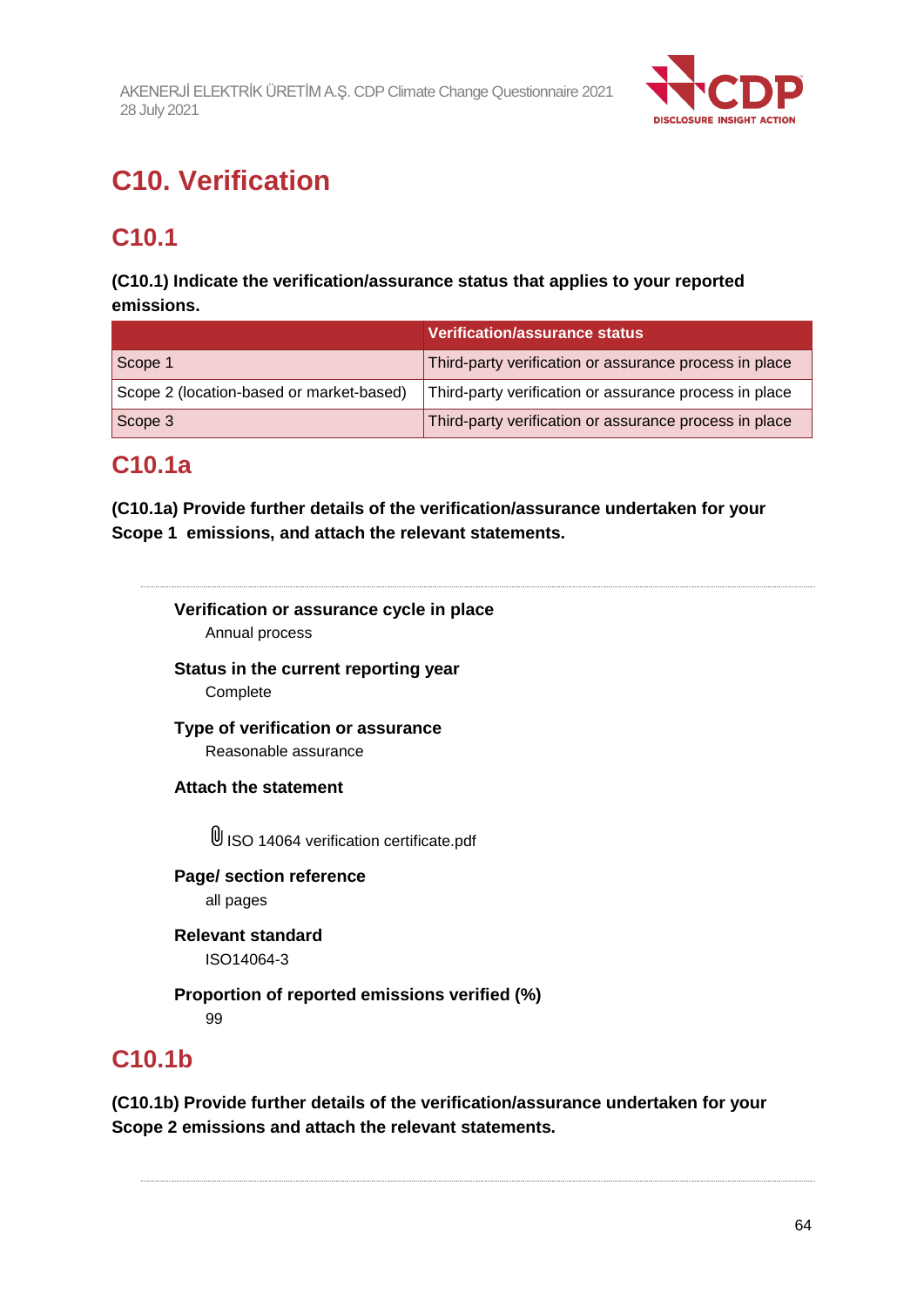

# **C10. Verification**

## **C10.1**

## **(C10.1) Indicate the verification/assurance status that applies to your reported emissions.**

|                                          | Verification/assurance status                          |
|------------------------------------------|--------------------------------------------------------|
| Scope 1                                  | Third-party verification or assurance process in place |
| Scope 2 (location-based or market-based) | Third-party verification or assurance process in place |
| Scope 3                                  | Third-party verification or assurance process in place |

## **C10.1a**

**(C10.1a) Provide further details of the verification/assurance undertaken for your Scope 1 emissions, and attach the relevant statements.**

**Verification or assurance cycle in place**

Annual process

**Status in the current reporting year** Complete

**Type of verification or assurance**

Reasonable assurance

**Attach the statement**

 $\mathbb 0$  ISO 14064 verification certificate.pdf

**Page/ section reference** all pages

**Relevant standard** ISO14064-3

**Proportion of reported emissions verified (%)** 99

## **C10.1b**

**(C10.1b) Provide further details of the verification/assurance undertaken for your Scope 2 emissions and attach the relevant statements.**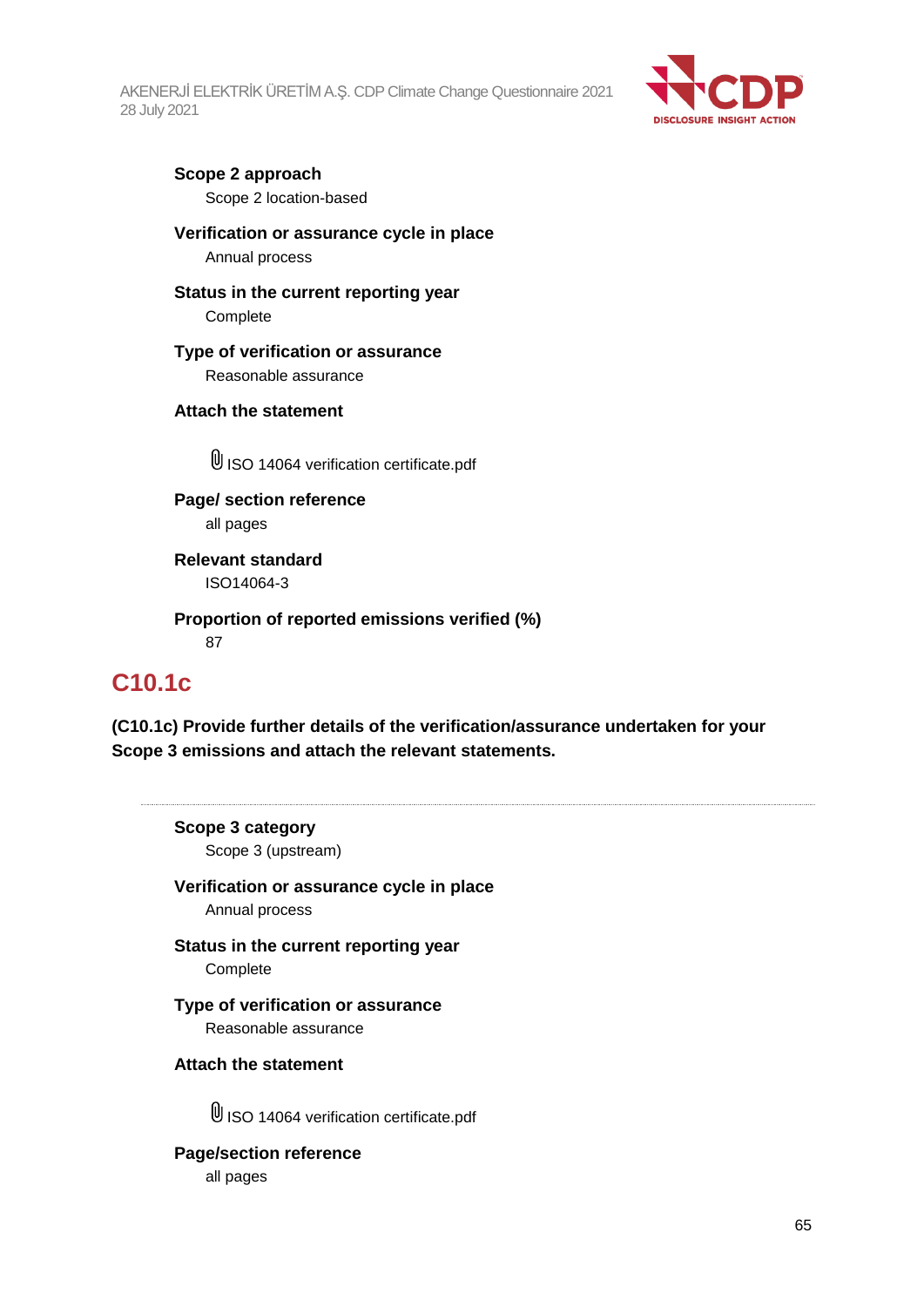

## **Scope 2 approach**

Scope 2 location-based

## **Verification or assurance cycle in place**

Annual process

## **Status in the current reporting year**

Complete

### **Type of verification or assurance**

Reasonable assurance

## **Attach the statement**

U ISO 14064 verification certificate.pdf

**Page/ section reference** all pages

**Relevant standard** ISO14064-3

**Proportion of reported emissions verified (%)** 87

## **C10.1c**

**(C10.1c) Provide further details of the verification/assurance undertaken for your Scope 3 emissions and attach the relevant statements.**

**Scope 3 category**

Scope 3 (upstream)

**Verification or assurance cycle in place** Annual process

**Status in the current reporting year** Complete

**Type of verification or assurance** Reasonable assurance

### **Attach the statement**

 $\mathbb 0$  ISO 14064 verification certificate.pdf

**Page/section reference** all pages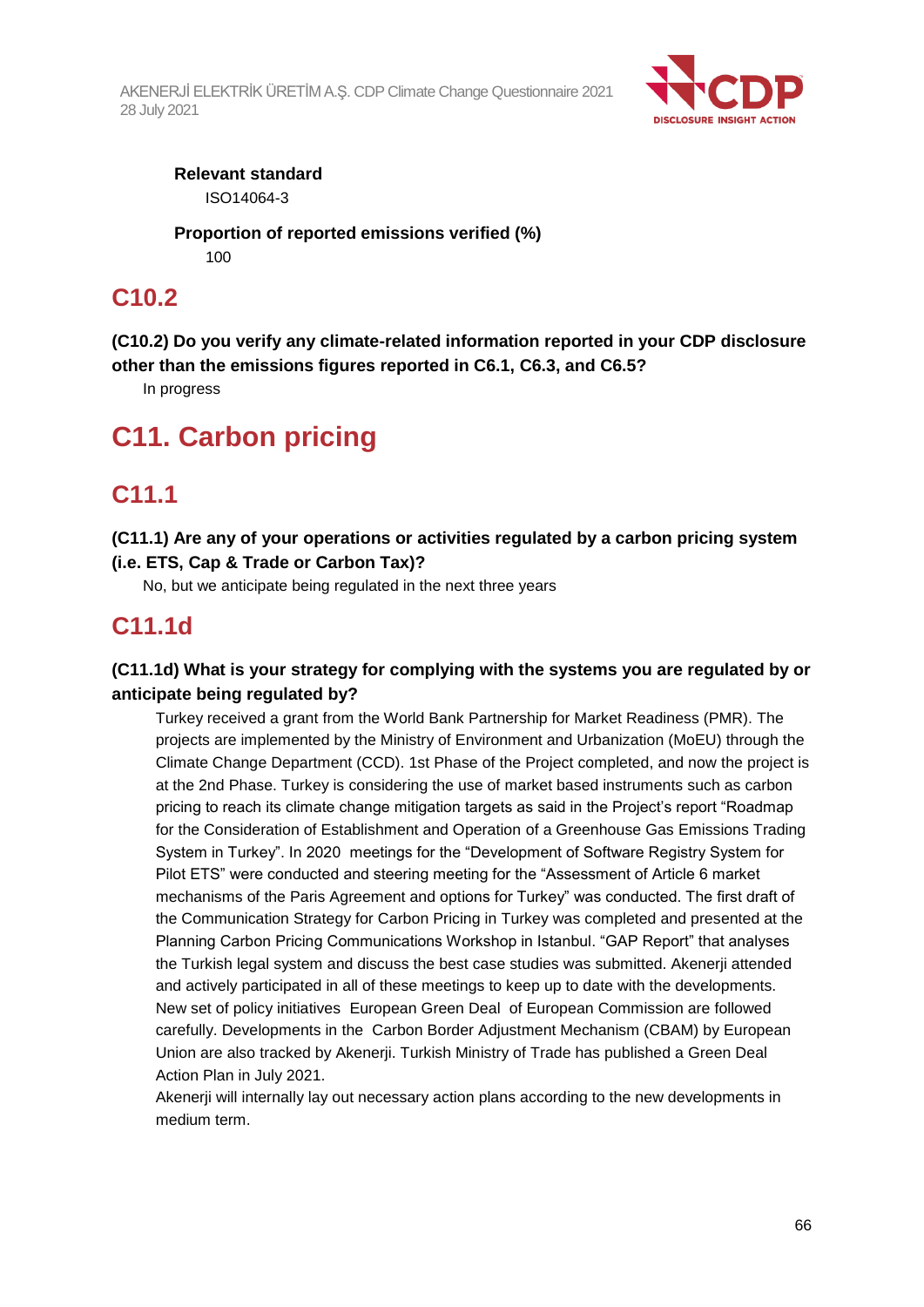

**Relevant standard** ISO14064-3

**Proportion of reported emissions verified (%)** 100

## **C10.2**

**(C10.2) Do you verify any climate-related information reported in your CDP disclosure other than the emissions figures reported in C6.1, C6.3, and C6.5?**

In progress

## **C11. Carbon pricing**

## **C11.1**

**(C11.1) Are any of your operations or activities regulated by a carbon pricing system (i.e. ETS, Cap & Trade or Carbon Tax)?**

No, but we anticipate being regulated in the next three years

## **C11.1d**

## **(C11.1d) What is your strategy for complying with the systems you are regulated by or anticipate being regulated by?**

Turkey received a grant from the World Bank Partnership for Market Readiness (PMR). The projects are implemented by the Ministry of Environment and Urbanization (MoEU) through the Climate Change Department (CCD). 1st Phase of the Project completed, and now the project is at the 2nd Phase. Turkey is considering the use of market based instruments such as carbon pricing to reach its climate change mitigation targets as said in the Project's report "Roadmap for the Consideration of Establishment and Operation of a Greenhouse Gas Emissions Trading System in Turkey". In 2020 meetings for the "Development of Software Registry System for Pilot ETS" were conducted and steering meeting for the "Assessment of Article 6 market mechanisms of the Paris Agreement and options for Turkey" was conducted. The first draft of the Communication Strategy for Carbon Pricing in Turkey was completed and presented at the Planning Carbon Pricing Communications Workshop in Istanbul. "GAP Report" that analyses the Turkish legal system and discuss the best case studies was submitted. Akenerji attended and actively participated in all of these meetings to keep up to date with the developments. New set of policy initiatives European Green Deal of European Commission are followed carefully. Developments in the Carbon Border Adjustment Mechanism (CBAM) by European Union are also tracked by Akenerji. Turkish Ministry of Trade has published a Green Deal Action Plan in July 2021.

Akenerji will internally lay out necessary action plans according to the new developments in medium term.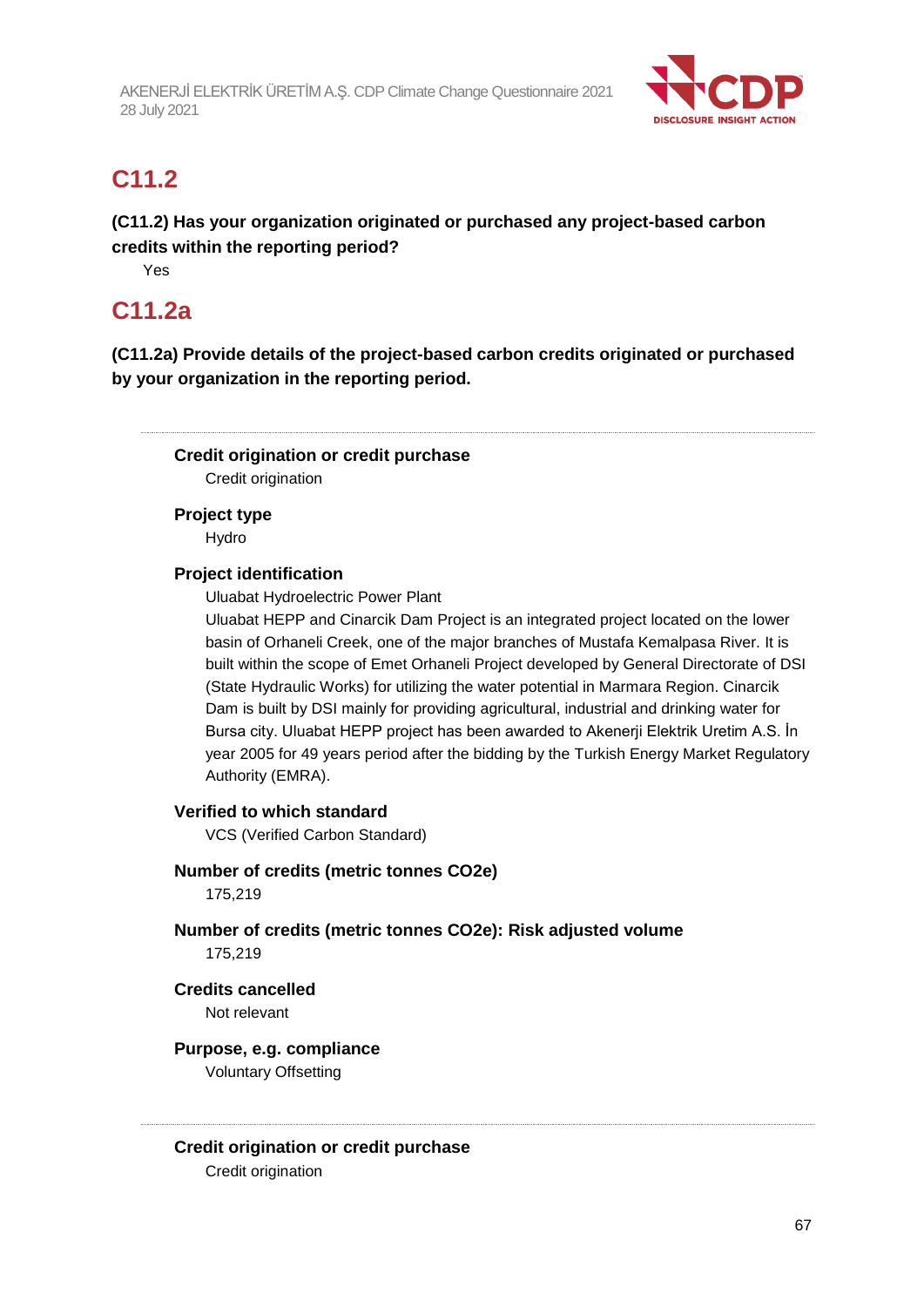

## **C11.2**

**(C11.2) Has your organization originated or purchased any project-based carbon credits within the reporting period?**

Yes

## **C11.2a**

**(C11.2a) Provide details of the project-based carbon credits originated or purchased by your organization in the reporting period.**

**Credit origination or credit purchase**

Credit origination

**Project type** Hydro

## **Project identification**

Uluabat Hydroelectric Power Plant

Uluabat HEPP and Cinarcik Dam Project is an integrated project located on the lower basin of Orhaneli Creek, one of the major branches of Mustafa Kemalpasa River. It is built within the scope of Emet Orhaneli Project developed by General Directorate of DSI (State Hydraulic Works) for utilizing the water potential in Marmara Region. Cinarcik Dam is built by DSI mainly for providing agricultural, industrial and drinking water for Bursa city. Uluabat HEPP project has been awarded to Akenerji Elektrik Uretim A.S. İn year 2005 for 49 years period after the bidding by the Turkish Energy Market Regulatory Authority (EMRA).

## **Verified to which standard**

VCS (Verified Carbon Standard)

**Number of credits (metric tonnes CO2e)**

175,219

**Number of credits (metric tonnes CO2e): Risk adjusted volume** 175,219

## **Credits cancelled**

Not relevant

## **Purpose, e.g. compliance**

Voluntary Offsetting

### **Credit origination or credit purchase**

Credit origination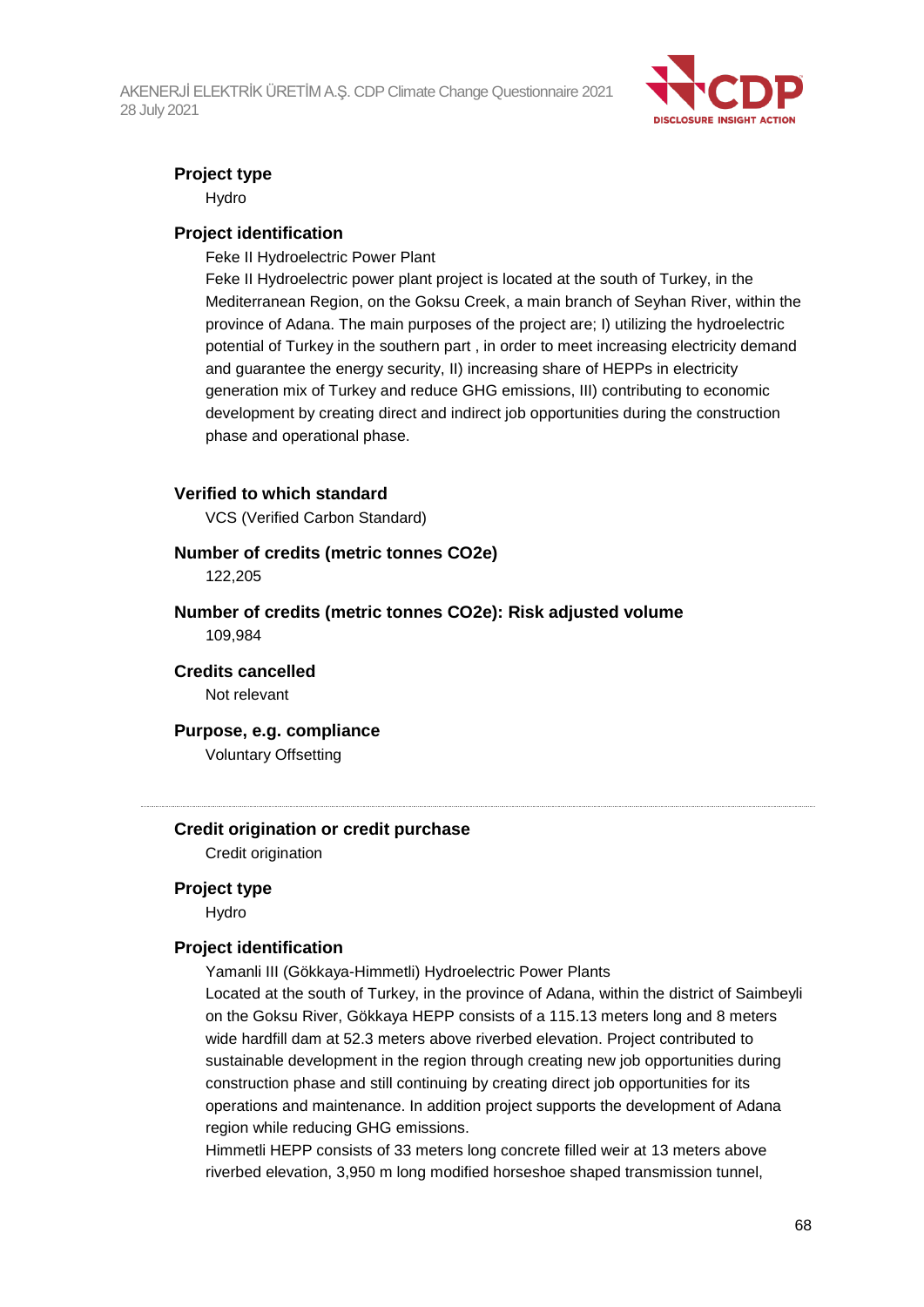

## **Project type**

Hydro

### **Project identification**

Feke II Hydroelectric Power Plant

Feke II Hydroelectric power plant project is located at the south of Turkey, in the Mediterranean Region, on the Goksu Creek, a main branch of Seyhan River, within the province of Adana. The main purposes of the project are; I) utilizing the hydroelectric potential of Turkey in the southern part , in order to meet increasing electricity demand and guarantee the energy security, II) increasing share of HEPPs in electricity generation mix of Turkey and reduce GHG emissions, III) contributing to economic development by creating direct and indirect job opportunities during the construction phase and operational phase.

### **Verified to which standard**

VCS (Verified Carbon Standard)

#### **Number of credits (metric tonnes CO2e)**

122,205

### **Number of credits (metric tonnes CO2e): Risk adjusted volume** 109,984

**Credits cancelled** Not relevant

**Purpose, e.g. compliance**

Voluntary Offsetting

## **Credit origination or credit purchase**

Credit origination

#### **Project type**

Hydro

### **Project identification**

Yamanli III (Gökkaya-Himmetli) Hydroelectric Power Plants

Located at the south of Turkey, in the province of Adana, within the district of Saimbeyli on the Goksu River, Gökkaya HEPP consists of a 115.13 meters long and 8 meters wide hardfill dam at 52.3 meters above riverbed elevation. Project contributed to sustainable development in the region through creating new job opportunities during construction phase and still continuing by creating direct job opportunities for its operations and maintenance. In addition project supports the development of Adana region while reducing GHG emissions.

Himmetli HEPP consists of 33 meters long concrete filled weir at 13 meters above riverbed elevation, 3,950 m long modified horseshoe shaped transmission tunnel,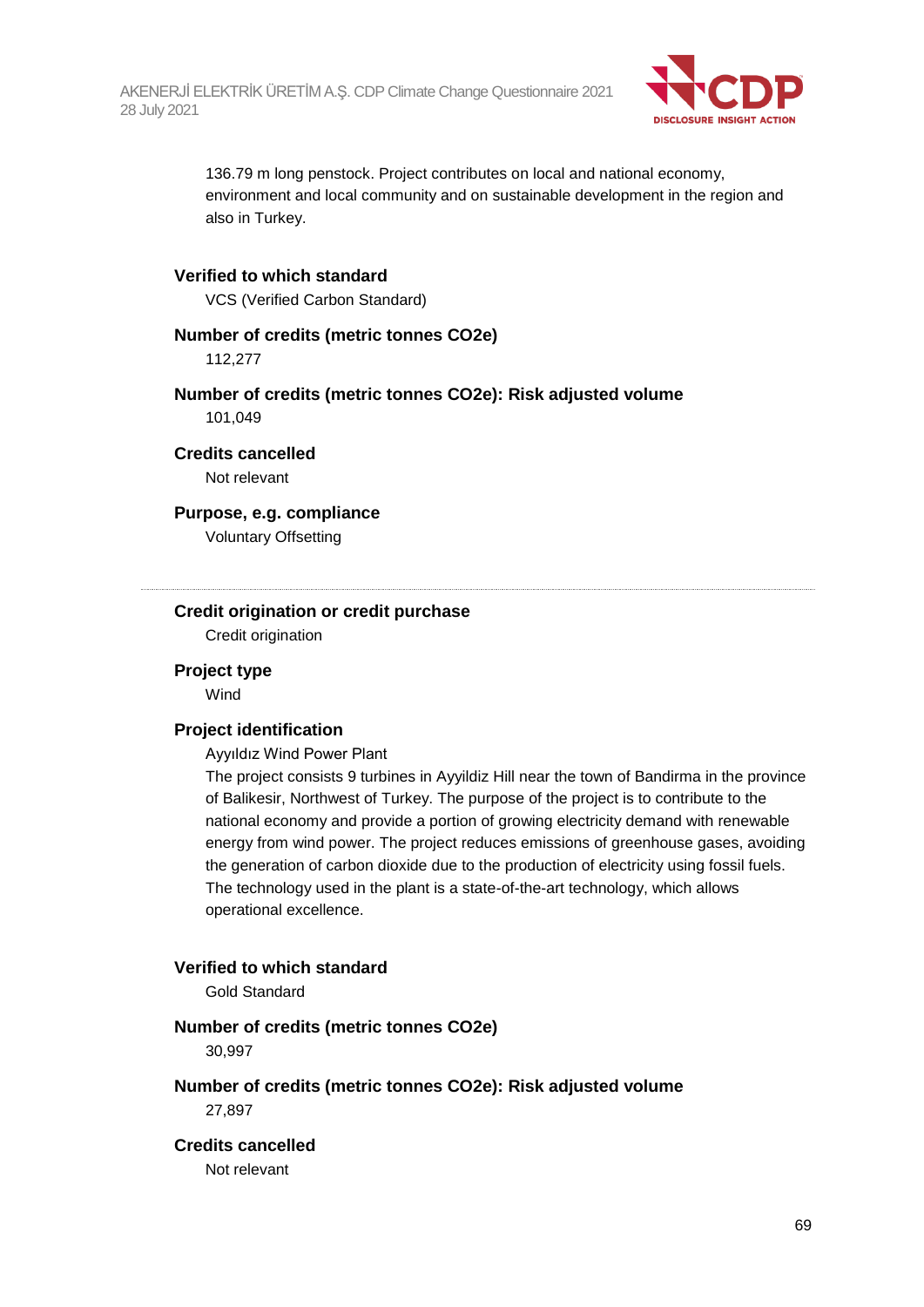

136.79 m long penstock. Project contributes on local and national economy, environment and local community and on sustainable development in the region and also in Turkey.

### **Verified to which standard**

VCS (Verified Carbon Standard)

### **Number of credits (metric tonnes CO2e)**

112,277

### **Number of credits (metric tonnes CO2e): Risk adjusted volume** 101,049

**Credits cancelled** Not relevant

## **Purpose, e.g. compliance**

Voluntary Offsetting

## **Credit origination or credit purchase**

Credit origination

#### **Project type**

**Wind** 

#### **Project identification**

Ayyıldız Wind Power Plant

The project consists 9 turbines in Ayyildiz Hill near the town of Bandirma in the province of Balikesir, Northwest of Turkey. The purpose of the project is to contribute to the national economy and provide a portion of growing electricity demand with renewable energy from wind power. The project reduces emissions of greenhouse gases, avoiding the generation of carbon dioxide due to the production of electricity using fossil fuels. The technology used in the plant is a state-of-the-art technology, which allows operational excellence.

#### **Verified to which standard**

Gold Standard

#### **Number of credits (metric tonnes CO2e)**

30,997

#### **Number of credits (metric tonnes CO2e): Risk adjusted volume**

27,897

#### **Credits cancelled**

Not relevant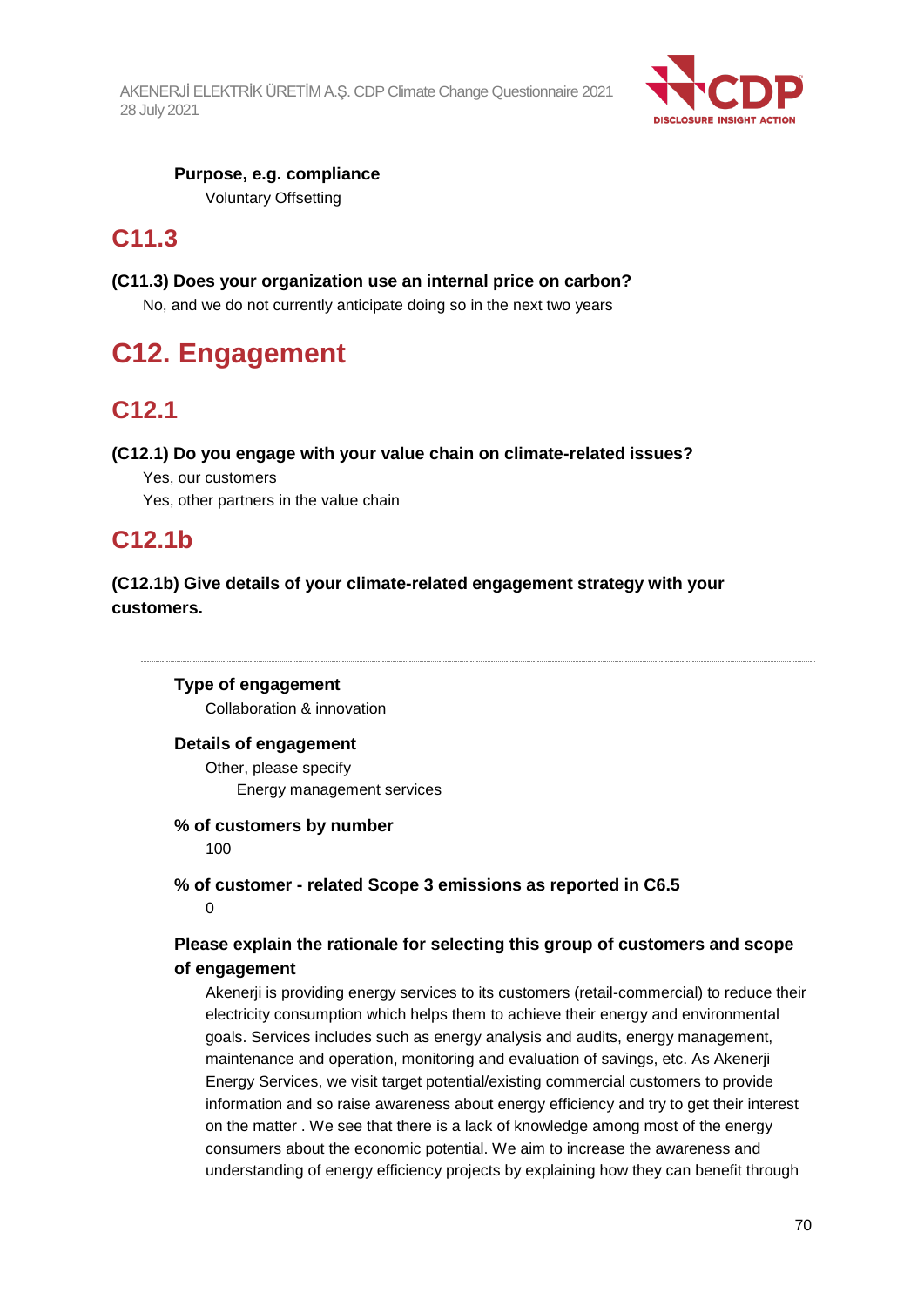

**Purpose, e.g. compliance** Voluntary Offsetting

## **C11.3**

## **(C11.3) Does your organization use an internal price on carbon?**

No, and we do not currently anticipate doing so in the next two years

## **C12. Engagement**

## **C12.1**

## **(C12.1) Do you engage with your value chain on climate-related issues?**

- Yes, our customers
- Yes, other partners in the value chain

## **C12.1b**

## **(C12.1b) Give details of your climate-related engagement strategy with your customers.**

### **Type of engagement**

Collaboration & innovation

### **Details of engagement**

Other, please specify Energy management services

#### **% of customers by number**

100

### **% of customer - related Scope 3 emissions as reported in C6.5**  $\Omega$

## **Please explain the rationale for selecting this group of customers and scope of engagement**

Akenerji is providing energy services to its customers (retail-commercial) to reduce their electricity consumption which helps them to achieve their energy and environmental goals. Services includes such as energy analysis and audits, energy management, maintenance and operation, monitoring and evaluation of savings, etc. As Akenerji Energy Services, we visit target potential/existing commercial customers to provide information and so raise awareness about energy efficiency and try to get their interest on the matter . We see that there is a lack of knowledge among most of the energy consumers about the economic potential. We aim to increase the awareness and understanding of energy efficiency projects by explaining how they can benefit through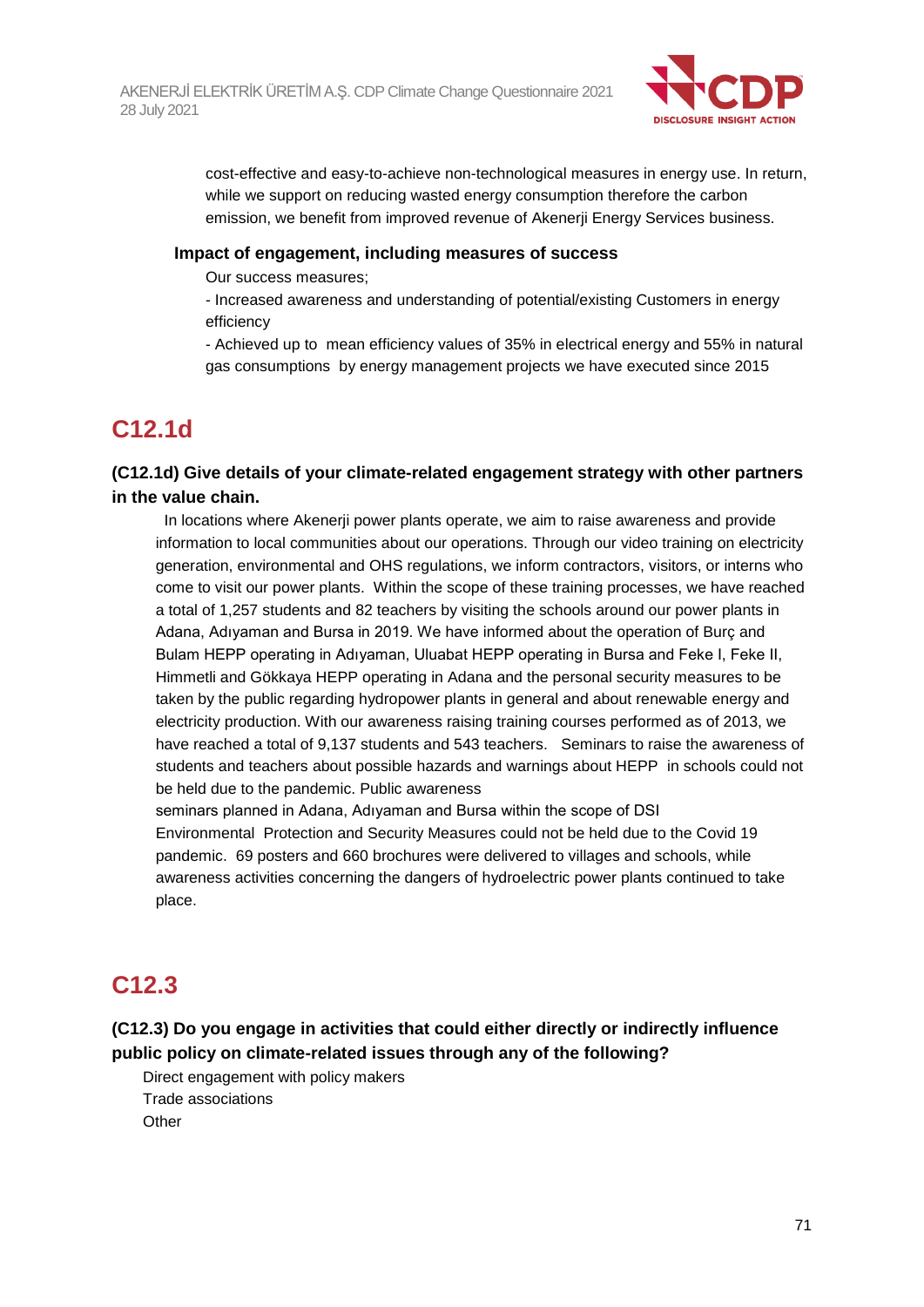

cost-effective and easy-to-achieve non-technological measures in energy use. In return, while we support on reducing wasted energy consumption therefore the carbon emission, we benefit from improved revenue of Akenerji Energy Services business.

### **Impact of engagement, including measures of success**

Our success measures;

- Increased awareness and understanding of potential/existing Customers in energy efficiency

- Achieved up to mean efficiency values of 35% in electrical energy and 55% in natural gas consumptions by energy management projects we have executed since 2015

## **C12.1d**

**(C12.1d) Give details of your climate-related engagement strategy with other partners in the value chain.**

 In locations where Akenerji power plants operate, we aim to raise awareness and provide information to local communities about our operations. Through our video training on electricity generation, environmental and OHS regulations, we inform contractors, visitors, or interns who come to visit our power plants. Within the scope of these training processes, we have reached a total of 1,257 students and 82 teachers by visiting the schools around our power plants in Adana, Adıyaman and Bursa in 2019. We have informed about the operation of Burç and Bulam HEPP operating in Adıyaman, Uluabat HEPP operating in Bursa and Feke I, Feke II, Himmetli and Gökkaya HEPP operating in Adana and the personal security measures to be taken by the public regarding hydropower plants in general and about renewable energy and electricity production. With our awareness raising training courses performed as of 2013, we have reached a total of 9,137 students and 543 teachers. Seminars to raise the awareness of students and teachers about possible hazards and warnings about HEPP in schools could not be held due to the pandemic. Public awareness

seminars planned in Adana, Adıyaman and Bursa within the scope of DSI Environmental Protection and Security Measures could not be held due to the Covid 19 pandemic. 69 posters and 660 brochures were delivered to villages and schools, while awareness activities concerning the dangers of hydroelectric power plants continued to take place.

## **C12.3**

## **(C12.3) Do you engage in activities that could either directly or indirectly influence public policy on climate-related issues through any of the following?**

Direct engagement with policy makers Trade associations **Other**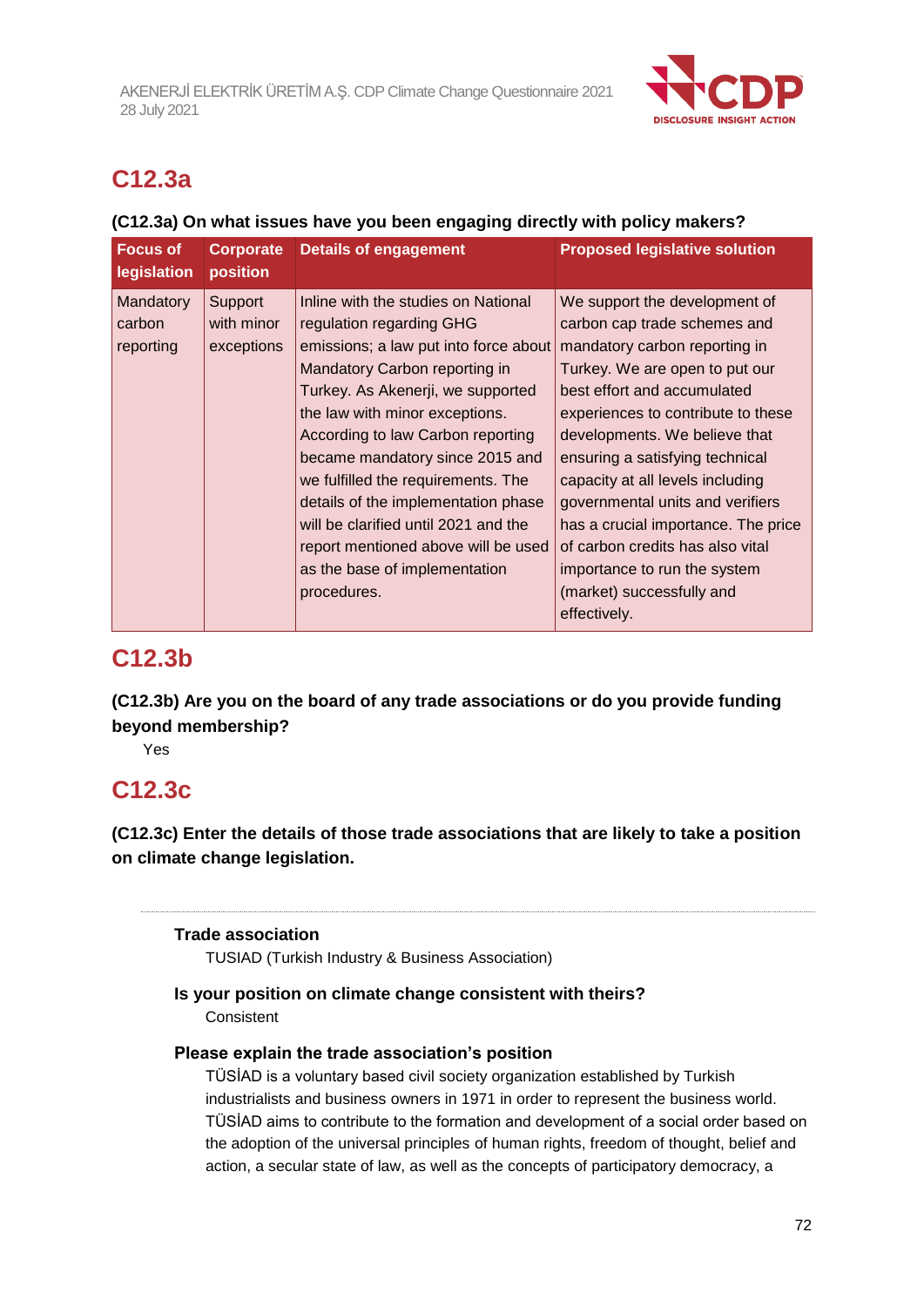

## **C12.3a**

## **(C12.3a) On what issues have you been engaging directly with policy makers?**

| <b>Focus of</b><br>legislation   | <b>Corporate</b><br>position        | Details of engagement                                                                                                                                                                                                                                                                                                                                                                                                                                                                                | <b>Proposed legislative solution</b>                                                                                                                                                                                                                                                                                                                                                                                                                                                                      |
|----------------------------------|-------------------------------------|------------------------------------------------------------------------------------------------------------------------------------------------------------------------------------------------------------------------------------------------------------------------------------------------------------------------------------------------------------------------------------------------------------------------------------------------------------------------------------------------------|-----------------------------------------------------------------------------------------------------------------------------------------------------------------------------------------------------------------------------------------------------------------------------------------------------------------------------------------------------------------------------------------------------------------------------------------------------------------------------------------------------------|
| Mandatory<br>carbon<br>reporting | Support<br>with minor<br>exceptions | Inline with the studies on National<br>regulation regarding GHG<br>emissions; a law put into force about<br>Mandatory Carbon reporting in<br>Turkey. As Akenerji, we supported<br>the law with minor exceptions.<br>According to law Carbon reporting<br>became mandatory since 2015 and<br>we fulfilled the requirements. The<br>details of the implementation phase<br>will be clarified until 2021 and the<br>report mentioned above will be used<br>as the base of implementation<br>procedures. | We support the development of<br>carbon cap trade schemes and<br>mandatory carbon reporting in<br>Turkey. We are open to put our<br>best effort and accumulated<br>experiences to contribute to these<br>developments. We believe that<br>ensuring a satisfying technical<br>capacity at all levels including<br>governmental units and verifiers<br>has a crucial importance. The price<br>of carbon credits has also vital<br>importance to run the system<br>(market) successfully and<br>effectively. |

## **C12.3b**

**(C12.3b) Are you on the board of any trade associations or do you provide funding beyond membership?**

Yes

## **C12.3c**

**(C12.3c) Enter the details of those trade associations that are likely to take a position on climate change legislation.**

## **Trade association**

TUSIAD (Turkish Industry & Business Association)

## **Is your position on climate change consistent with theirs? Consistent**

## **Please explain the trade association's position**

TÜSİAD is a voluntary based civil society organization established by Turkish industrialists and business owners in 1971 in order to represent the business world. TÜSİAD aims to contribute to the formation and development of a social order based on the adoption of the universal principles of human rights, freedom of thought, belief and action, a secular state of law, as well as the concepts of participatory democracy, a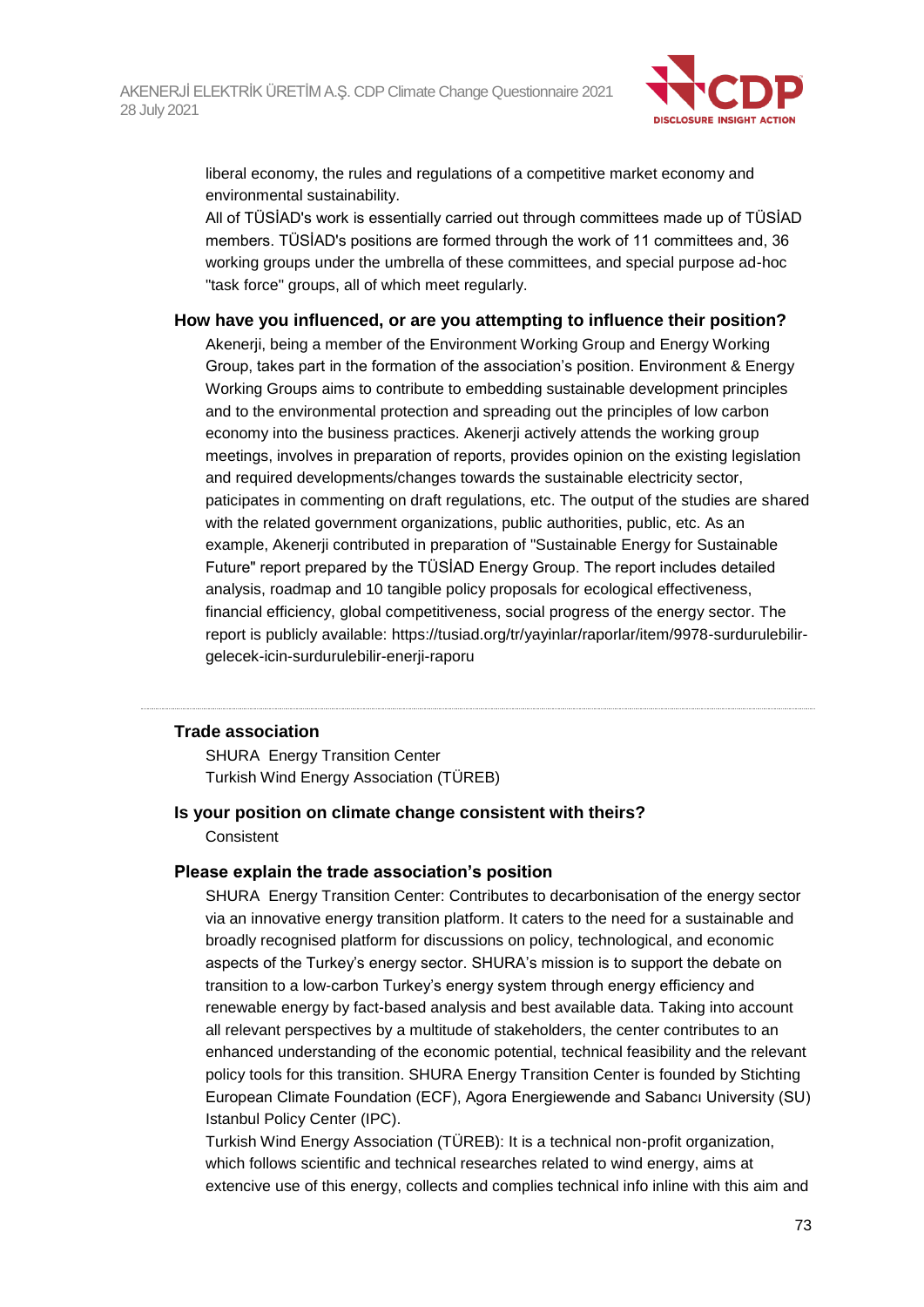

liberal economy, the rules and regulations of a competitive market economy and environmental sustainability.

All of TÜSİAD's work is essentially carried out through committees made up of TÜSİAD members. TÜSİAD's positions are formed through the work of 11 committees and, 36 working groups under the umbrella of these committees, and special purpose ad-hoc "task force" groups, all of which meet regularly.

#### **How have you influenced, or are you attempting to influence their position?**

Akenerji, being a member of the Environment Working Group and Energy Working Group, takes part in the formation of the association's position. Environment & Energy Working Groups aims to contribute to embedding sustainable development principles and to the environmental protection and spreading out the principles of low carbon economy into the business practices. Akenerji actively attends the working group meetings, involves in preparation of reports, provides opinion on the existing legislation and required developments/changes towards the sustainable electricity sector, paticipates in commenting on draft regulations, etc. The output of the studies are shared with the related government organizations, public authorities, public, etc. As an example, Akenerji contributed in preparation of "Sustainable Energy for Sustainable Future" report prepared by the TÜSİAD Energy Group. The report includes detailed analysis, roadmap and 10 tangible policy proposals for ecological effectiveness, financial efficiency, global competitiveness, social progress of the energy sector. The report is publicly available: https://tusiad.org/tr/yayinlar/raporlar/item/9978-surdurulebilirgelecek-icin-surdurulebilir-enerji-raporu

#### **Trade association**

SHURA Energy Transition Center Turkish Wind Energy Association (TÜREB)

## **Is your position on climate change consistent with theirs?**

**Consistent** 

#### **Please explain the trade association's position**

SHURA Energy Transition Center: Contributes to decarbonisation of the energy sector via an innovative energy transition platform. It caters to the need for a sustainable and broadly recognised platform for discussions on policy, technological, and economic aspects of the Turkey's energy sector. SHURA's mission is to support the debate on transition to a low-carbon Turkey's energy system through energy efficiency and renewable energy by fact-based analysis and best available data. Taking into account all relevant perspectives by a multitude of stakeholders, the center contributes to an enhanced understanding of the economic potential, technical feasibility and the relevant policy tools for this transition. SHURA Energy Transition Center is founded by Stichting European Climate Foundation (ECF), Agora Energiewende and Sabancı University (SU) Istanbul Policy Center (IPC).

Turkish Wind Energy Association (TÜREB): It is a technical non-profit organization, which follows scientific and technical researches related to wind energy, aims at extencive use of this energy, collects and complies technical info inline with this aim and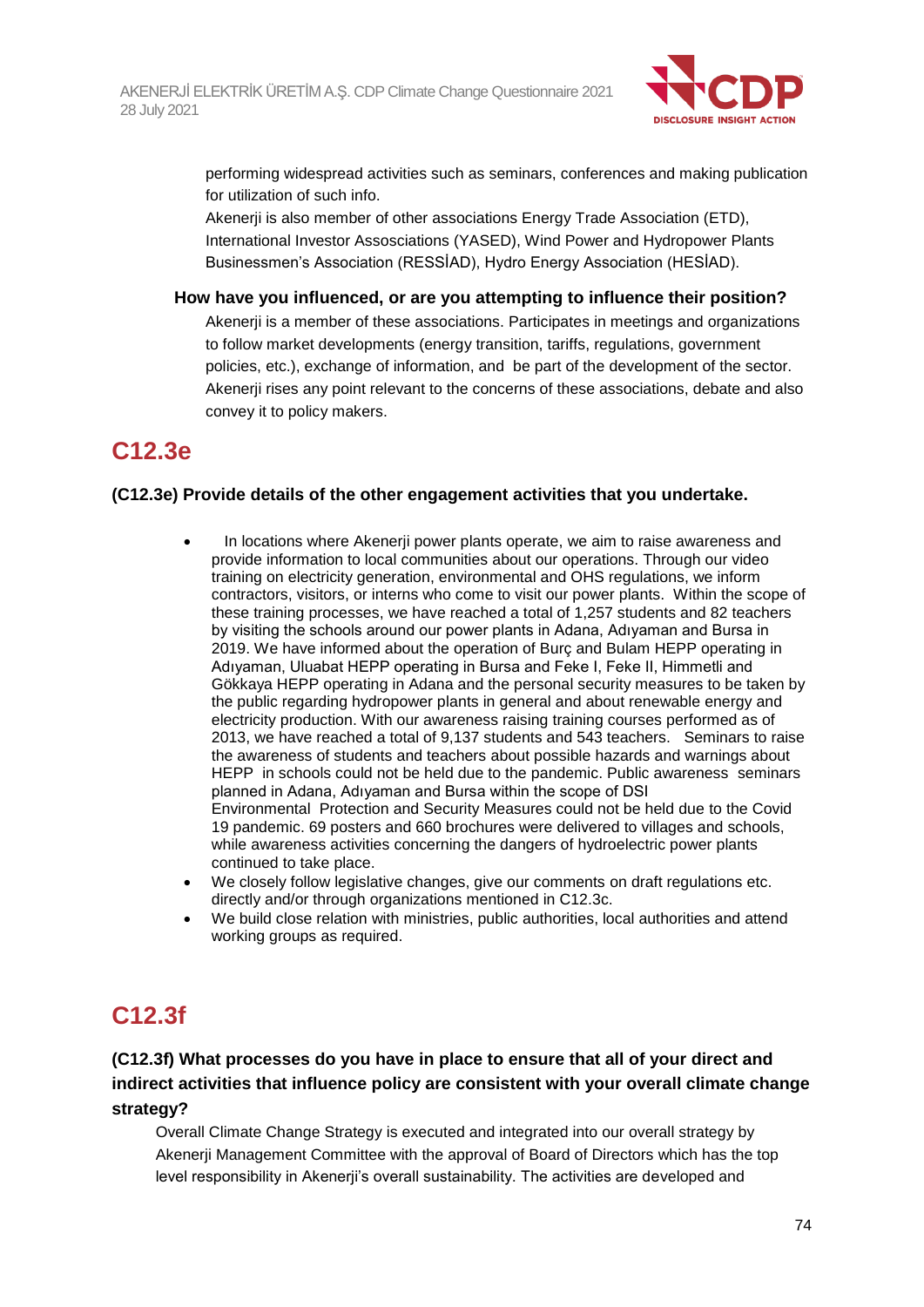

performing widespread activities such as seminars, conferences and making publication for utilization of such info.

Akenerji is also member of other associations Energy Trade Association (ETD), International Investor Assosciations (YASED), Wind Power and Hydropower Plants Businessmen's Association (RESSİAD), Hydro Energy Association (HESİAD).

#### **How have you influenced, or are you attempting to influence their position?**

Akenerji is a member of these associations. Participates in meetings and organizations to follow market developments (energy transition, tariffs, regulations, government policies, etc.), exchange of information, and be part of the development of the sector. Akenerji rises any point relevant to the concerns of these associations, debate and also convey it to policy makers.

## **C12.3e**

#### **(C12.3e) Provide details of the other engagement activities that you undertake.**

- In locations where Akenerji power plants operate, we aim to raise awareness and provide information to local communities about our operations. Through our video training on electricity generation, environmental and OHS regulations, we inform contractors, visitors, or interns who come to visit our power plants. Within the scope of these training processes, we have reached a total of 1,257 students and 82 teachers by visiting the schools around our power plants in Adana, Adıyaman and Bursa in 2019. We have informed about the operation of Burç and Bulam HEPP operating in Adıyaman, Uluabat HEPP operating in Bursa and Feke I, Feke II, Himmetli and Gökkaya HEPP operating in Adana and the personal security measures to be taken by the public regarding hydropower plants in general and about renewable energy and electricity production. With our awareness raising training courses performed as of 2013, we have reached a total of 9,137 students and 543 teachers. Seminars to raise the awareness of students and teachers about possible hazards and warnings about HEPP in schools could not be held due to the pandemic. Public awareness seminars planned in Adana, Adıyaman and Bursa within the scope of DSI Environmental Protection and Security Measures could not be held due to the Covid 19 pandemic. 69 posters and 660 brochures were delivered to villages and schools, while awareness activities concerning the dangers of hydroelectric power plants continued to take place.
- We closely follow legislative changes, give our comments on draft regulations etc. directly and/or through organizations mentioned in C12.3c.
- We build close relation with ministries, public authorities, local authorities and attend working groups as required.

## **C12.3f**

## **(C12.3f) What processes do you have in place to ensure that all of your direct and indirect activities that influence policy are consistent with your overall climate change strategy?**

Overall Climate Change Strategy is executed and integrated into our overall strategy by Akenerji Management Committee with the approval of Board of Directors which has the top level responsibility in Akenerji's overall sustainability. The activities are developed and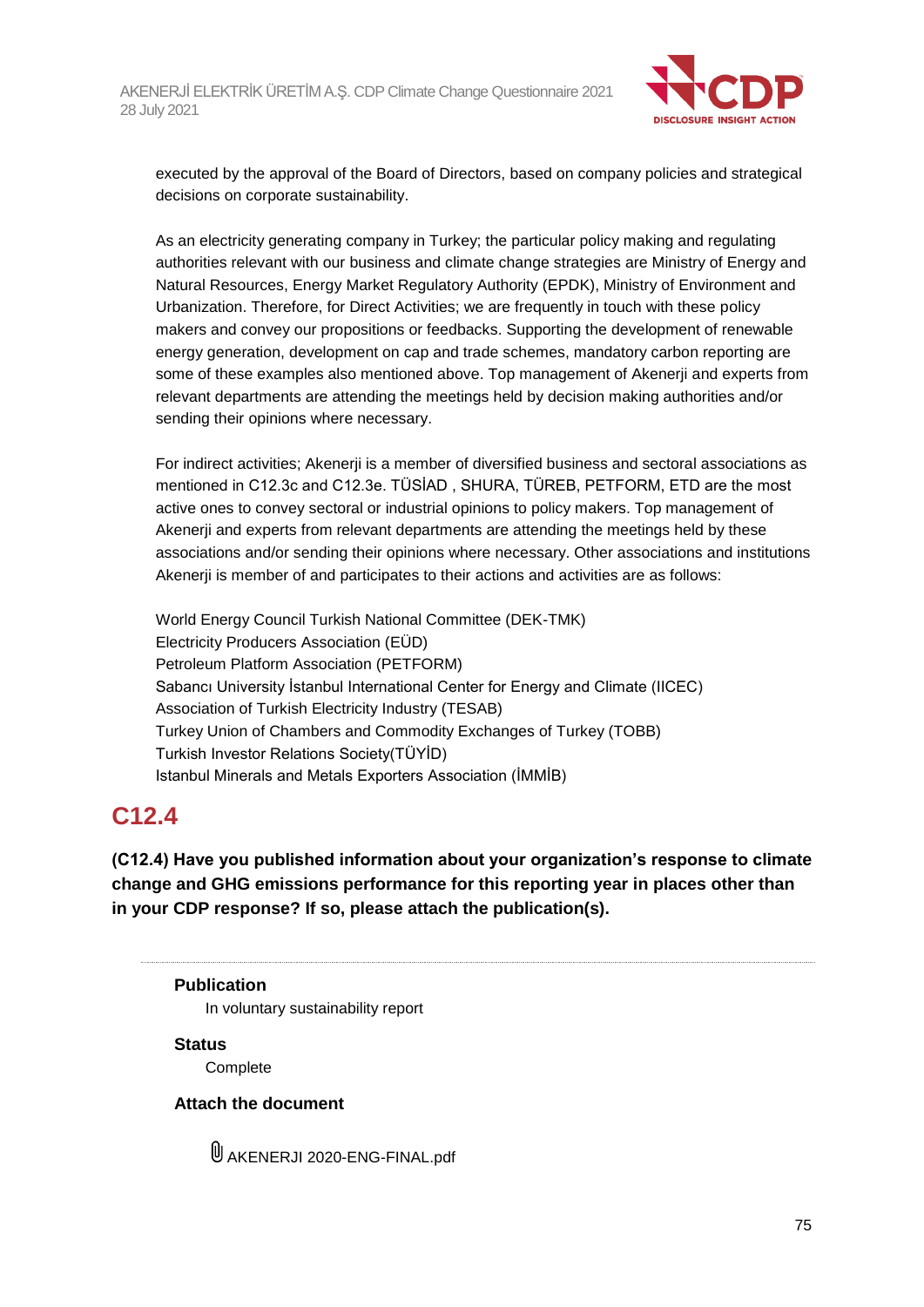

executed by the approval of the Board of Directors, based on company policies and strategical decisions on corporate sustainability.

As an electricity generating company in Turkey; the particular policy making and regulating authorities relevant with our business and climate change strategies are Ministry of Energy and Natural Resources, Energy Market Regulatory Authority (EPDK), Ministry of Environment and Urbanization. Therefore, for Direct Activities; we are frequently in touch with these policy makers and convey our propositions or feedbacks. Supporting the development of renewable energy generation, development on cap and trade schemes, mandatory carbon reporting are some of these examples also mentioned above. Top management of Akenerji and experts from relevant departments are attending the meetings held by decision making authorities and/or sending their opinions where necessary.

For indirect activities; Akenerji is a member of diversified business and sectoral associations as mentioned in C12.3c and C12.3e. TÜSİAD , SHURA, TÜREB, PETFORM, ETD are the most active ones to convey sectoral or industrial opinions to policy makers. Top management of Akenerji and experts from relevant departments are attending the meetings held by these associations and/or sending their opinions where necessary. Other associations and institutions Akenerji is member of and participates to their actions and activities are as follows:

World Energy Council Turkish National Committee (DEK-TMK) Electricity Producers Association (EÜD) Petroleum Platform Association (PETFORM) Sabancı University İstanbul International Center for Energy and Climate (IICEC) Association of Turkish Electricity Industry (TESAB) Turkey Union of Chambers and Commodity Exchanges of Turkey (TOBB) Turkish Investor Relations Society(TÜYİD) Istanbul Minerals and Metals Exporters Association (İMMİB)

## **C12.4**

**(C12.4) Have you published information about your organization's response to climate change and GHG emissions performance for this reporting year in places other than in your CDP response? If so, please attach the publication(s).**

#### **Publication**

In voluntary sustainability report

#### **Status**

**Complete** 

## **Attach the document**

AKENERJI 2020-ENG-FINAL.pdf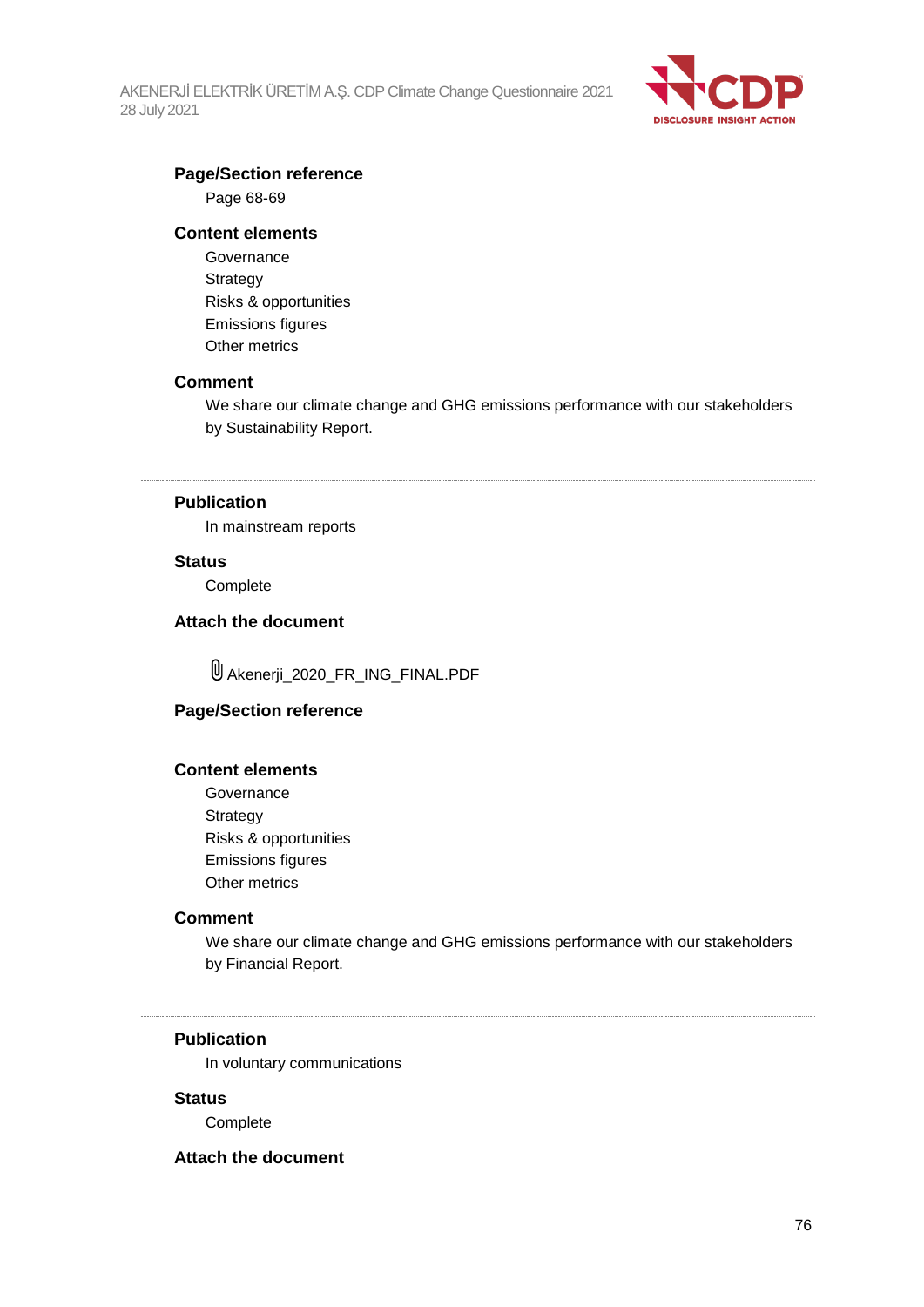AKENERJİ ELEKTRİK ÜRETİM A.Ş. CDP Climate Change Questionnaire 2021 28 July 2021



#### **Page/Section reference**

Page 68-69

#### **Content elements**

**Governance Strategy** Risks & opportunities Emissions figures Other metrics

#### **Comment**

We share our climate change and GHG emissions performance with our stakeholders by Sustainability Report.

## **Publication**

In mainstream reports

#### **Status**

**Complete** 

#### **Attach the document**

Akenerji\_2020\_FR\_ING\_FINAL.PDF

#### **Page/Section reference**

#### **Content elements**

Governance Strategy Risks & opportunities Emissions figures Other metrics

#### **Comment**

We share our climate change and GHG emissions performance with our stakeholders by Financial Report.

#### **Publication**

In voluntary communications

#### **Status**

Complete

#### **Attach the document**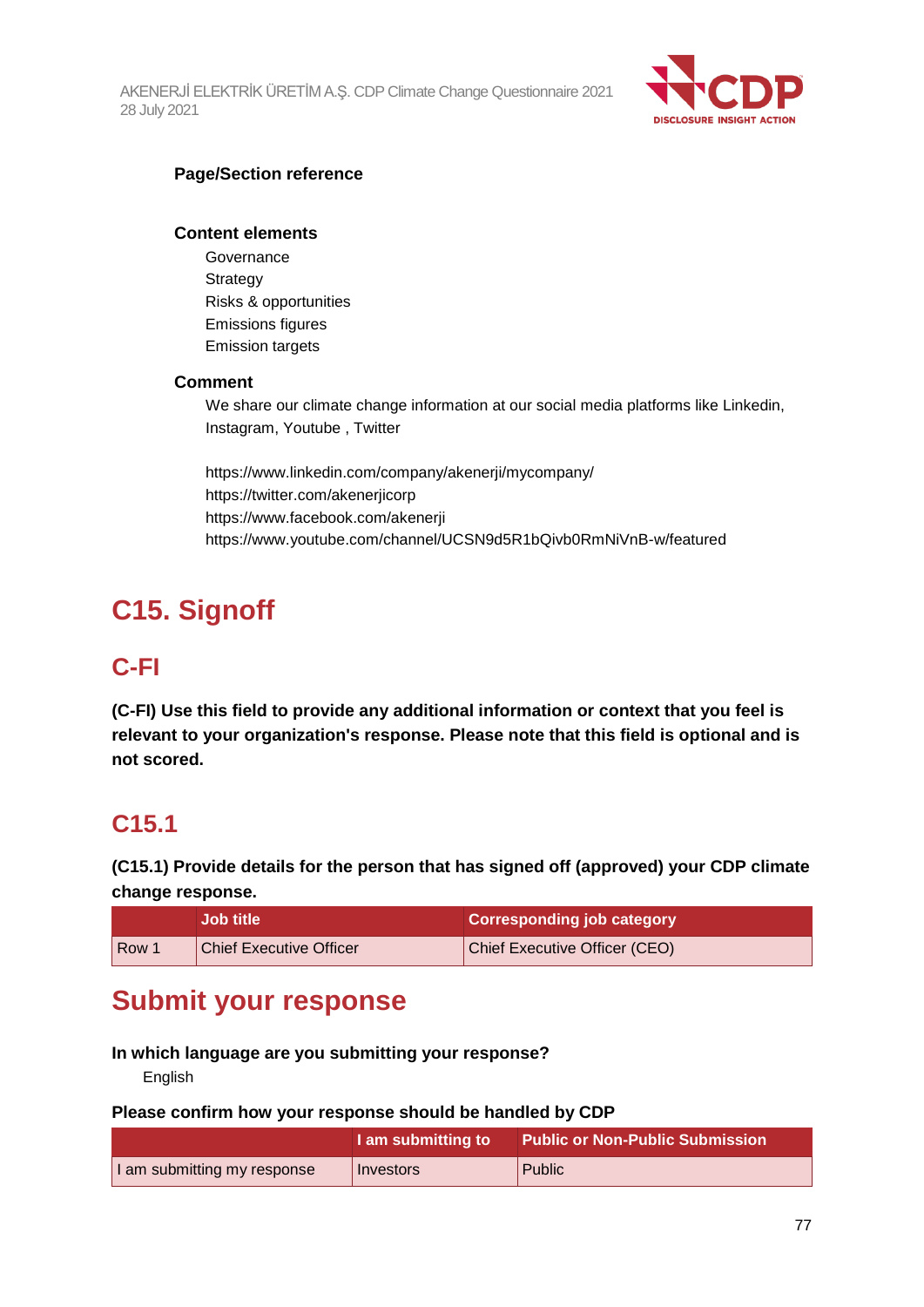AKENERJİ ELEKTRİK ÜRETİM A.Ş. CDP Climate Change Questionnaire 2021 28 July 2021



### **Page/Section reference**

#### **Content elements**

**Governance Strategy** Risks & opportunities Emissions figures Emission targets

#### **Comment**

We share our climate change information at our social media platforms like Linkedin, Instagram, Youtube , Twitter

https://www.linkedin.com/company/akenerji/mycompany/ https://twitter.com/akenerjicorp https://www.facebook.com/akenerji https://www.youtube.com/channel/UCSN9d5R1bQivb0RmNiVnB-w/featured

# **C15. Signoff**

## **C-FI**

**(C-FI) Use this field to provide any additional information or context that you feel is relevant to your organization's response. Please note that this field is optional and is not scored.**

# **C15.1**

**(C15.1) Provide details for the person that has signed off (approved) your CDP climate change response.**

|     | <b>Job title</b>               | <b>Corresponding job category</b> |
|-----|--------------------------------|-----------------------------------|
| Row | <b>Chief Executive Officer</b> | Chief Executive Officer (CEO)     |

# **Submit your response**

#### **In which language are you submitting your response?**

English

#### **Please confirm how your response should be handled by CDP**

|                             | I am submitting to | <b>Public or Non-Public Submission</b> |
|-----------------------------|--------------------|----------------------------------------|
| I am submitting my response | Investors          | Public                                 |